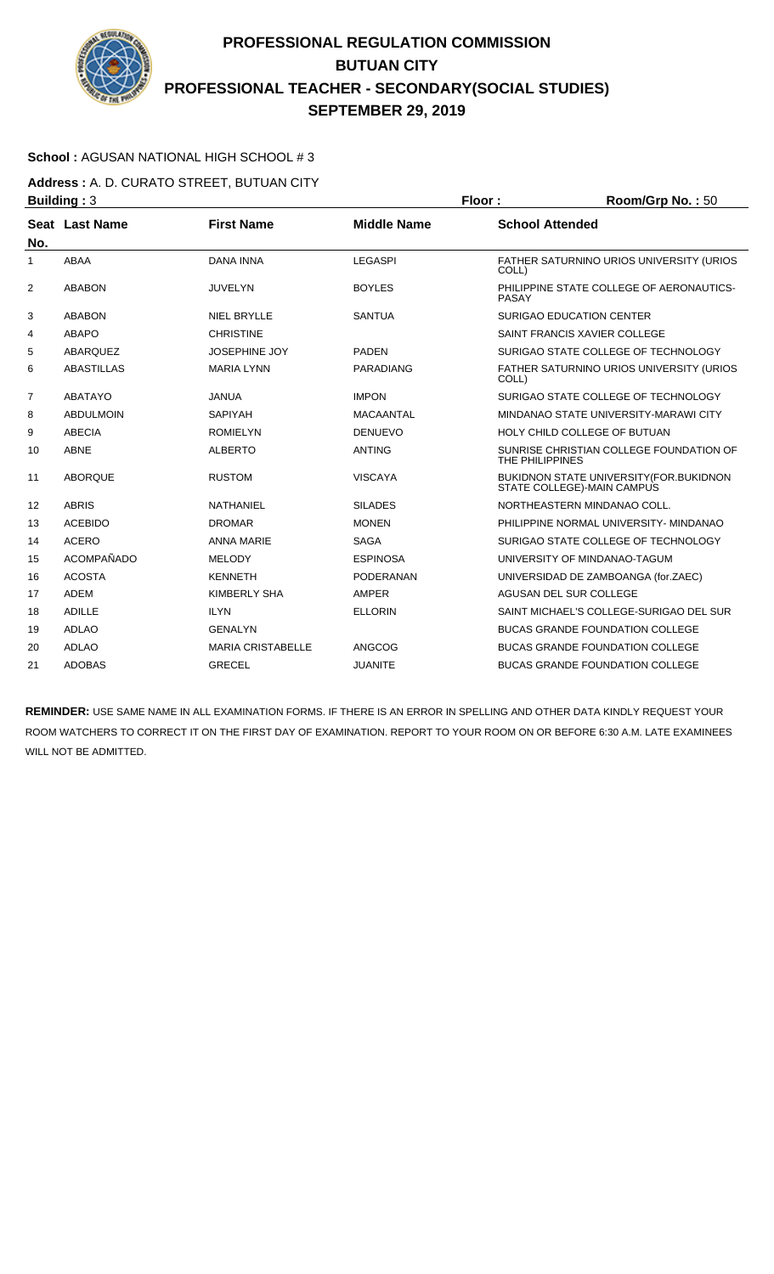

### **School :** AGUSAN NATIONAL HIGH SCHOOL # 3

**Address :** A. D. CURATO STREET, BUTUAN CITY **Building : 3 Floor : Room/Grp No. : 50** 

| No.            | Seat Last Name    | <b>First Name</b>        | <b>Middle Name</b> | <b>School Attended</b>                                                |
|----------------|-------------------|--------------------------|--------------------|-----------------------------------------------------------------------|
| 1              | <b>ABAA</b>       | <b>DANA INNA</b>         | <b>LEGASPI</b>     | FATHER SATURNINO URIOS UNIVERSITY (URIOS<br>COLL)                     |
| $\overline{2}$ | <b>ABABON</b>     | <b>JUVELYN</b>           | <b>BOYLES</b>      | PHILIPPINE STATE COLLEGE OF AERONAUTICS-<br><b>PASAY</b>              |
| 3              | <b>ABABON</b>     | <b>NIEL BRYLLE</b>       | <b>SANTUA</b>      | <b>SURIGAO EDUCATION CENTER</b>                                       |
| 4              | <b>ABAPO</b>      | <b>CHRISTINE</b>         |                    | SAINT FRANCIS XAVIER COLLEGE                                          |
| 5              | <b>ABARQUEZ</b>   | <b>JOSEPHINE JOY</b>     | <b>PADEN</b>       | SURIGAO STATE COLLEGE OF TECHNOLOGY                                   |
| 6              | <b>ABASTILLAS</b> | <b>MARIA LYNN</b>        | <b>PARADIANG</b>   | FATHER SATURNINO URIOS UNIVERSITY (URIOS<br>COLL)                     |
| 7              | <b>ABATAYO</b>    | <b>JANUA</b>             | <b>IMPON</b>       | SURIGAO STATE COLLEGE OF TECHNOLOGY                                   |
| 8              | <b>ABDULMOIN</b>  | <b>SAPIYAH</b>           | <b>MACAANTAL</b>   | MINDANAO STATE UNIVERSITY-MARAWI CITY                                 |
| 9              | <b>ABECIA</b>     | <b>ROMIELYN</b>          | <b>DENUEVO</b>     | HOLY CHILD COLLEGE OF BUTUAN                                          |
| 10             | <b>ABNE</b>       | <b>ALBERTO</b>           | <b>ANTING</b>      | SUNRISE CHRISTIAN COLLEGE FOUNDATION OF<br>THE PHILIPPINES            |
| 11             | <b>ABORQUE</b>    | <b>RUSTOM</b>            | <b>VISCAYA</b>     | BUKIDNON STATE UNIVERSITY (FOR.BUKIDNON<br>STATE COLLEGE)-MAIN CAMPUS |
| 12             | <b>ABRIS</b>      | NATHANIEL                | <b>SILADES</b>     | NORTHEASTERN MINDANAO COLL.                                           |
| 13             | <b>ACEBIDO</b>    | <b>DROMAR</b>            | <b>MONEN</b>       | PHILIPPINE NORMAL UNIVERSITY- MINDANAO                                |
| 14             | <b>ACERO</b>      | <b>ANNA MARIE</b>        | <b>SAGA</b>        | SURIGAO STATE COLLEGE OF TECHNOLOGY                                   |
| 15             | <b>ACOMPAÑADO</b> | <b>MELODY</b>            | <b>ESPINOSA</b>    | UNIVERSITY OF MINDANAO-TAGUM                                          |
| 16             | <b>ACOSTA</b>     | <b>KENNETH</b>           | <b>PODERANAN</b>   | UNIVERSIDAD DE ZAMBOANGA (for.ZAEC)                                   |
| 17             | <b>ADEM</b>       | <b>KIMBERLY SHA</b>      | <b>AMPER</b>       | AGUSAN DEL SUR COLLEGE                                                |
| 18             | <b>ADILLE</b>     | <b>ILYN</b>              | <b>ELLORIN</b>     | SAINT MICHAEL'S COLLEGE-SURIGAO DEL SUR                               |
| 19             | <b>ADLAO</b>      | <b>GENALYN</b>           |                    | <b>BUCAS GRANDE FOUNDATION COLLEGE</b>                                |
| 20             | <b>ADLAO</b>      | <b>MARIA CRISTABELLE</b> | ANGCOG             | BUCAS GRANDE FOUNDATION COLLEGE                                       |
| 21             | <b>ADOBAS</b>     | <b>GRECEL</b>            | <b>JUANITE</b>     | <b>BUCAS GRANDE FOUNDATION COLLEGE</b>                                |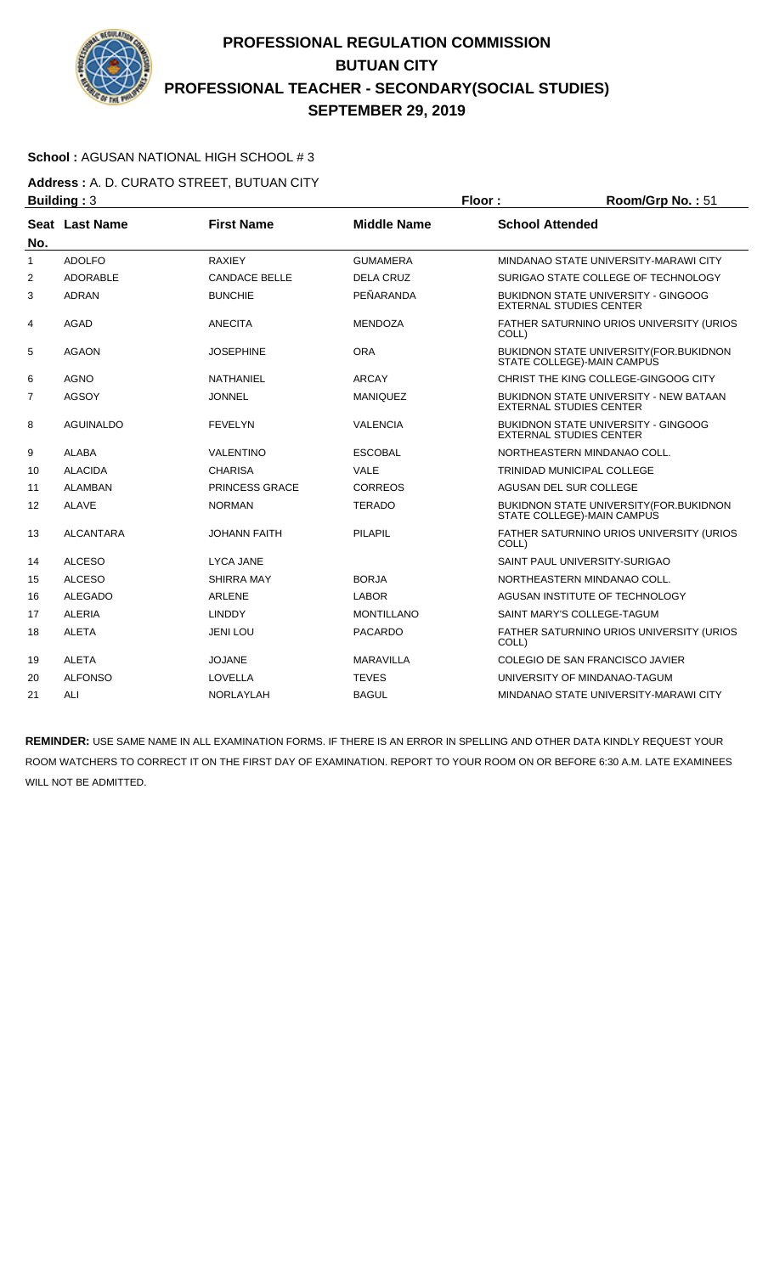

### **School :** AGUSAN NATIONAL HIGH SCHOOL # 3

**Address :** A. D. CURATO STREET, BUTUAN CITY **Building : 3 Floor : Room/Grp No. : 51** 

| No. | Seat Last Name   | <b>First Name</b>    | <b>Middle Name</b> | <b>School Attended</b>                                                          |
|-----|------------------|----------------------|--------------------|---------------------------------------------------------------------------------|
| 1   | <b>ADOLFO</b>    | <b>RAXIEY</b>        | <b>GUMAMERA</b>    | MINDANAO STATE UNIVERSITY-MARAWI CITY                                           |
| 2   | <b>ADORABLE</b>  | <b>CANDACE BELLE</b> | <b>DELA CRUZ</b>   | SURIGAO STATE COLLEGE OF TECHNOLOGY                                             |
| 3   | <b>ADRAN</b>     | <b>BUNCHIE</b>       | PEÑARANDA          | <b>BUKIDNON STATE UNIVERSITY - GINGOOG</b><br><b>EXTERNAL STUDIES CENTER</b>    |
| 4   | <b>AGAD</b>      | <b>ANECITA</b>       | <b>MENDOZA</b>     | FATHER SATURNINO URIOS UNIVERSITY (URIOS<br>COLL)                               |
| 5   | <b>AGAON</b>     | <b>JOSEPHINE</b>     | <b>ORA</b>         | BUKIDNON STATE UNIVERSITY (FOR. BUKIDNON<br>STATE COLLEGE)-MAIN CAMPUS          |
| 6   | <b>AGNO</b>      | <b>NATHANIEL</b>     | <b>ARCAY</b>       | CHRIST THE KING COLLEGE-GINGOOG CITY                                            |
| 7   | <b>AGSOY</b>     | <b>JONNEL</b>        | <b>MANIQUEZ</b>    | <b>BUKIDNON STATE UNIVERSITY - NEW BATAAN</b><br><b>EXTERNAL STUDIES CENTER</b> |
| 8   | <b>AGUINALDO</b> | <b>FEVELYN</b>       | <b>VALENCIA</b>    | <b>BUKIDNON STATE UNIVERSITY - GINGOOG</b><br><b>EXTERNAL STUDIES CENTER</b>    |
| 9   | <b>ALABA</b>     | <b>VALENTINO</b>     | <b>ESCOBAL</b>     | NORTHEASTERN MINDANAO COLL.                                                     |
| 10  | <b>ALACIDA</b>   | <b>CHARISA</b>       | <b>VALE</b>        | TRINIDAD MUNICIPAL COLLEGE                                                      |
| 11  | <b>ALAMBAN</b>   | PRINCESS GRACE       | <b>CORREOS</b>     | AGUSAN DEL SUR COLLEGE                                                          |
| 12  | <b>ALAVE</b>     | <b>NORMAN</b>        | <b>TERADO</b>      | <b>BUKIDNON STATE UNIVERSITY (FOR. BUKIDNON)</b><br>STATE COLLEGE)-MAIN CAMPUS  |
| 13  | <b>ALCANTARA</b> | <b>JOHANN FAITH</b>  | <b>PILAPIL</b>     | FATHER SATURNINO URIOS UNIVERSITY (URIOS<br>COLL)                               |
| 14  | <b>ALCESO</b>    | <b>LYCA JANE</b>     |                    | SAINT PAUL UNIVERSITY-SURIGAO                                                   |
| 15  | <b>ALCESO</b>    | SHIRRA MAY           | <b>BORJA</b>       | NORTHEASTERN MINDANAO COLL.                                                     |
| 16  | <b>ALEGADO</b>   | <b>ARLENE</b>        | <b>LABOR</b>       | AGUSAN INSTITUTE OF TECHNOLOGY                                                  |
| 17  | <b>ALERIA</b>    | <b>LINDDY</b>        | <b>MONTILLANO</b>  | SAINT MARY'S COLLEGE-TAGUM                                                      |
| 18  | <b>ALETA</b>     | <b>JENI LOU</b>      | <b>PACARDO</b>     | FATHER SATURNINO URIOS UNIVERSITY (URIOS<br>COLL)                               |
| 19  | <b>ALETA</b>     | <b>JOJANE</b>        | <b>MARAVILLA</b>   | COLEGIO DE SAN FRANCISCO JAVIER                                                 |
| 20  | <b>ALFONSO</b>   | <b>LOVELLA</b>       | <b>TEVES</b>       | UNIVERSITY OF MINDANAO-TAGUM                                                    |
| 21  | ALI              | NORLAYLAH            | <b>BAGUL</b>       | MINDANAO STATE UNIVERSITY-MARAWI CITY                                           |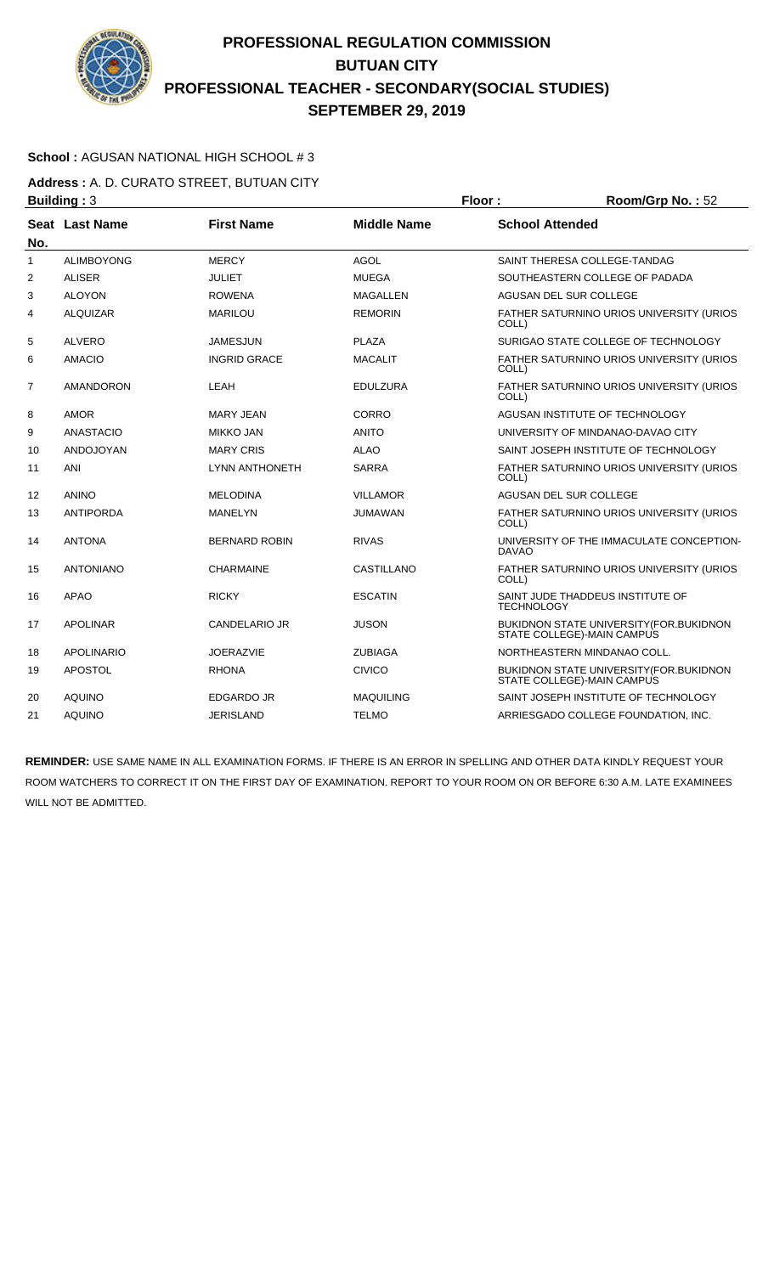

### **School :** AGUSAN NATIONAL HIGH SCHOOL # 3

**Address :** A. D. CURATO STREET, BUTUAN CITY **Building : 3 Floor : 8 <b>Floor : 8 Floor : 8 <b>Floor** : 8 **Room/Grp No. : 52** 

| No.            | Seat Last Name    | <b>First Name</b>     | <b>Middle Name</b> | <b>School Attended</b>                                                 |
|----------------|-------------------|-----------------------|--------------------|------------------------------------------------------------------------|
| $\mathbf{1}$   | <b>ALIMBOYONG</b> | <b>MERCY</b>          | AGOL               | SAINT THERESA COLLEGE-TANDAG                                           |
| $\overline{2}$ | <b>ALISER</b>     | <b>JULIET</b>         | <b>MUEGA</b>       | SOUTHEASTERN COLLEGE OF PADADA                                         |
| 3              | <b>ALOYON</b>     | <b>ROWENA</b>         | MAGALLEN           | AGUSAN DEL SUR COLLEGE                                                 |
| 4              | <b>ALQUIZAR</b>   | <b>MARILOU</b>        | <b>REMORIN</b>     | FATHER SATURNINO URIOS UNIVERSITY (URIOS<br>COLL)                      |
| 5              | <b>ALVERO</b>     | <b>JAMESJUN</b>       | <b>PLAZA</b>       | SURIGAO STATE COLLEGE OF TECHNOLOGY                                    |
| 6              | <b>AMACIO</b>     | <b>INGRID GRACE</b>   | <b>MACALIT</b>     | FATHER SATURNINO URIOS UNIVERSITY (URIOS<br>COLL)                      |
| 7              | <b>AMANDORON</b>  | LEAH                  | <b>EDULZURA</b>    | FATHER SATURNINO URIOS UNIVERSITY (URIOS<br>COLL)                      |
| 8              | <b>AMOR</b>       | <b>MARY JEAN</b>      | CORRO              | AGUSAN INSTITUTE OF TECHNOLOGY                                         |
| 9              | <b>ANASTACIO</b>  | <b>MIKKO JAN</b>      | <b>ANITO</b>       | UNIVERSITY OF MINDANAO-DAVAO CITY                                      |
| 10             | ANDOJOYAN         | <b>MARY CRIS</b>      | <b>ALAO</b>        | SAINT JOSEPH INSTITUTE OF TECHNOLOGY                                   |
| 11             | <b>ANI</b>        | <b>LYNN ANTHONETH</b> | <b>SARRA</b>       | FATHER SATURNINO URIOS UNIVERSITY (URIOS<br>COLL)                      |
| 12             | <b>ANINO</b>      | <b>MELODINA</b>       | <b>VILLAMOR</b>    | AGUSAN DEL SUR COLLEGE                                                 |
| 13             | <b>ANTIPORDA</b>  | <b>MANELYN</b>        | <b>JUMAWAN</b>     | FATHER SATURNINO URIOS UNIVERSITY (URIOS<br>COLL)                      |
| 14             | <b>ANTONA</b>     | <b>BERNARD ROBIN</b>  | <b>RIVAS</b>       | UNIVERSITY OF THE IMMACULATE CONCEPTION-<br><b>DAVAO</b>               |
| 15             | <b>ANTONIANO</b>  | <b>CHARMAINE</b>      | <b>CASTILLANO</b>  | FATHER SATURNINO URIOS UNIVERSITY (URIOS<br>COLL)                      |
| 16             | <b>APAO</b>       | <b>RICKY</b>          | <b>ESCATIN</b>     | SAINT JUDE THADDEUS INSTITUTE OF<br><b>TECHNOLOGY</b>                  |
| 17             | <b>APOLINAR</b>   | CANDELARIO JR         | <b>JUSON</b>       | BUKIDNON STATE UNIVERSITY (FOR. BUKIDNON<br>STATE COLLEGE)-MAIN CAMPUS |
| 18             | <b>APOLINARIO</b> | <b>JOERAZVIE</b>      | <b>ZUBIAGA</b>     | NORTHEASTERN MINDANAO COLL.                                            |
| 19             | <b>APOSTOL</b>    | <b>RHONA</b>          | <b>CIVICO</b>      | BUKIDNON STATE UNIVERSITY (FOR. BUKIDNON<br>STATE COLLEGE)-MAIN CAMPUS |
| 20             | <b>AQUINO</b>     | <b>EDGARDO JR</b>     | <b>MAQUILING</b>   | SAINT JOSEPH INSTITUTE OF TECHNOLOGY                                   |
| 21             | <b>AQUINO</b>     | <b>JERISLAND</b>      | <b>TELMO</b>       | ARRIESGADO COLLEGE FOUNDATION, INC.                                    |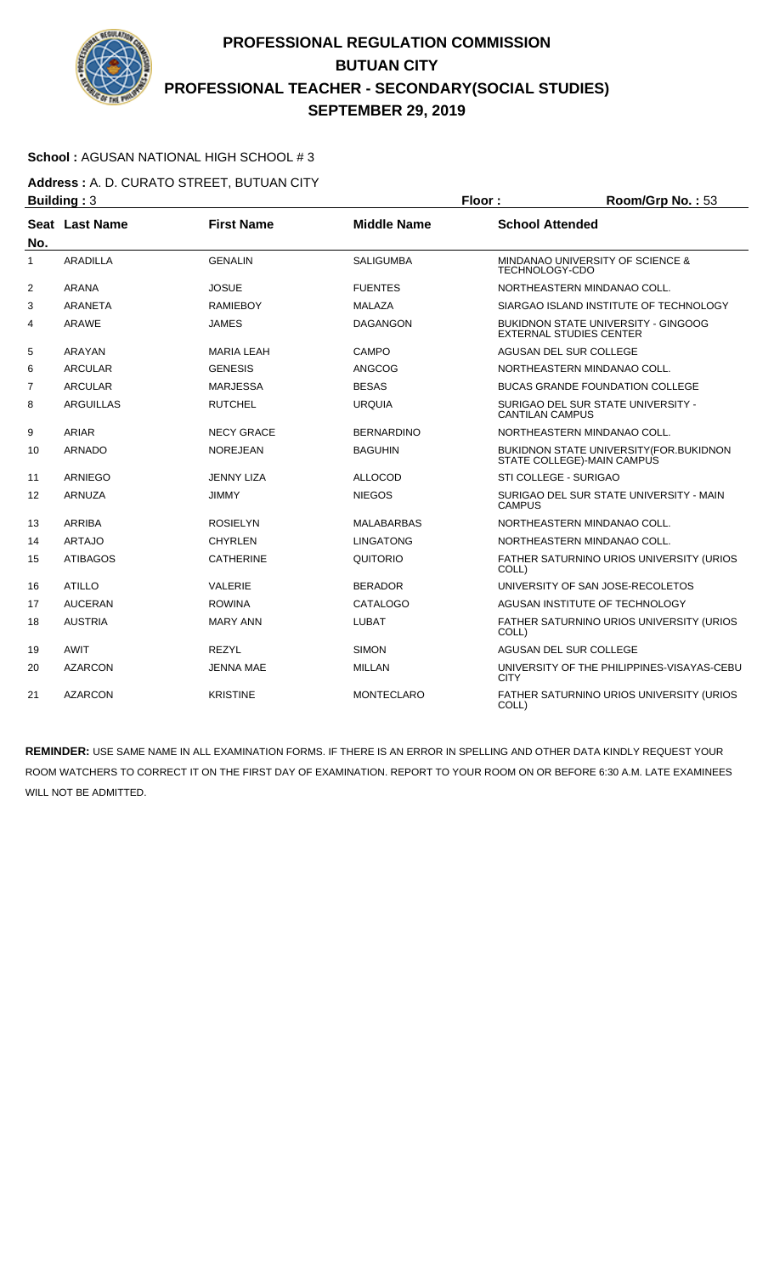

### **School :** AGUSAN NATIONAL HIGH SCHOOL # 3

**Address :** A. D. CURATO STREET, BUTUAN CITY **Building : 3 Floor : Room/Grp No. : 53** 

|                | Seat Last Name   | <b>First Name</b> | <b>Middle Name</b> | <b>School Attended</b>                                                       |
|----------------|------------------|-------------------|--------------------|------------------------------------------------------------------------------|
| No.            |                  |                   |                    |                                                                              |
| 1              | ARADILLA         | <b>GENALIN</b>    | <b>SALIGUMBA</b>   | MINDANAO UNIVERSITY OF SCIENCE &<br>TECHNOLOGY-CDO                           |
| $\overline{2}$ | <b>ARANA</b>     | <b>JOSUE</b>      | <b>FUENTES</b>     | NORTHEASTERN MINDANAO COLL.                                                  |
| 3              | <b>ARANETA</b>   | <b>RAMIEBOY</b>   | MALAZA             | SIARGAO ISLAND INSTITUTE OF TECHNOLOGY                                       |
| 4              | <b>ARAWE</b>     | <b>JAMES</b>      | <b>DAGANGON</b>    | <b>BUKIDNON STATE UNIVERSITY - GINGOOG</b><br><b>EXTERNAL STUDIES CENTER</b> |
| 5              | ARAYAN           | <b>MARIA LEAH</b> | CAMPO              | AGUSAN DEL SUR COLLEGE                                                       |
| 6              | ARCULAR          | <b>GENESIS</b>    | <b>ANGCOG</b>      | NORTHEASTERN MINDANAO COLL.                                                  |
| 7              | <b>ARCULAR</b>   | <b>MARJESSA</b>   | <b>BESAS</b>       | <b>BUCAS GRANDE FOUNDATION COLLEGE</b>                                       |
| 8              | <b>ARGUILLAS</b> | <b>RUTCHEL</b>    | <b>URQUIA</b>      | SURIGAO DEL SUR STATE UNIVERSITY -<br><b>CANTILAN CAMPUS</b>                 |
| 9              | <b>ARIAR</b>     | <b>NECY GRACE</b> | <b>BERNARDINO</b>  | NORTHEASTERN MINDANAO COLL.                                                  |
| 10             | <b>ARNADO</b>    | <b>NOREJEAN</b>   | <b>BAGUHIN</b>     | BUKIDNON STATE UNIVERSITY (FOR. BUKIDNON<br>STATE COLLEGE)-MAIN CAMPUS       |
| 11             | <b>ARNIEGO</b>   | <b>JENNY LIZA</b> | <b>ALLOCOD</b>     | STI COLLEGE - SURIGAO                                                        |
| 12             | ARNUZA           | <b>JIMMY</b>      | <b>NIEGOS</b>      | SURIGAO DEL SUR STATE UNIVERSITY - MAIN<br><b>CAMPUS</b>                     |
| 13             | <b>ARRIBA</b>    | <b>ROSIELYN</b>   | <b>MALABARBAS</b>  | NORTHEASTERN MINDANAO COLL.                                                  |
| 14             | <b>ARTAJO</b>    | <b>CHYRLEN</b>    | <b>LINGATONG</b>   | NORTHEASTERN MINDANAO COLL.                                                  |
| 15             | <b>ATIBAGOS</b>  | <b>CATHERINE</b>  | QUITORIO           | FATHER SATURNINO URIOS UNIVERSITY (URIOS<br>COLL)                            |
| 16             | <b>ATILLO</b>    | <b>VALERIE</b>    | <b>BERADOR</b>     | UNIVERSITY OF SAN JOSE-RECOLETOS                                             |
| 17             | <b>AUCERAN</b>   | <b>ROWINA</b>     | CATALOGO           | AGUSAN INSTITUTE OF TECHNOLOGY                                               |
| 18             | <b>AUSTRIA</b>   | <b>MARY ANN</b>   | <b>LUBAT</b>       | FATHER SATURNINO URIOS UNIVERSITY (URIOS<br>COLL)                            |
| 19             | AWIT             | <b>REZYL</b>      | <b>SIMON</b>       | AGUSAN DEL SUR COLLEGE                                                       |
| 20             | <b>AZARCON</b>   | <b>JENNA MAE</b>  | <b>MILLAN</b>      | UNIVERSITY OF THE PHILIPPINES-VISAYAS-CEBU<br><b>CITY</b>                    |
| 21             | <b>AZARCON</b>   | <b>KRISTINE</b>   | <b>MONTECLARO</b>  | FATHER SATURNINO URIOS UNIVERSITY (URIOS<br>COLL)                            |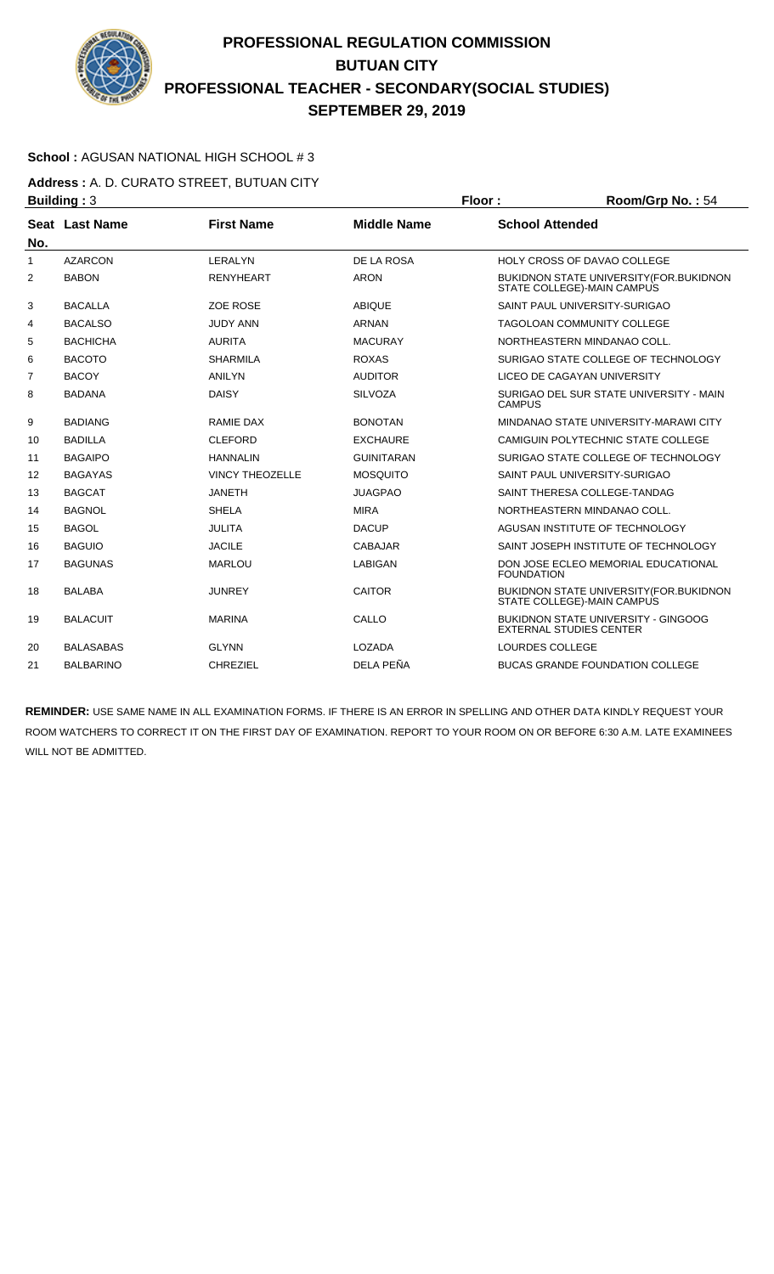

### **School :** AGUSAN NATIONAL HIGH SCHOOL # 3

**Address :** A. D. CURATO STREET, BUTUAN CITY **Building : 3 Floor : Floor : Room/Grp No. : 54** 

| No. | Seat Last Name   | <b>First Name</b>      | <b>Middle Name</b> | <b>School Attended</b>                                                       |
|-----|------------------|------------------------|--------------------|------------------------------------------------------------------------------|
| 1   | <b>AZARCON</b>   | LERALYN                | DE LA ROSA         | <b>HOLY CROSS OF DAVAO COLLEGE</b>                                           |
| 2   | <b>BABON</b>     | <b>RENYHEART</b>       | <b>ARON</b>        | <b>BUKIDNON STATE UNIVERSITY (FOR.BUKIDNON</b><br>STATE COLLEGE)-MAIN CAMPUS |
| 3   | <b>BACALLA</b>   | <b>ZOE ROSE</b>        | <b>ABIOUE</b>      | SAINT PAUL UNIVERSITY-SURIGAO                                                |
| 4   | <b>BACALSO</b>   | <b>JUDY ANN</b>        | ARNAN              | <b>TAGOLOAN COMMUNITY COLLEGE</b>                                            |
| 5   | <b>BACHICHA</b>  | <b>AURITA</b>          | <b>MACURAY</b>     | NORTHEASTERN MINDANAO COLL.                                                  |
| 6   | <b>BACOTO</b>    | <b>SHARMILA</b>        | <b>ROXAS</b>       | SURIGAO STATE COLLEGE OF TECHNOLOGY                                          |
| 7   | <b>BACOY</b>     | <b>ANILYN</b>          | <b>AUDITOR</b>     | LICEO DE CAGAYAN UNIVERSITY                                                  |
| 8   | <b>BADANA</b>    | <b>DAISY</b>           | <b>SILVOZA</b>     | SURIGAO DEL SUR STATE UNIVERSITY - MAIN<br><b>CAMPUS</b>                     |
| 9   | <b>BADIANG</b>   | <b>RAMIE DAX</b>       | <b>BONOTAN</b>     | MINDANAO STATE UNIVERSITY-MARAWI CITY                                        |
| 10  | <b>BADILLA</b>   | <b>CLEFORD</b>         | <b>EXCHAURE</b>    | CAMIGUIN POLYTECHNIC STATE COLLEGE                                           |
| 11  | <b>BAGAIPO</b>   | <b>HANNALIN</b>        | <b>GUINITARAN</b>  | SURIGAO STATE COLLEGE OF TECHNOLOGY                                          |
| 12  | <b>BAGAYAS</b>   | <b>VINCY THEOZELLE</b> | <b>MOSQUITO</b>    | SAINT PAUL UNIVERSITY-SURIGAO                                                |
| 13  | <b>BAGCAT</b>    | <b>JANETH</b>          | <b>JUAGPAO</b>     | SAINT THERESA COLLEGE-TANDAG                                                 |
| 14  | <b>BAGNOL</b>    | <b>SHELA</b>           | <b>MIRA</b>        | NORTHEASTERN MINDANAO COLL.                                                  |
| 15  | <b>BAGOL</b>     | <b>JULITA</b>          | <b>DACUP</b>       | AGUSAN INSTITUTE OF TECHNOLOGY                                               |
| 16  | <b>BAGUIO</b>    | <b>JACILE</b>          | <b>CABAJAR</b>     | SAINT JOSEPH INSTITUTE OF TECHNOLOGY                                         |
| 17  | <b>BAGUNAS</b>   | <b>MARLOU</b>          | <b>LABIGAN</b>     | DON JOSE ECLEO MEMORIAL EDUCATIONAL<br><b>FOUNDATION</b>                     |
| 18  | <b>BALABA</b>    | <b>JUNREY</b>          | <b>CAITOR</b>      | <b>BUKIDNON STATE UNIVERSITY (FOR.BUKIDNON</b><br>STATE COLLEGE)-MAIN CAMPUS |
| 19  | <b>BALACUIT</b>  | <b>MARINA</b>          | CALLO              | BUKIDNON STATE UNIVERSITY - GINGOOG<br><b>EXTERNAL STUDIES CENTER</b>        |
| 20  | <b>BALASABAS</b> | <b>GLYNN</b>           | LOZADA             | LOURDES COLLEGE                                                              |
| 21  | <b>BALBARINO</b> | <b>CHREZIEL</b>        | DELA PEÑA          | <b>BUCAS GRANDE FOUNDATION COLLEGE</b>                                       |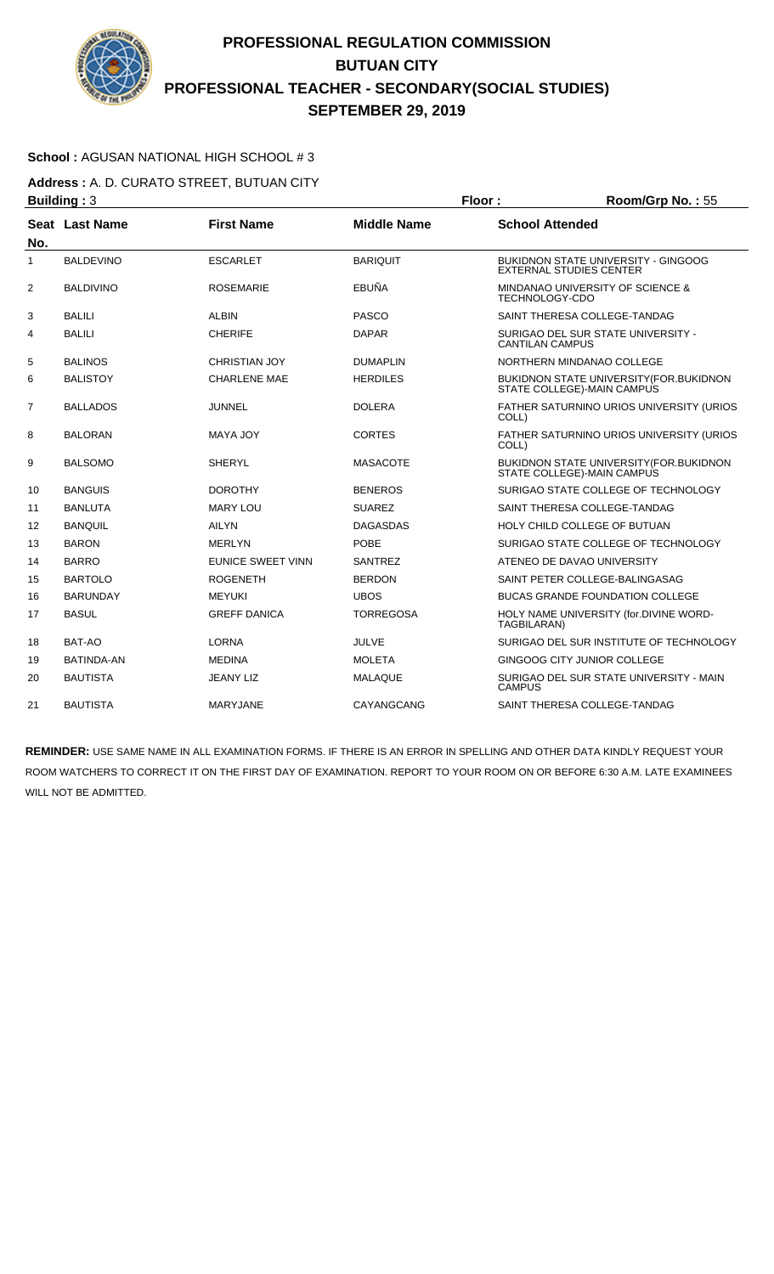

### **School :** AGUSAN NATIONAL HIGH SCHOOL # 3

**Address :** A. D. CURATO STREET, BUTUAN CITY **Building : 3 Floor : Room/Grp No. : 55** 

| No.            | Seat Last Name    | <b>First Name</b>        | <b>Middle Name</b> | <b>School Attended</b>                                                         |
|----------------|-------------------|--------------------------|--------------------|--------------------------------------------------------------------------------|
| 1              | <b>BALDEVINO</b>  | <b>ESCARLET</b>          | <b>BARIQUIT</b>    | <b>BUKIDNON STATE UNIVERSITY - GINGOOG</b><br><b>EXTERNAL STUDIES CENTER</b>   |
| $\overline{2}$ | <b>BALDIVINO</b>  | <b>ROSEMARIE</b>         | EBUÑA              | MINDANAO UNIVERSITY OF SCIENCE &<br><b>TECHNOLOGY-CDO</b>                      |
| 3              | <b>BALILI</b>     | <b>ALBIN</b>             | <b>PASCO</b>       | SAINT THERESA COLLEGE-TANDAG                                                   |
| 4              | <b>BALILI</b>     | <b>CHERIFE</b>           | <b>DAPAR</b>       | SURIGAO DEL SUR STATE UNIVERSITY -<br><b>CANTILAN CAMPUS</b>                   |
| 5              | <b>BALINOS</b>    | <b>CHRISTIAN JOY</b>     | <b>DUMAPLIN</b>    | NORTHERN MINDANAO COLLEGE                                                      |
| 6              | <b>BALISTOY</b>   | <b>CHARLENE MAE</b>      | <b>HERDILES</b>    | <b>BUKIDNON STATE UNIVERSITY (FOR. BUKIDNON)</b><br>STATE COLLEGE)-MAIN CAMPUS |
| 7              | <b>BALLADOS</b>   | JUNNEL                   | <b>DOLERA</b>      | FATHER SATURNINO URIOS UNIVERSITY (URIOS<br>COLL)                              |
| 8              | <b>BALORAN</b>    | <b>MAYA JOY</b>          | <b>CORTES</b>      | FATHER SATURNINO URIOS UNIVERSITY (URIOS<br>COLL)                              |
| 9              | <b>BALSOMO</b>    | <b>SHERYL</b>            | <b>MASACOTE</b>    | BUKIDNON STATE UNIVERSITY (FOR. BUKIDNON<br>STATE COLLEGE)-MAIN CAMPUS         |
| 10             | <b>BANGUIS</b>    | <b>DOROTHY</b>           | <b>BENEROS</b>     | SURIGAO STATE COLLEGE OF TECHNOLOGY                                            |
| 11             | <b>BANLUTA</b>    | <b>MARY LOU</b>          | <b>SUAREZ</b>      | SAINT THERESA COLLEGE-TANDAG                                                   |
| 12             | <b>BANQUIL</b>    | <b>AILYN</b>             | <b>DAGASDAS</b>    | HOLY CHILD COLLEGE OF BUTUAN                                                   |
| 13             | <b>BARON</b>      | <b>MERLYN</b>            | <b>POBE</b>        | SURIGAO STATE COLLEGE OF TECHNOLOGY                                            |
| 14             | <b>BARRO</b>      | <b>EUNICE SWEET VINN</b> | <b>SANTREZ</b>     | ATENEO DE DAVAO UNIVERSITY                                                     |
| 15             | <b>BARTOLO</b>    | <b>ROGENETH</b>          | <b>BERDON</b>      | SAINT PETER COLLEGE-BALINGASAG                                                 |
| 16             | <b>BARUNDAY</b>   | <b>MEYUKI</b>            | <b>UBOS</b>        | <b>BUCAS GRANDE FOUNDATION COLLEGE</b>                                         |
| 17             | <b>BASUL</b>      | <b>GREFF DANICA</b>      | <b>TORREGOSA</b>   | HOLY NAME UNIVERSITY (for.DIVINE WORD-<br>TAGBILARAN)                          |
| 18             | BAT-AO            | <b>LORNA</b>             | <b>JULVE</b>       | SURIGAO DEL SUR INSTITUTE OF TECHNOLOGY                                        |
| 19             | <b>BATINDA-AN</b> | <b>MEDINA</b>            | <b>MOLETA</b>      | <b>GINGOOG CITY JUNIOR COLLEGE</b>                                             |
| 20             | <b>BAUTISTA</b>   | <b>JEANY LIZ</b>         | <b>MALAQUE</b>     | SURIGAO DEL SUR STATE UNIVERSITY - MAIN<br><b>CAMPUS</b>                       |
| 21             | <b>BAUTISTA</b>   | MARYJANE                 | CAYANGCANG         | SAINT THERESA COLLEGE-TANDAG                                                   |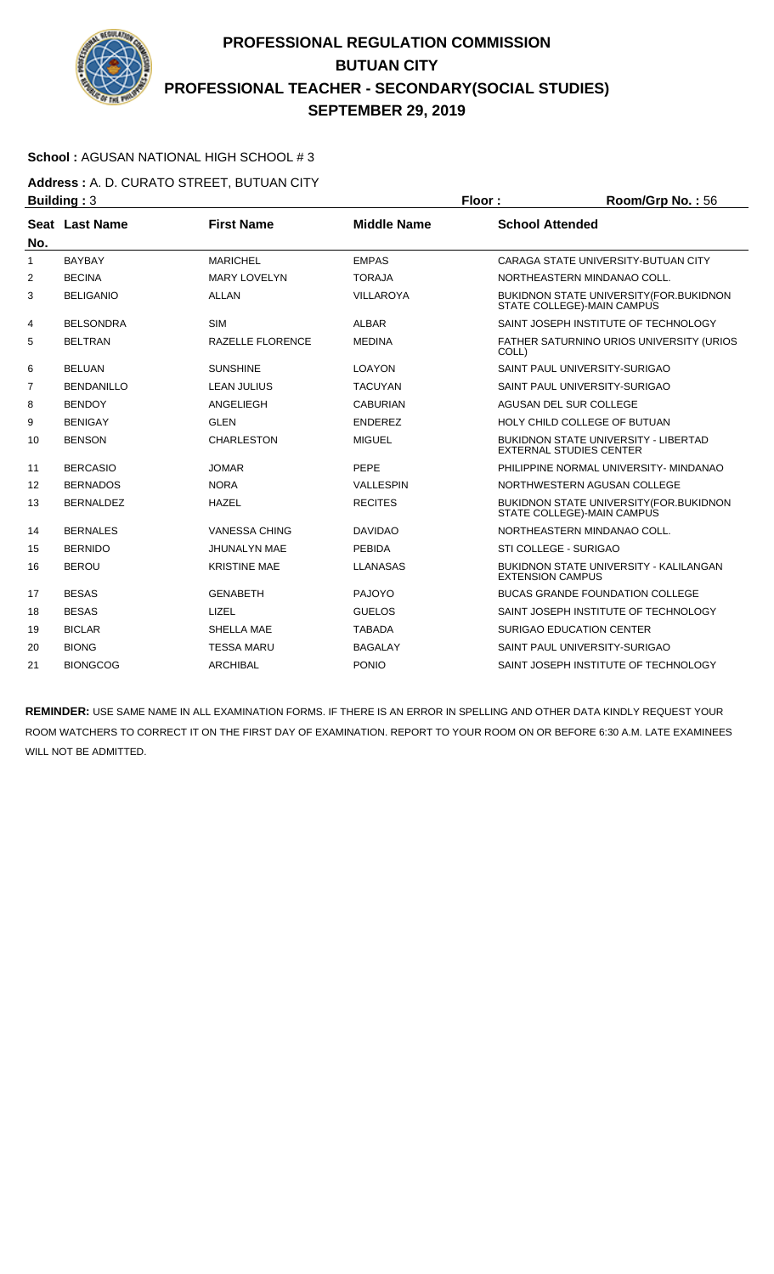

### **School :** AGUSAN NATIONAL HIGH SCHOOL # 3

**Address :** A. D. CURATO STREET, BUTUAN CITY **Building : 3 Floor : Room/Grp No. : 56** 

| No.          | <b>Seat Last Name</b> | <b>First Name</b>       | <b>Middle Name</b> | <b>School Attended</b>                                                         |
|--------------|-----------------------|-------------------------|--------------------|--------------------------------------------------------------------------------|
| $\mathbf{1}$ | <b>BAYBAY</b>         | <b>MARICHEL</b>         | <b>EMPAS</b>       | CARAGA STATE UNIVERSITY-BUTUAN CITY                                            |
| 2            | <b>BECINA</b>         | <b>MARY LOVELYN</b>     | <b>TORAJA</b>      | NORTHEASTERN MINDANAO COLL.                                                    |
| 3            | <b>BELIGANIO</b>      | ALLAN                   | <b>VILLAROYA</b>   | <b>BUKIDNON STATE UNIVERSITY (FOR. BUKIDNON)</b><br>STATE COLLEGE)-MAIN CAMPUS |
| 4            | <b>BELSONDRA</b>      | <b>SIM</b>              | <b>ALBAR</b>       | SAINT JOSEPH INSTITUTE OF TECHNOLOGY                                           |
| 5            | <b>BELTRAN</b>        | <b>RAZELLE FLORENCE</b> | <b>MEDINA</b>      | FATHER SATURNINO URIOS UNIVERSITY (URIOS<br>COLL)                              |
| 6            | <b>BELUAN</b>         | <b>SUNSHINE</b>         | <b>LOAYON</b>      | SAINT PAUL UNIVERSITY-SURIGAO                                                  |
| 7            | <b>BENDANILLO</b>     | <b>LEAN JULIUS</b>      | <b>TACUYAN</b>     | SAINT PAUL UNIVERSITY-SURIGAO                                                  |
| 8            | <b>BENDOY</b>         | ANGELIEGH               | <b>CABURIAN</b>    | AGUSAN DEL SUR COLLEGE                                                         |
| 9            | <b>BENIGAY</b>        | <b>GLEN</b>             | <b>ENDEREZ</b>     | HOLY CHILD COLLEGE OF BUTUAN                                                   |
| 10           | <b>BENSON</b>         | <b>CHARLESTON</b>       | <b>MIGUEL</b>      | <b>BUKIDNON STATE UNIVERSITY - LIBERTAD</b><br><b>EXTERNAL STUDIES CENTER</b>  |
| 11           | <b>BERCASIO</b>       | <b>JOMAR</b>            | PEPE               | PHILIPPINE NORMAL UNIVERSITY- MINDANAO                                         |
| 12           | <b>BERNADOS</b>       | <b>NORA</b>             | <b>VALLESPIN</b>   | NORTHWESTERN AGUSAN COLLEGE                                                    |
| 13           | <b>BERNALDEZ</b>      | <b>HAZEL</b>            | <b>RECITES</b>     | <b>BUKIDNON STATE UNIVERSITY (FOR. BUKIDNON)</b><br>STATE COLLEGE)-MAIN CAMPUS |
| 14           | <b>BERNALES</b>       | <b>VANESSA CHING</b>    | <b>DAVIDAO</b>     | NORTHEASTERN MINDANAO COLL.                                                    |
| 15           | <b>BERNIDO</b>        | <b>JHUNALYN MAE</b>     | <b>PEBIDA</b>      | STI COLLEGE - SURIGAO                                                          |
| 16           | <b>BEROU</b>          | <b>KRISTINE MAE</b>     | <b>LLANASAS</b>    | BUKIDNON STATE UNIVERSITY - KALILANGAN<br><b>EXTENSION CAMPUS</b>              |
| 17           | <b>BESAS</b>          | <b>GENABETH</b>         | <b>PAJOYO</b>      | <b>BUCAS GRANDE FOUNDATION COLLEGE</b>                                         |
| 18           | <b>BESAS</b>          | LIZEL                   | <b>GUELOS</b>      | SAINT JOSEPH INSTITUTE OF TECHNOLOGY                                           |
| 19           | <b>BICLAR</b>         | <b>SHELLA MAE</b>       | <b>TABADA</b>      | <b>SURIGAO EDUCATION CENTER</b>                                                |
| 20           | <b>BIONG</b>          | <b>TESSA MARU</b>       | <b>BAGALAY</b>     | SAINT PAUL UNIVERSITY-SURIGAO                                                  |
| 21           | <b>BIONGCOG</b>       | <b>ARCHIBAL</b>         | <b>PONIO</b>       | SAINT JOSEPH INSTITUTE OF TECHNOLOGY                                           |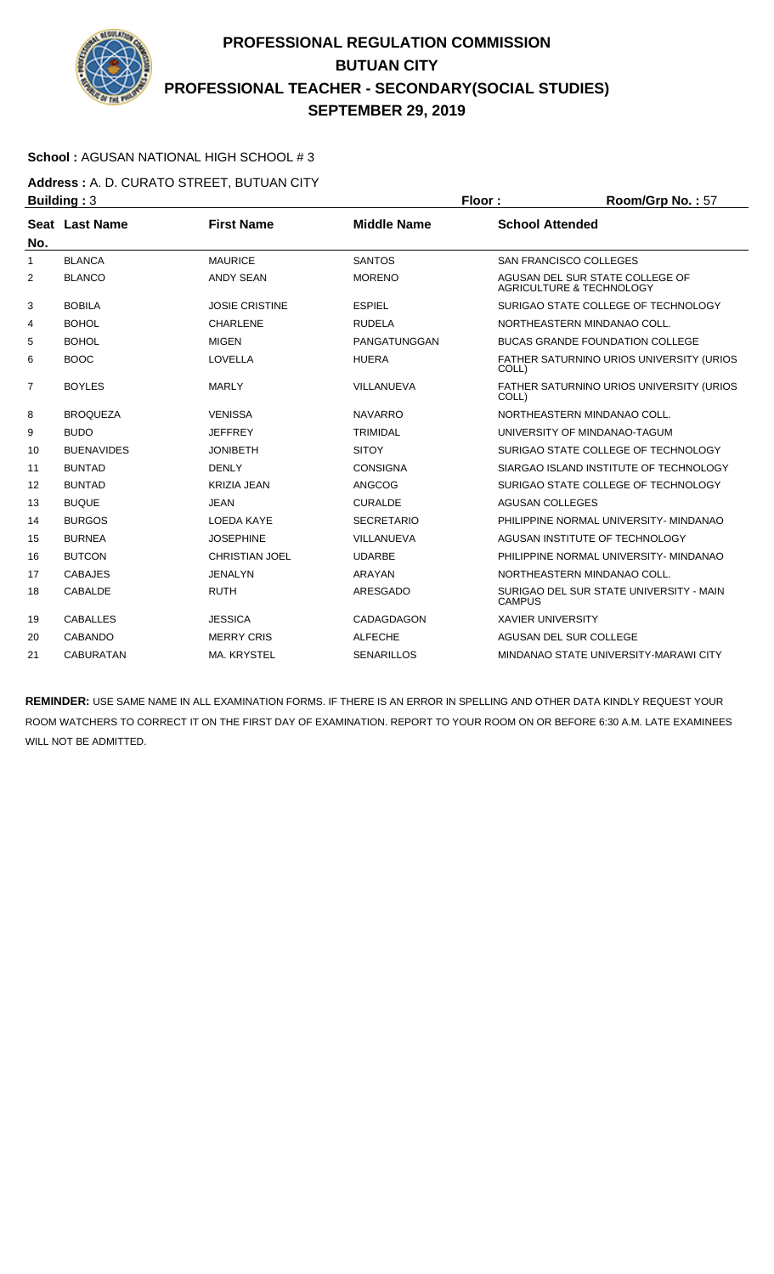

### **School :** AGUSAN NATIONAL HIGH SCHOOL # 3

**Address :** A. D. CURATO STREET, BUTUAN CITY **Building : 3 Floor : Floor : Room/Grp No. : 57** 

| No.            | Seat Last Name    | <b>First Name</b>     | <b>Middle Name</b> | <b>School Attended</b>                                                 |
|----------------|-------------------|-----------------------|--------------------|------------------------------------------------------------------------|
| 1              | <b>BLANCA</b>     | <b>MAURICE</b>        | <b>SANTOS</b>      | <b>SAN FRANCISCO COLLEGES</b>                                          |
| 2              | <b>BLANCO</b>     | <b>ANDY SEAN</b>      | <b>MORENO</b>      | AGUSAN DEL SUR STATE COLLEGE OF<br><b>AGRICULTURE &amp; TECHNOLOGY</b> |
| 3              | <b>BOBILA</b>     | <b>JOSIE CRISTINE</b> | <b>ESPIEL</b>      | SURIGAO STATE COLLEGE OF TECHNOLOGY                                    |
| 4              | <b>BOHOL</b>      | <b>CHARLENE</b>       | <b>RUDELA</b>      | NORTHEASTERN MINDANAO COLL.                                            |
| 5              | <b>BOHOL</b>      | <b>MIGEN</b>          | PANGATUNGGAN       | <b>BUCAS GRANDE FOUNDATION COLLEGE</b>                                 |
| 6              | <b>BOOC</b>       | LOVELLA               | <b>HUERA</b>       | FATHER SATURNINO URIOS UNIVERSITY (URIOS<br>COLL)                      |
| $\overline{7}$ | <b>BOYLES</b>     | <b>MARLY</b>          | VILLANUEVA         | FATHER SATURNINO URIOS UNIVERSITY (URIOS<br>COLL)                      |
| 8              | <b>BROQUEZA</b>   | <b>VENISSA</b>        | <b>NAVARRO</b>     | NORTHEASTERN MINDANAO COLL.                                            |
| 9              | <b>BUDO</b>       | <b>JEFFREY</b>        | <b>TRIMIDAL</b>    | UNIVERSITY OF MINDANAO-TAGUM                                           |
| 10             | <b>BUENAVIDES</b> | <b>JONIBETH</b>       | <b>SITOY</b>       | SURIGAO STATE COLLEGE OF TECHNOLOGY                                    |
| 11             | <b>BUNTAD</b>     | <b>DENLY</b>          | <b>CONSIGNA</b>    | SIARGAO ISLAND INSTITUTE OF TECHNOLOGY                                 |
| 12             | <b>BUNTAD</b>     | <b>KRIZIA JEAN</b>    | <b>ANGCOG</b>      | SURIGAO STATE COLLEGE OF TECHNOLOGY                                    |
| 13             | <b>BUQUE</b>      | <b>JEAN</b>           | <b>CURALDE</b>     | <b>AGUSAN COLLEGES</b>                                                 |
| 14             | <b>BURGOS</b>     | <b>LOEDA KAYE</b>     | <b>SECRETARIO</b>  | PHILIPPINE NORMAL UNIVERSITY- MINDANAO                                 |
| 15             | <b>BURNEA</b>     | <b>JOSEPHINE</b>      | VILLANUEVA         | AGUSAN INSTITUTE OF TECHNOLOGY                                         |
| 16             | <b>BUTCON</b>     | <b>CHRISTIAN JOEL</b> | <b>UDARBE</b>      | PHILIPPINE NORMAL UNIVERSITY- MINDANAO                                 |
| 17             | <b>CABAJES</b>    | <b>JENALYN</b>        | ARAYAN             | NORTHEASTERN MINDANAO COLL.                                            |
| 18             | <b>CABALDE</b>    | <b>RUTH</b>           | ARESGADO           | SURIGAO DEL SUR STATE UNIVERSITY - MAIN<br><b>CAMPUS</b>               |
| 19             | <b>CABALLES</b>   | <b>JESSICA</b>        | CADAGDAGON         | <b>XAVIER UNIVERSITY</b>                                               |
| 20             | CABANDO           | <b>MERRY CRIS</b>     | <b>ALFECHE</b>     | AGUSAN DEL SUR COLLEGE                                                 |
| 21             | <b>CABURATAN</b>  | <b>MA. KRYSTEL</b>    | <b>SENARILLOS</b>  | MINDANAO STATE UNIVERSITY-MARAWI CITY                                  |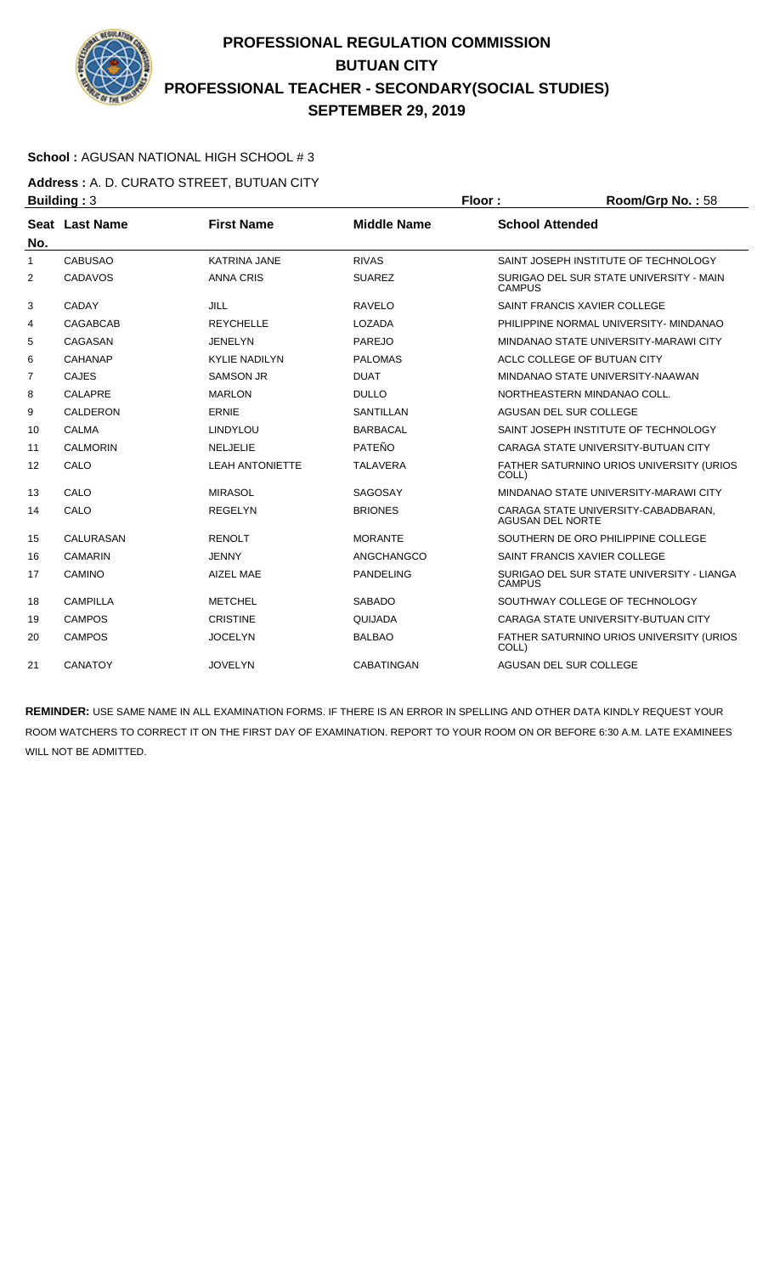

### **School :** AGUSAN NATIONAL HIGH SCHOOL # 3

**Address :** A. D. CURATO STREET, BUTUAN CITY **Building : 3 Floor : Room/Grp No. : 58** 

| No.          | Seat Last Name   | <b>First Name</b>      | <b>Middle Name</b> | <b>School Attended</b>                                         |
|--------------|------------------|------------------------|--------------------|----------------------------------------------------------------|
| $\mathbf{1}$ | <b>CABUSAO</b>   | <b>KATRINA JANE</b>    | <b>RIVAS</b>       | SAINT JOSEPH INSTITUTE OF TECHNOLOGY                           |
| 2            | CADAVOS          | <b>ANNA CRIS</b>       | <b>SUAREZ</b>      | SURIGAO DEL SUR STATE UNIVERSITY - MAIN<br><b>CAMPUS</b>       |
| 3            | <b>CADAY</b>     | JILL                   | <b>RAVELO</b>      | SAINT FRANCIS XAVIER COLLEGE                                   |
| 4            | <b>CAGABCAB</b>  | <b>REYCHELLE</b>       | LOZADA             | PHILIPPINE NORMAL UNIVERSITY- MINDANAO                         |
| 5            | CAGASAN          | <b>JENELYN</b>         | PAREJO             | MINDANAO STATE UNIVERSITY-MARAWI CITY                          |
| 6            | CAHANAP          | <b>KYLIE NADILYN</b>   | <b>PALOMAS</b>     | ACLC COLLEGE OF BUTUAN CITY                                    |
| 7            | CAJES            | <b>SAMSON JR</b>       | <b>DUAT</b>        | MINDANAO STATE UNIVERSITY-NAAWAN                               |
| 8            | CALAPRE          | <b>MARLON</b>          | <b>DULLO</b>       | NORTHEASTERN MINDANAO COLL.                                    |
| 9            | <b>CALDERON</b>  | <b>ERNIE</b>           | <b>SANTILLAN</b>   | AGUSAN DEL SUR COLLEGE                                         |
| 10           | <b>CALMA</b>     | <b>LINDYLOU</b>        | <b>BARBACAL</b>    | SAINT JOSEPH INSTITUTE OF TECHNOLOGY                           |
| 11           | <b>CALMORIN</b>  | <b>NELJELIE</b>        | <b>PATEÑO</b>      | CARAGA STATE UNIVERSITY-BUTUAN CITY                            |
| 12           | CALO             | <b>LEAH ANTONIETTE</b> | <b>TALAVERA</b>    | FATHER SATURNINO URIOS UNIVERSITY (URIOS<br>COLL)              |
| 13           | CALO             | <b>MIRASOL</b>         | <b>SAGOSAY</b>     | MINDANAO STATE UNIVERSITY-MARAWI CITY                          |
| 14           | CALO             | <b>REGELYN</b>         | <b>BRIONES</b>     | CARAGA STATE UNIVERSITY-CABADBARAN.<br><b>AGUSAN DEL NORTE</b> |
| 15           | <b>CALURASAN</b> | <b>RENOLT</b>          | <b>MORANTE</b>     | SOUTHERN DE ORO PHILIPPINE COLLEGE                             |
| 16           | <b>CAMARIN</b>   | <b>JENNY</b>           | ANGCHANGCO         | SAINT FRANCIS XAVIER COLLEGE                                   |
| 17           | <b>CAMINO</b>    | <b>AIZEL MAE</b>       | <b>PANDELING</b>   | SURIGAO DEL SUR STATE UNIVERSITY - LIANGA<br><b>CAMPUS</b>     |
| 18           | <b>CAMPILLA</b>  | <b>METCHEL</b>         | <b>SABADO</b>      | SOUTHWAY COLLEGE OF TECHNOLOGY                                 |
| 19           | <b>CAMPOS</b>    | <b>CRISTINE</b>        | QUIJADA            | CARAGA STATE UNIVERSITY-BUTUAN CITY                            |
| 20           | <b>CAMPOS</b>    | <b>JOCELYN</b>         | <b>BALBAO</b>      | FATHER SATURNINO URIOS UNIVERSITY (URIOS<br>COLL)              |
| 21           | <b>CANATOY</b>   | <b>JOVELYN</b>         | <b>CABATINGAN</b>  | AGUSAN DEL SUR COLLEGE                                         |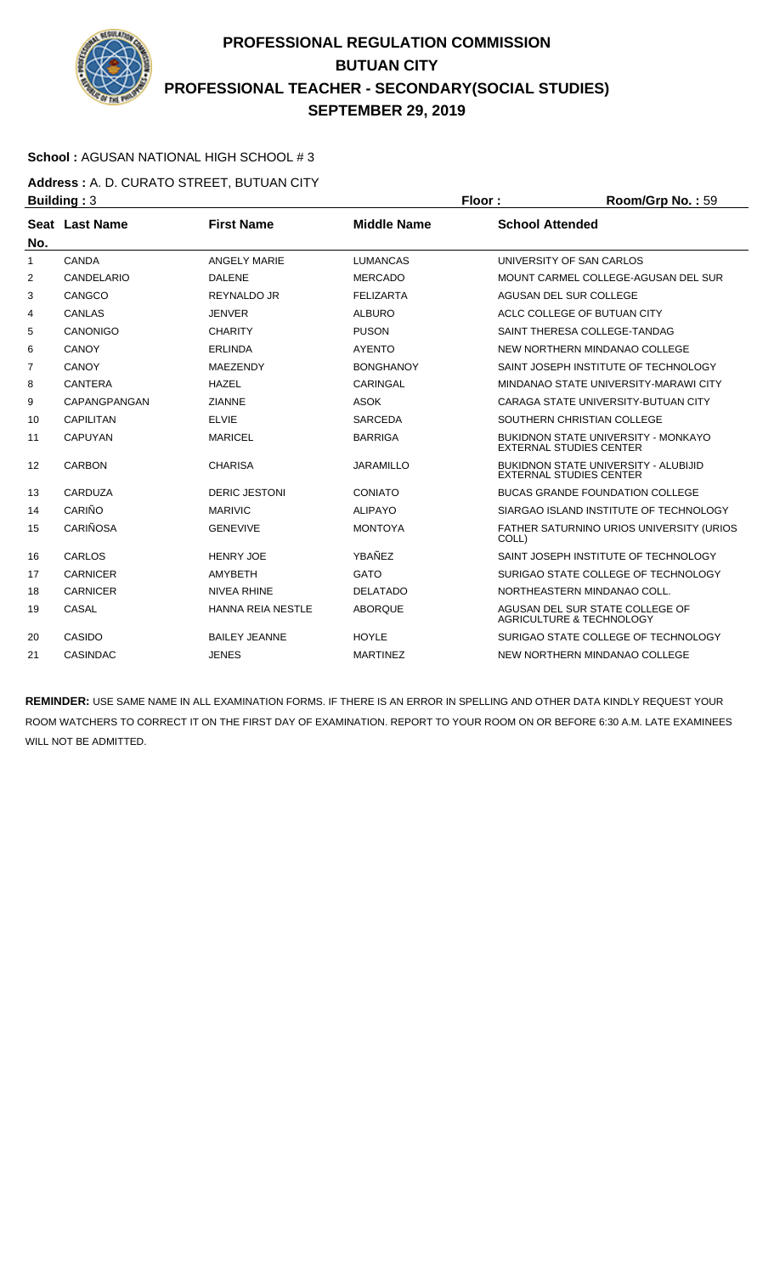

### **School :** AGUSAN NATIONAL HIGH SCHOOL # 3

**Address :** A. D. CURATO STREET, BUTUAN CITY **Building : 3 Floor : 8 <b>Floor : 8 Floor : 8 <b>Floor** : 8 **Room/Grp No. : 59** 

| No.            | Seat Last Name  | <b>First Name</b>        | <b>Middle Name</b> | <b>School Attended</b>                                                        |
|----------------|-----------------|--------------------------|--------------------|-------------------------------------------------------------------------------|
| 1              | <b>CANDA</b>    | <b>ANGELY MARIE</b>      | <b>LUMANCAS</b>    | UNIVERSITY OF SAN CARLOS                                                      |
| 2              | CANDELARIO      | <b>DALENE</b>            | <b>MERCADO</b>     | MOUNT CARMEL COLLEGE-AGUSAN DEL SUR                                           |
| 3              | CANGCO          | REYNALDO JR              | <b>FELIZARTA</b>   | AGUSAN DEL SUR COLLEGE                                                        |
| 4              | <b>CANLAS</b>   | <b>JENVER</b>            | <b>ALBURO</b>      | ACLC COLLEGE OF BUTUAN CITY                                                   |
| 5              | <b>CANONIGO</b> | <b>CHARITY</b>           | <b>PUSON</b>       | SAINT THERESA COLLEGE-TANDAG                                                  |
| 6              | CANOY           | <b>ERLINDA</b>           | <b>AYENTO</b>      | NEW NORTHERN MINDANAO COLLEGE                                                 |
| $\overline{7}$ | CANOY           | MAEZENDY                 | <b>BONGHANOY</b>   | SAINT JOSEPH INSTITUTE OF TECHNOLOGY                                          |
| 8              | <b>CANTERA</b>  | <b>HAZEL</b>             | <b>CARINGAL</b>    | MINDANAO STATE UNIVERSITY-MARAWI CITY                                         |
| 9              | CAPANGPANGAN    | <b>ZIANNE</b>            | <b>ASOK</b>        | CARAGA STATE UNIVERSITY-BUTUAN CITY                                           |
| 10             | CAPILITAN       | <b>ELVIE</b>             | <b>SARCEDA</b>     | SOUTHERN CHRISTIAN COLLEGE                                                    |
| 11             | <b>CAPUYAN</b>  | <b>MARICEL</b>           | <b>BARRIGA</b>     | <b>BUKIDNON STATE UNIVERSITY - MONKAYO</b><br><b>EXTERNAL STUDIES CENTER</b>  |
| 12             | <b>CARBON</b>   | <b>CHARISA</b>           | <b>JARAMILLO</b>   | <b>BUKIDNON STATE UNIVERSITY - ALUBIJID</b><br><b>EXTERNAL STUDIES CENTER</b> |
| 13             | CARDUZA         | <b>DERIC JESTONI</b>     | CONIATO            | <b>BUCAS GRANDE FOUNDATION COLLEGE</b>                                        |
| 14             | CARIÑO          | <b>MARIVIC</b>           | <b>ALIPAYO</b>     | SIARGAO ISLAND INSTITUTE OF TECHNOLOGY                                        |
| 15             | <b>CARIÑOSA</b> | <b>GENEVIVE</b>          | <b>MONTOYA</b>     | FATHER SATURNINO URIOS UNIVERSITY (URIOS<br>COLL)                             |
| 16             | CARLOS          | <b>HENRY JOE</b>         | YBAÑEZ             | SAINT JOSEPH INSTITUTE OF TECHNOLOGY                                          |
| 17             | <b>CARNICER</b> | <b>AMYBETH</b>           | <b>GATO</b>        | SURIGAO STATE COLLEGE OF TECHNOLOGY                                           |
| 18             | <b>CARNICER</b> | <b>NIVEA RHINE</b>       | <b>DELATADO</b>    | NORTHEASTERN MINDANAO COLL.                                                   |
| 19             | CASAL           | <b>HANNA REIA NESTLE</b> | <b>ABORQUE</b>     | AGUSAN DEL SUR STATE COLLEGE OF<br>AGRICULTURE & TECHNOLOGY                   |
| 20             | CASIDO          | <b>BAILEY JEANNE</b>     | <b>HOYLE</b>       | SURIGAO STATE COLLEGE OF TECHNOLOGY                                           |
| 21             | <b>CASINDAC</b> | <b>JENES</b>             | <b>MARTINEZ</b>    | NEW NORTHERN MINDANAO COLLEGE                                                 |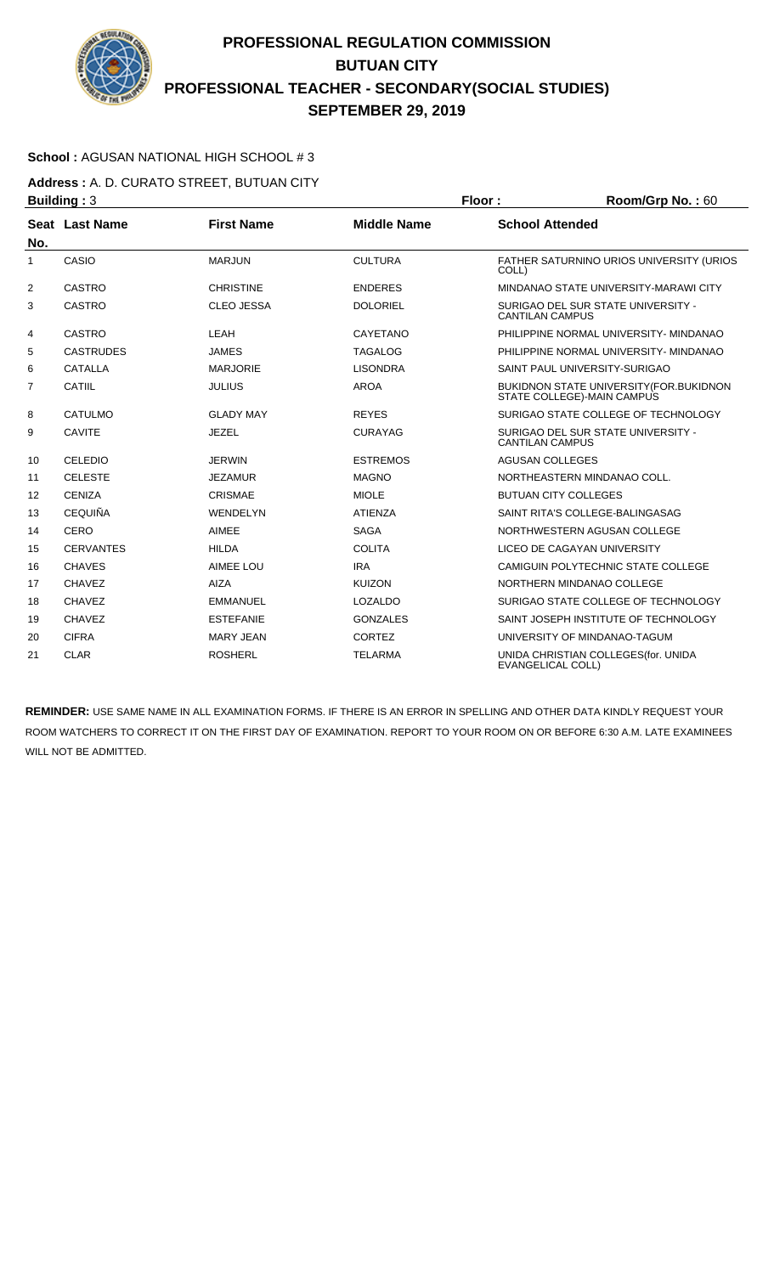

### **School :** AGUSAN NATIONAL HIGH SCHOOL # 3

**Address :** A. D. CURATO STREET, BUTUAN CITY **Building : 3 Floor : Room/Grp No. : 60** 

| No.            | Seat Last Name   | <b>First Name</b> | <b>Middle Name</b> | <b>School Attended</b>                                                        |
|----------------|------------------|-------------------|--------------------|-------------------------------------------------------------------------------|
| 1              | CASIO            | <b>MARJUN</b>     | <b>CULTURA</b>     | FATHER SATURNINO URIOS UNIVERSITY (URIOS<br>COLL)                             |
| 2              | <b>CASTRO</b>    | <b>CHRISTINE</b>  | <b>ENDERES</b>     | MINDANAO STATE UNIVERSITY-MARAWI CITY                                         |
| 3              | <b>CASTRO</b>    | <b>CLEO JESSA</b> | <b>DOLORIEL</b>    | SURIGAO DEL SUR STATE UNIVERSITY -<br><b>CANTILAN CAMPUS</b>                  |
| 4              | <b>CASTRO</b>    | LEAH              | CAYETANO           | PHILIPPINE NORMAL UNIVERSITY- MINDANAO                                        |
| 5              | <b>CASTRUDES</b> | <b>JAMES</b>      | <b>TAGALOG</b>     | PHILIPPINE NORMAL UNIVERSITY- MINDANAO                                        |
| 6              | <b>CATALLA</b>   | <b>MARJORIE</b>   | <b>LISONDRA</b>    | SAINT PAUL UNIVERSITY-SURIGAO                                                 |
| $\overline{7}$ | CATIIL           | <b>JULIUS</b>     | <b>AROA</b>        | <b>BUKIDNON STATE UNIVERSITY (FOR. BUKIDNON</b><br>STATE COLLEGE)-MAIN CAMPUS |
| 8              | CATULMO          | <b>GLADY MAY</b>  | <b>REYES</b>       | SURIGAO STATE COLLEGE OF TECHNOLOGY                                           |
| 9              | <b>CAVITE</b>    | <b>JEZEL</b>      | <b>CURAYAG</b>     | SURIGAO DEL SUR STATE UNIVERSITY -<br><b>CANTILAN CAMPUS</b>                  |
| 10             | <b>CELEDIO</b>   | <b>JERWIN</b>     | <b>ESTREMOS</b>    | AGUSAN COLLEGES                                                               |
| 11             | <b>CELESTE</b>   | <b>JEZAMUR</b>    | <b>MAGNO</b>       | NORTHEASTERN MINDANAO COLL.                                                   |
| 12             | <b>CENIZA</b>    | CRISMAE           | <b>MIOLE</b>       | <b>BUTUAN CITY COLLEGES</b>                                                   |
| 13             | <b>CEQUIÑA</b>   | <b>WENDELYN</b>   | <b>ATIENZA</b>     | SAINT RITA'S COLLEGE-BALINGASAG                                               |
| 14             | <b>CERO</b>      | <b>AIMEE</b>      | <b>SAGA</b>        | NORTHWESTERN AGUSAN COLLEGE                                                   |
| 15             | <b>CERVANTES</b> | <b>HILDA</b>      | <b>COLITA</b>      | LICEO DE CAGAYAN UNIVERSITY                                                   |
| 16             | <b>CHAVES</b>    | AIMEE LOU         | <b>IRA</b>         | CAMIGUIN POLYTECHNIC STATE COLLEGE                                            |
| 17             | <b>CHAVEZ</b>    | <b>AIZA</b>       | <b>KUIZON</b>      | NORTHERN MINDANAO COLLEGE                                                     |
| 18             | <b>CHAVEZ</b>    | <b>EMMANUEL</b>   | <b>LOZALDO</b>     | SURIGAO STATE COLLEGE OF TECHNOLOGY                                           |
| 19             | <b>CHAVEZ</b>    | <b>ESTEFANIE</b>  | <b>GONZALES</b>    | SAINT JOSEPH INSTITUTE OF TECHNOLOGY                                          |
| 20             | <b>CIFRA</b>     | <b>MARY JEAN</b>  | <b>CORTEZ</b>      | UNIVERSITY OF MINDANAO-TAGUM                                                  |
| 21             | <b>CLAR</b>      | <b>ROSHERL</b>    | <b>TELARMA</b>     | UNIDA CHRISTIAN COLLEGES (for. UNIDA<br><b>EVANGELICAL COLL)</b>              |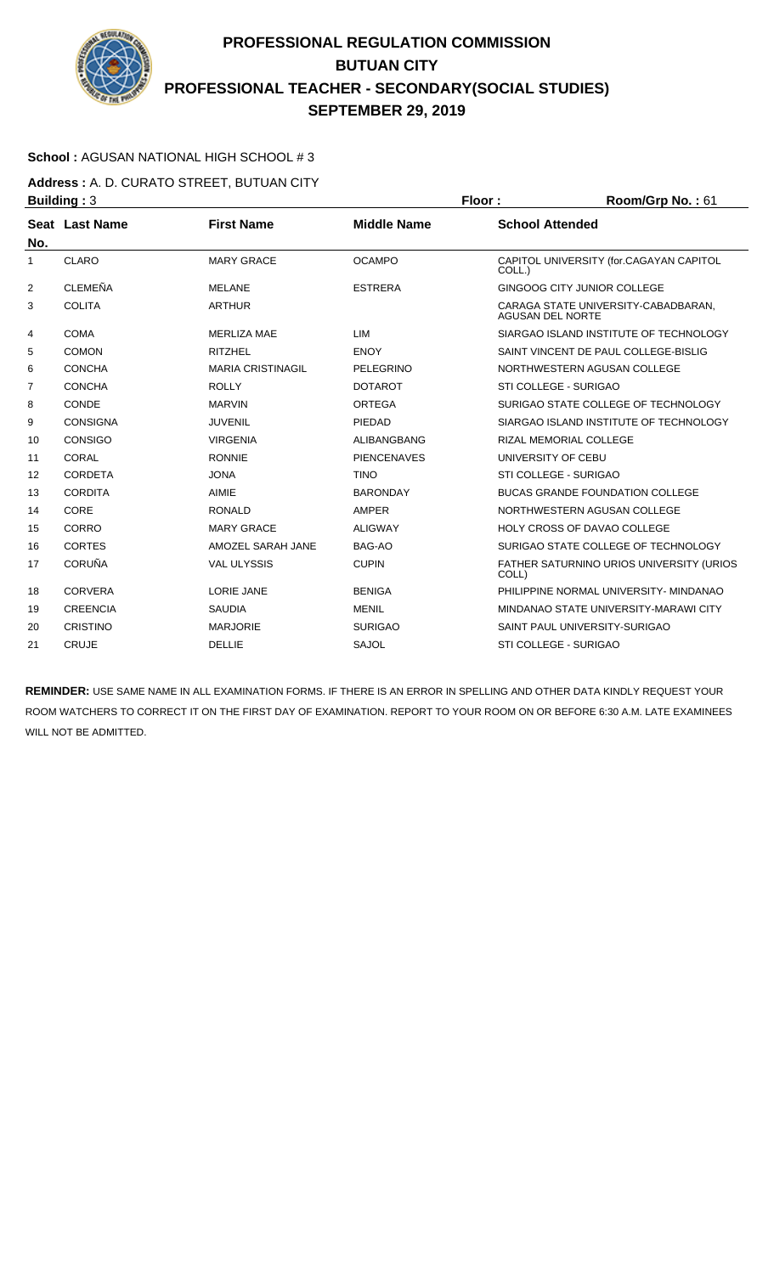

### **School :** AGUSAN NATIONAL HIGH SCHOOL # 3

**Address :** A. D. CURATO STREET, BUTUAN CITY **Building :** 3 **Floor : Room/Grp No. :** 61

| No. | Seat Last Name  | <b>First Name</b>        | <b>Middle Name</b> | <b>School Attended</b>                                         |
|-----|-----------------|--------------------------|--------------------|----------------------------------------------------------------|
| 1   | CLARO           | <b>MARY GRACE</b>        | <b>OCAMPO</b>      | CAPITOL UNIVERSITY (for.CAGAYAN CAPITOL<br>COLL.)              |
| 2   | <b>CLEMEÑA</b>  | <b>MELANE</b>            | <b>ESTRERA</b>     | GINGOOG CITY JUNIOR COLLEGE                                    |
| 3   | <b>COLITA</b>   | <b>ARTHUR</b>            |                    | CARAGA STATE UNIVERSITY-CABADBARAN.<br><b>AGUSAN DEL NORTE</b> |
| 4   | COMA            | <b>MERLIZA MAE</b>       | LIM                | SIARGAO ISLAND INSTITUTE OF TECHNOLOGY                         |
| 5   | <b>COMON</b>    | <b>RITZHEL</b>           | <b>ENOY</b>        | SAINT VINCENT DE PAUL COLLEGE-BISLIG                           |
| 6   | <b>CONCHA</b>   | <b>MARIA CRISTINAGIL</b> | <b>PELEGRINO</b>   | NORTHWESTERN AGUSAN COLLEGE                                    |
| 7   | <b>CONCHA</b>   | <b>ROLLY</b>             | <b>DOTAROT</b>     | STI COLLEGE - SURIGAO                                          |
| 8   | CONDE           | <b>MARVIN</b>            | ORTEGA             | SURIGAO STATE COLLEGE OF TECHNOLOGY                            |
| 9   | <b>CONSIGNA</b> | <b>JUVENIL</b>           | PIEDAD             | SIARGAO ISLAND INSTITUTE OF TECHNOLOGY                         |
| 10  | CONSIGO         | <b>VIRGENIA</b>          | ALIBANGBANG        | <b>RIZAL MEMORIAL COLLEGE</b>                                  |
| 11  | CORAL           | <b>RONNIE</b>            | <b>PIENCENAVES</b> | UNIVERSITY OF CEBU                                             |
| 12  | <b>CORDETA</b>  | <b>JONA</b>              | <b>TINO</b>        | STI COLLEGE - SURIGAO                                          |
| 13  | <b>CORDITA</b>  | <b>AIMIE</b>             | <b>BARONDAY</b>    | <b>BUCAS GRANDE FOUNDATION COLLEGE</b>                         |
| 14  | CORE            | <b>RONALD</b>            | AMPER              | NORTHWESTERN AGUSAN COLLEGE                                    |
| 15  | CORRO           | <b>MARY GRACE</b>        | <b>ALIGWAY</b>     | <b>HOLY CROSS OF DAVAO COLLEGE</b>                             |
| 16  | <b>CORTES</b>   | AMOZEL SARAH JANE        | BAG-AO             | SURIGAO STATE COLLEGE OF TECHNOLOGY                            |
| 17  | <b>CORUÑA</b>   | <b>VAL ULYSSIS</b>       | <b>CUPIN</b>       | FATHER SATURNINO URIOS UNIVERSITY (URIOS<br>COLL)              |
| 18  | <b>CORVERA</b>  | LORIE JANE               | <b>BENIGA</b>      | PHILIPPINE NORMAL UNIVERSITY- MINDANAO                         |
| 19  | <b>CREENCIA</b> | <b>SAUDIA</b>            | <b>MENIL</b>       | MINDANAO STATE UNIVERSITY-MARAWI CITY                          |
| 20  | <b>CRISTINO</b> | <b>MARJORIE</b>          | <b>SURIGAO</b>     | SAINT PAUL UNIVERSITY-SURIGAO                                  |
| 21  | <b>CRUJE</b>    | <b>DELLIE</b>            | <b>SAJOL</b>       | STI COLLEGE - SURIGAO                                          |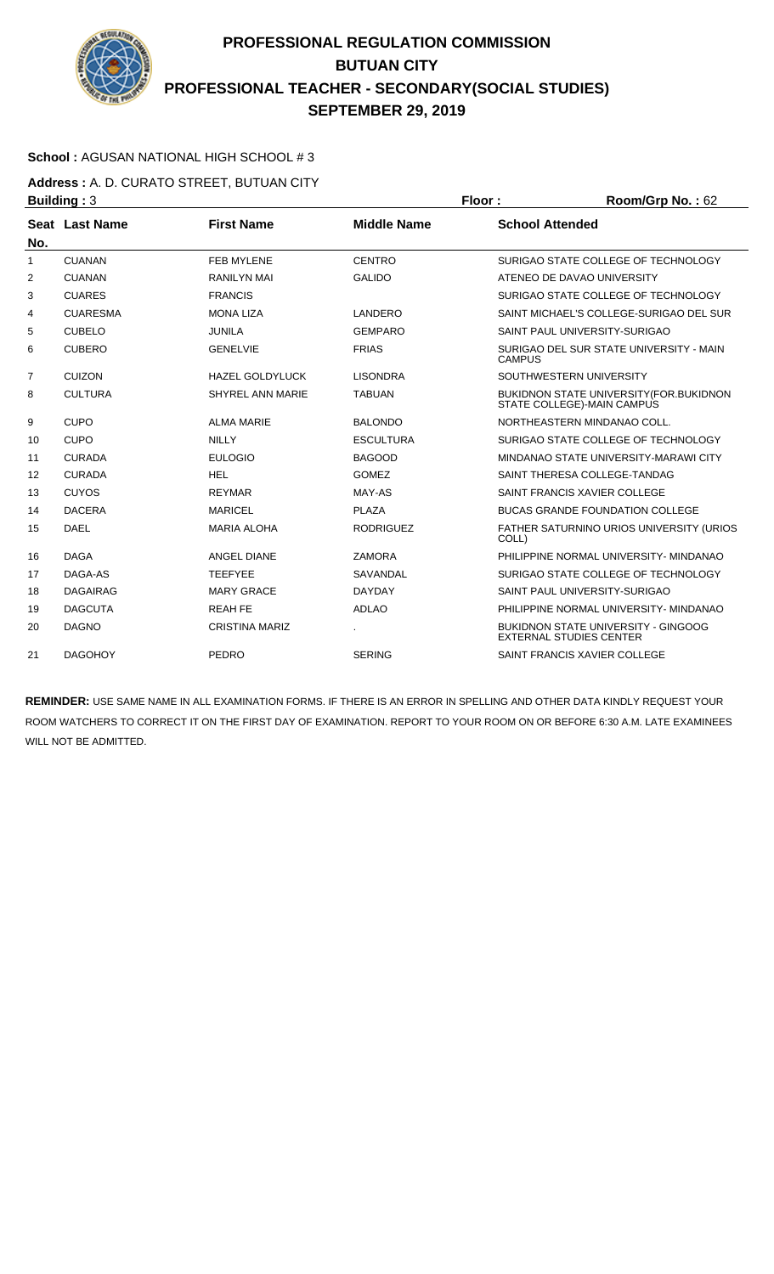

### **School :** AGUSAN NATIONAL HIGH SCHOOL # 3

**Address :** A. D. CURATO STREET, BUTUAN CITY **Building : 3 Floor : Floor : Room/Grp No. : 62** 

|     | , <u>.</u>      |                         |                    |                                                                        |
|-----|-----------------|-------------------------|--------------------|------------------------------------------------------------------------|
| No. | Seat Last Name  | <b>First Name</b>       | <b>Middle Name</b> | <b>School Attended</b>                                                 |
| 1   | <b>CUANAN</b>   | <b>FEB MYLENE</b>       | <b>CENTRO</b>      | SURIGAO STATE COLLEGE OF TECHNOLOGY                                    |
| 2   | <b>CUANAN</b>   | <b>RANILYN MAI</b>      | <b>GALIDO</b>      | ATENEO DE DAVAO UNIVERSITY                                             |
| 3   | <b>CUARES</b>   | <b>FRANCIS</b>          |                    | SURIGAO STATE COLLEGE OF TECHNOLOGY                                    |
| 4   | <b>CUARESMA</b> | <b>MONA LIZA</b>        | LANDERO            | SAINT MICHAEL'S COLLEGE-SURIGAO DEL SUR                                |
| 5   | <b>CUBELO</b>   | <b>JUNILA</b>           | <b>GEMPARO</b>     | SAINT PAUL UNIVERSITY-SURIGAO                                          |
| 6   | <b>CUBERO</b>   | <b>GENELVIE</b>         | <b>FRIAS</b>       | SURIGAO DEL SUR STATE UNIVERSITY - MAIN<br><b>CAMPUS</b>               |
| 7   | <b>CUIZON</b>   | <b>HAZEL GOLDYLUCK</b>  | <b>LISONDRA</b>    | SOUTHWESTERN UNIVERSITY                                                |
| 8   | <b>CULTURA</b>  | <b>SHYREL ANN MARIE</b> | <b>TABUAN</b>      | BUKIDNON STATE UNIVERSITY (FOR. BUKIDNON<br>STATE COLLEGE)-MAIN CAMPUS |
| 9   | <b>CUPO</b>     | <b>ALMA MARIE</b>       | <b>BALONDO</b>     | NORTHEASTERN MINDANAO COLL.                                            |
| 10  | <b>CUPO</b>     | <b>NILLY</b>            | <b>ESCULTURA</b>   | SURIGAO STATE COLLEGE OF TECHNOLOGY                                    |
| 11  | <b>CURADA</b>   | <b>EULOGIO</b>          | <b>BAGOOD</b>      | MINDANAO STATE UNIVERSITY-MARAWI CITY                                  |
| 12  | <b>CURADA</b>   | <b>HEL</b>              | <b>GOMEZ</b>       | SAINT THERESA COLLEGE-TANDAG                                           |
| 13  | <b>CUYOS</b>    | <b>REYMAR</b>           | MAY-AS             | SAINT FRANCIS XAVIER COLLEGE                                           |
| 14  | <b>DACERA</b>   | <b>MARICEL</b>          | <b>PLAZA</b>       | <b>BUCAS GRANDE FOUNDATION COLLEGE</b>                                 |
| 15  | <b>DAEL</b>     | <b>MARIA ALOHA</b>      | <b>RODRIGUEZ</b>   | FATHER SATURNINO URIOS UNIVERSITY (URIOS<br>COLL)                      |
| 16  | <b>DAGA</b>     | <b>ANGEL DIANE</b>      | <b>ZAMORA</b>      | PHILIPPINE NORMAL UNIVERSITY- MINDANAO                                 |
| 17  | DAGA-AS         | <b>TEEFYEE</b>          | <b>SAVANDAL</b>    | SURIGAO STATE COLLEGE OF TECHNOLOGY                                    |
| 18  | <b>DAGAIRAG</b> | <b>MARY GRACE</b>       | <b>DAYDAY</b>      | SAINT PAUL UNIVERSITY-SURIGAO                                          |
| 19  | <b>DAGCUTA</b>  | <b>REAH FE</b>          | <b>ADLAO</b>       | PHILIPPINE NORMAL UNIVERSITY- MINDANAO                                 |
| 20  | <b>DAGNO</b>    | <b>CRISTINA MARIZ</b>   |                    | BUKIDNON STATE UNIVERSITY - GINGOOG<br><b>EXTERNAL STUDIES CENTER</b>  |
| 21  | <b>DAGOHOY</b>  | PEDRO                   | <b>SERING</b>      | SAINT FRANCIS XAVIER COLLEGE                                           |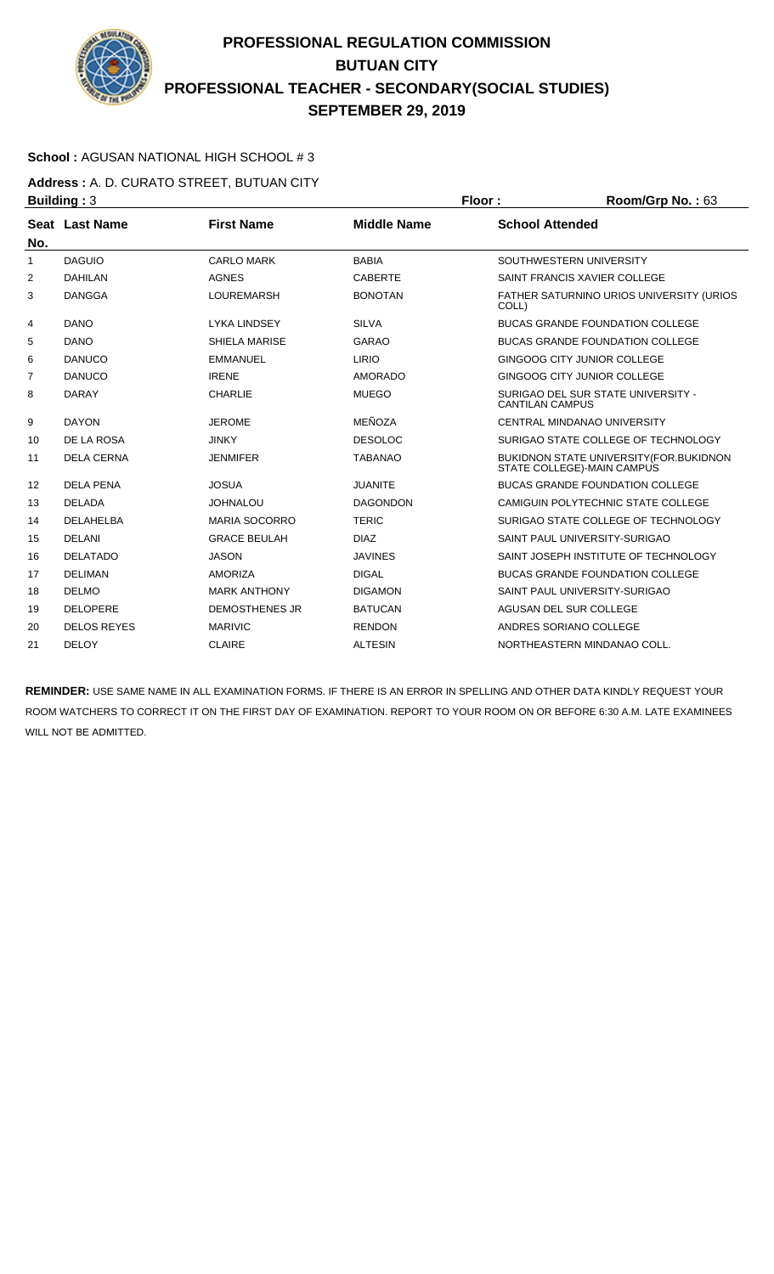

### **School :** AGUSAN NATIONAL HIGH SCHOOL # 3

**Address :** A. D. CURATO STREET, BUTUAN CITY **Building :** 3 **Floor : Room/Grp No. :** 63

| Seat Last Name     | <b>First Name</b>     | <b>Middle Name</b> | <b>School Attended</b>                                                 |
|--------------------|-----------------------|--------------------|------------------------------------------------------------------------|
| <b>DAGUIO</b>      | <b>CARLO MARK</b>     | <b>BABIA</b>       | SOUTHWESTERN UNIVERSITY                                                |
| <b>DAHILAN</b>     | <b>AGNES</b>          | <b>CABERTE</b>     | SAINT FRANCIS XAVIER COLLEGE                                           |
| <b>DANGGA</b>      | <b>LOUREMARSH</b>     | <b>BONOTAN</b>     | <b>FATHER SATURNINO URIOS UNIVERSITY (URIOS)</b><br>COLL)              |
| <b>DANO</b>        | <b>LYKA LINDSEY</b>   | <b>SILVA</b>       | <b>BUCAS GRANDE FOUNDATION COLLEGE</b>                                 |
| <b>DANO</b>        | SHIELA MARISE         | <b>GARAO</b>       | <b>BUCAS GRANDE FOUNDATION COLLEGE</b>                                 |
| <b>DANUCO</b>      | <b>EMMANUEL</b>       | <b>LIRIO</b>       | GINGOOG CITY JUNIOR COLLEGE                                            |
| <b>DANUCO</b>      | <b>IRENE</b>          | <b>AMORADO</b>     | GINGOOG CITY JUNIOR COLLEGE                                            |
| <b>DARAY</b>       | <b>CHARLIE</b>        | <b>MUEGO</b>       | SURIGAO DEL SUR STATE UNIVERSITY -<br><b>CANTILAN CAMPUS</b>           |
| <b>DAYON</b>       | <b>JEROME</b>         | MEÑOZA             | <b>CENTRAL MINDANAO UNIVERSITY</b>                                     |
| DE LA ROSA         | <b>JINKY</b>          | <b>DESOLOC</b>     | SURIGAO STATE COLLEGE OF TECHNOLOGY                                    |
| <b>DELA CERNA</b>  | <b>JENMIFER</b>       | <b>TABANAO</b>     | BUKIDNON STATE UNIVERSITY (FOR. BUKIDNON<br>STATE COLLEGE)-MAIN CAMPUS |
| <b>DELA PENA</b>   | <b>JOSUA</b>          | <b>JUANITE</b>     | <b>BUCAS GRANDE FOUNDATION COLLEGE</b>                                 |
| <b>DELADA</b>      | <b>JOHNALOU</b>       | <b>DAGONDON</b>    | CAMIGUIN POLYTECHNIC STATE COLLEGE                                     |
| <b>DELAHELBA</b>   | <b>MARIA SOCORRO</b>  | <b>TERIC</b>       | SURIGAO STATE COLLEGE OF TECHNOLOGY                                    |
| <b>DELANI</b>      | <b>GRACE BEULAH</b>   | <b>DIAZ</b>        | SAINT PAUL UNIVERSITY-SURIGAO                                          |
| <b>DELATADO</b>    | <b>JASON</b>          | <b>JAVINES</b>     | SAINT JOSEPH INSTITUTE OF TECHNOLOGY                                   |
| <b>DELIMAN</b>     | <b>AMORIZA</b>        | <b>DIGAL</b>       | <b>BUCAS GRANDE FOUNDATION COLLEGE</b>                                 |
| <b>DELMO</b>       | <b>MARK ANTHONY</b>   | <b>DIGAMON</b>     | SAINT PAUL UNIVERSITY-SURIGAO                                          |
| <b>DELOPERE</b>    | <b>DEMOSTHENES JR</b> | <b>BATUCAN</b>     | <b>AGUSAN DEL SUR COLLEGE</b>                                          |
| <b>DELOS REYES</b> | <b>MARIVIC</b>        | <b>RENDON</b>      | ANDRES SORIANO COLLEGE                                                 |
| <b>DELOY</b>       | <b>CLAIRE</b>         | <b>ALTESIN</b>     | NORTHEASTERN MINDANAO COLL.                                            |
|                    |                       |                    |                                                                        |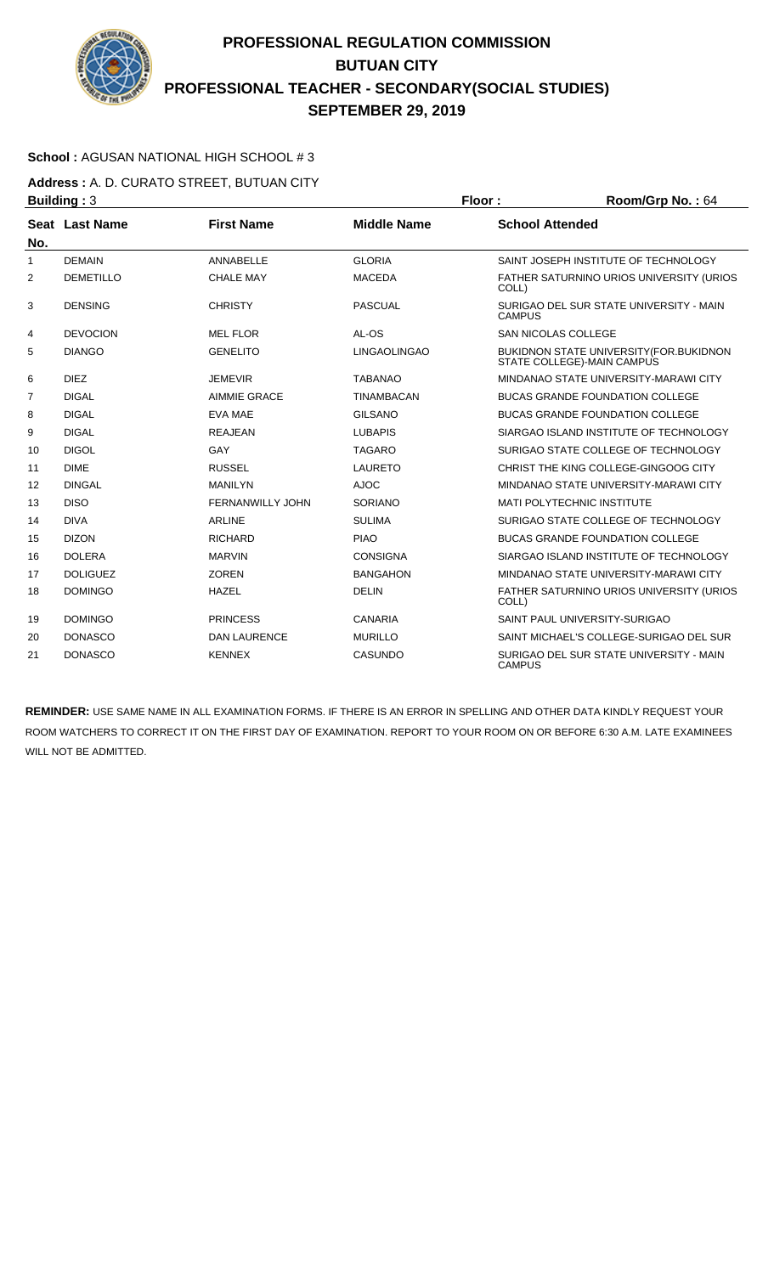

### **School :** AGUSAN NATIONAL HIGH SCHOOL # 3

**Address :** A. D. CURATO STREET, BUTUAN CITY **Building : 3 Floor : Floor : Room/Grp No. : 64** 

| No.            | Seat Last Name   | <b>First Name</b>       | <b>Middle Name</b>  | <b>School Attended</b>                                                       |
|----------------|------------------|-------------------------|---------------------|------------------------------------------------------------------------------|
| $\mathbf{1}$   | <b>DEMAIN</b>    | ANNABELLE               | <b>GLORIA</b>       | SAINT JOSEPH INSTITUTE OF TECHNOLOGY                                         |
| 2              | <b>DEMETILLO</b> | <b>CHALE MAY</b>        | <b>MACEDA</b>       | FATHER SATURNINO URIOS UNIVERSITY (URIOS<br>COLL)                            |
| 3              | <b>DENSING</b>   | <b>CHRISTY</b>          | <b>PASCUAL</b>      | SURIGAO DEL SUR STATE UNIVERSITY - MAIN<br><b>CAMPUS</b>                     |
| 4              | <b>DEVOCION</b>  | <b>MEL FLOR</b>         | AL-OS               | <b>SAN NICOLAS COLLEGE</b>                                                   |
| 5              | <b>DIANGO</b>    | <b>GENELITO</b>         | <b>LINGAOLINGAO</b> | <b>BUKIDNON STATE UNIVERSITY (FOR.BUKIDNON</b><br>STATE COLLEGE)-MAIN CAMPUS |
| 6              | <b>DIEZ</b>      | <b>JEMEVIR</b>          | <b>TABANAO</b>      | MINDANAO STATE UNIVERSITY-MARAWI CITY                                        |
| $\overline{7}$ | <b>DIGAL</b>     | <b>AIMMIE GRACE</b>     | <b>TINAMBACAN</b>   | <b>BUCAS GRANDE FOUNDATION COLLEGE</b>                                       |
| 8              | <b>DIGAL</b>     | EVA MAE                 | <b>GILSANO</b>      | <b>BUCAS GRANDE FOUNDATION COLLEGE</b>                                       |
| 9              | <b>DIGAL</b>     | <b>REAJEAN</b>          | <b>LUBAPIS</b>      | SIARGAO ISLAND INSTITUTE OF TECHNOLOGY                                       |
| 10             | <b>DIGOL</b>     | GAY                     | <b>TAGARO</b>       | SURIGAO STATE COLLEGE OF TECHNOLOGY                                          |
| 11             | <b>DIME</b>      | <b>RUSSEL</b>           | <b>LAURETO</b>      | CHRIST THE KING COLLEGE-GINGOOG CITY                                         |
| 12             | <b>DINGAL</b>    | <b>MANILYN</b>          | <b>AJOC</b>         | MINDANAO STATE UNIVERSITY-MARAWI CITY                                        |
| 13             | <b>DISO</b>      | <b>FERNANWILLY JOHN</b> | <b>SORIANO</b>      | <b>MATI POLYTECHNIC INSTITUTE</b>                                            |
| 14             | <b>DIVA</b>      | <b>ARLINE</b>           | <b>SULIMA</b>       | SURIGAO STATE COLLEGE OF TECHNOLOGY                                          |
| 15             | <b>DIZON</b>     | <b>RICHARD</b>          | <b>PIAO</b>         | <b>BUCAS GRANDE FOUNDATION COLLEGE</b>                                       |
| 16             | <b>DOLERA</b>    | <b>MARVIN</b>           | <b>CONSIGNA</b>     | SIARGAO ISLAND INSTITUTE OF TECHNOLOGY                                       |
| 17             | <b>DOLIGUEZ</b>  | <b>ZOREN</b>            | <b>BANGAHON</b>     | MINDANAO STATE UNIVERSITY-MARAWI CITY                                        |
| 18             | <b>DOMINGO</b>   | <b>HAZEL</b>            | <b>DELIN</b>        | FATHER SATURNINO URIOS UNIVERSITY (URIOS<br>COLL)                            |
| 19             | <b>DOMINGO</b>   | <b>PRINCESS</b>         | CANARIA             | SAINT PAUL UNIVERSITY-SURIGAO                                                |
| 20             | <b>DONASCO</b>   | <b>DAN LAURENCE</b>     | <b>MURILLO</b>      | SAINT MICHAEL'S COLLEGE-SURIGAO DEL SUR                                      |
| 21             | <b>DONASCO</b>   | <b>KENNEX</b>           | <b>CASUNDO</b>      | SURIGAO DEL SUR STATE UNIVERSITY - MAIN<br><b>CAMPUS</b>                     |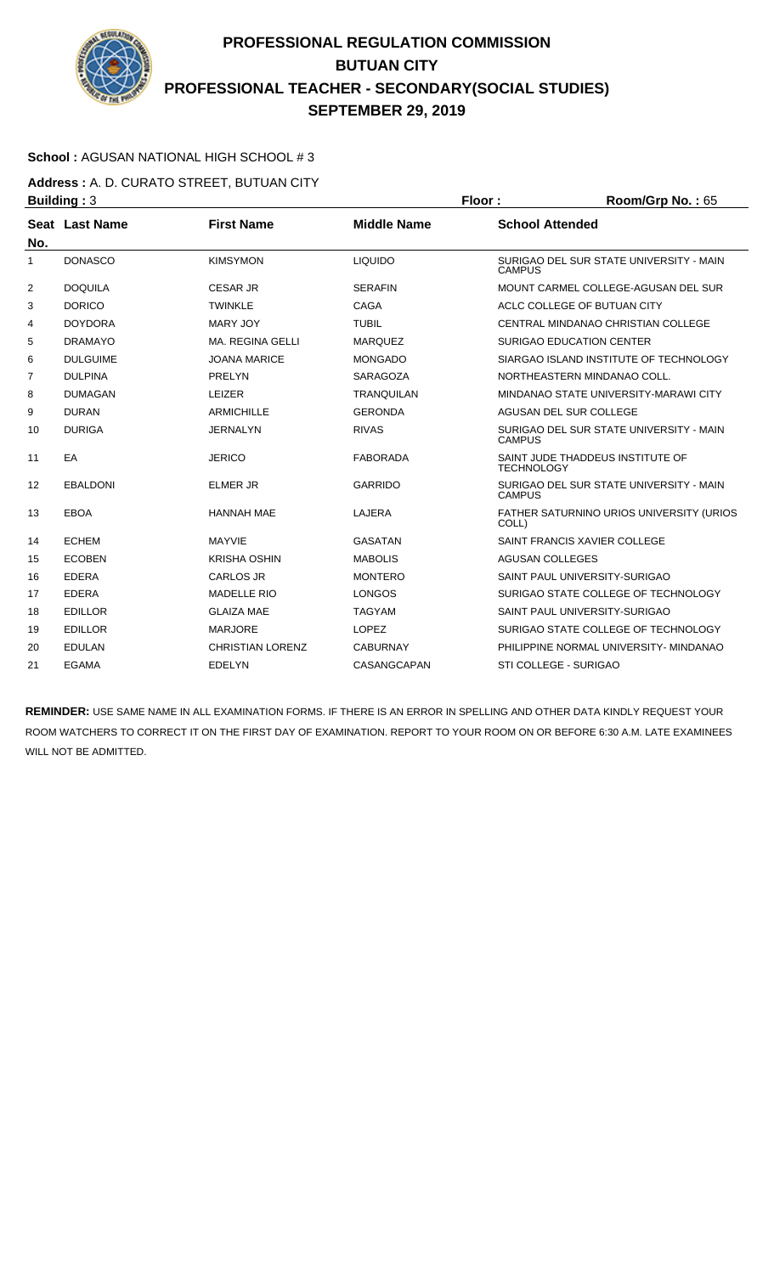

### **School :** AGUSAN NATIONAL HIGH SCHOOL # 3

**Address :** A. D. CURATO STREET, BUTUAN CITY **Building : 3 Floor : Room/Grp No. : 65** 

| No.            | Seat Last Name  | <b>First Name</b>       | <b>Middle Name</b> | <b>School Attended</b>                                   |
|----------------|-----------------|-------------------------|--------------------|----------------------------------------------------------|
| 1              | <b>DONASCO</b>  | <b>KIMSYMON</b>         | <b>LIQUIDO</b>     | SURIGAO DEL SUR STATE UNIVERSITY - MAIN<br><b>CAMPUS</b> |
| $\overline{2}$ | <b>DOQUILA</b>  | <b>CESAR JR</b>         | <b>SERAFIN</b>     | MOUNT CARMEL COLLEGE-AGUSAN DEL SUR                      |
| 3              | <b>DORICO</b>   | <b>TWINKLE</b>          | <b>CAGA</b>        | ACLC COLLEGE OF BUTUAN CITY                              |
| 4              | <b>DOYDORA</b>  | <b>MARY JOY</b>         | <b>TUBIL</b>       | CENTRAL MINDANAO CHRISTIAN COLLEGE                       |
| 5              | <b>DRAMAYO</b>  | <b>MA. REGINA GELLI</b> | <b>MARQUEZ</b>     | <b>SURIGAO EDUCATION CENTER</b>                          |
| 6              | <b>DULGUIME</b> | <b>JOANA MARICE</b>     | <b>MONGADO</b>     | SIARGAO ISLAND INSTITUTE OF TECHNOLOGY                   |
| 7              | <b>DULPINA</b>  | PRELYN                  | <b>SARAGOZA</b>    | NORTHEASTERN MINDANAO COLL.                              |
| 8              | <b>DUMAGAN</b>  | LEIZER                  | <b>TRANQUILAN</b>  | MINDANAO STATE UNIVERSITY-MARAWI CITY                    |
| 9              | <b>DURAN</b>    | <b>ARMICHILLE</b>       | <b>GERONDA</b>     | AGUSAN DEL SUR COLLEGE                                   |
| 10             | <b>DURIGA</b>   | <b>JERNALYN</b>         | <b>RIVAS</b>       | SURIGAO DEL SUR STATE UNIVERSITY - MAIN<br><b>CAMPUS</b> |
| 11             | EA              | <b>JERICO</b>           | <b>FABORADA</b>    | SAINT JUDE THADDEUS INSTITUTE OF<br><b>TECHNOLOGY</b>    |
| 12             | <b>EBALDONI</b> | <b>ELMER JR</b>         | <b>GARRIDO</b>     | SURIGAO DEL SUR STATE UNIVERSITY - MAIN<br><b>CAMPUS</b> |
| 13             | <b>EBOA</b>     | <b>HANNAH MAE</b>       | LAJERA             | FATHER SATURNINO URIOS UNIVERSITY (URIOS<br>COLL)        |
| 14             | <b>ECHEM</b>    | <b>MAYVIE</b>           | <b>GASATAN</b>     | SAINT FRANCIS XAVIER COLLEGE                             |
| 15             | <b>ECOBEN</b>   | <b>KRISHA OSHIN</b>     | <b>MABOLIS</b>     | <b>AGUSAN COLLEGES</b>                                   |
| 16             | <b>EDERA</b>    | <b>CARLOS JR</b>        | <b>MONTERO</b>     | SAINT PAUL UNIVERSITY-SURIGAO                            |
| 17             | <b>EDERA</b>    | <b>MADELLE RIO</b>      | <b>LONGOS</b>      | SURIGAO STATE COLLEGE OF TECHNOLOGY                      |
| 18             | <b>EDILLOR</b>  | <b>GLAIZA MAE</b>       | <b>TAGYAM</b>      | SAINT PAUL UNIVERSITY-SURIGAO                            |
| 19             | <b>EDILLOR</b>  | <b>MARJORE</b>          | <b>LOPEZ</b>       | SURIGAO STATE COLLEGE OF TECHNOLOGY                      |
| 20             | <b>EDULAN</b>   | <b>CHRISTIAN LORENZ</b> | <b>CABURNAY</b>    | PHILIPPINE NORMAL UNIVERSITY- MINDANAO                   |
| 21             | EGAMA           | EDELYN                  | CASANGCAPAN        | STI COLLEGE - SURIGAO                                    |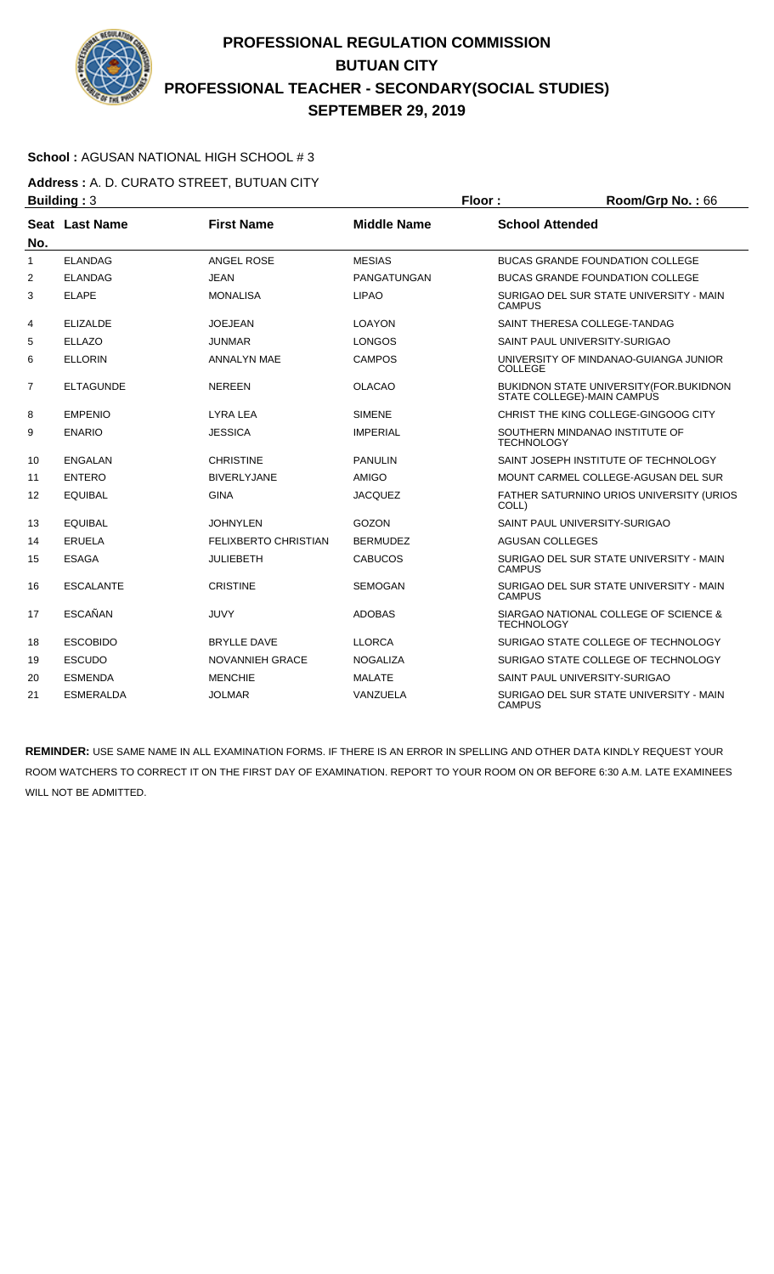

### **School :** AGUSAN NATIONAL HIGH SCHOOL # 3

**Address :** A. D. CURATO STREET, BUTUAN CITY **Building : 3 Floor : Room/Grp No. : 66** 

| No.            | Seat Last Name   | <b>First Name</b>           | <b>Middle Name</b> | <b>School Attended</b>                                                       |
|----------------|------------------|-----------------------------|--------------------|------------------------------------------------------------------------------|
| $\mathbf{1}$   | <b>ELANDAG</b>   | ANGEL ROSE                  | <b>MESIAS</b>      | <b>BUCAS GRANDE FOUNDATION COLLEGE</b>                                       |
| $\overline{2}$ | <b>ELANDAG</b>   | <b>JEAN</b>                 | PANGATUNGAN        | <b>BUCAS GRANDE FOUNDATION COLLEGE</b>                                       |
| 3              | <b>ELAPE</b>     | <b>MONALISA</b>             | <b>LIPAO</b>       | SURIGAO DEL SUR STATE UNIVERSITY - MAIN<br><b>CAMPUS</b>                     |
| 4              | <b>ELIZALDE</b>  | <b>JOEJEAN</b>              | LOAYON             | SAINT THERESA COLLEGE-TANDAG                                                 |
| 5              | <b>ELLAZO</b>    | JUNMAR                      | <b>LONGOS</b>      | SAINT PAUL UNIVERSITY-SURIGAO                                                |
| 6              | <b>ELLORIN</b>   | ANNALYN MAE                 | <b>CAMPOS</b>      | UNIVERSITY OF MINDANAO-GUIANGA JUNIOR<br><b>COLLEGE</b>                      |
| $\overline{7}$ | <b>ELTAGUNDE</b> | <b>NEREEN</b>               | <b>OLACAO</b>      | <b>BUKIDNON STATE UNIVERSITY (FOR.BUKIDNON</b><br>STATE COLLEGE)-MAIN CAMPUS |
| 8              | <b>EMPENIO</b>   | LYRA LEA                    | <b>SIMENE</b>      | CHRIST THE KING COLLEGE-GINGOOG CITY                                         |
| 9              | <b>ENARIO</b>    | <b>JESSICA</b>              | <b>IMPERIAL</b>    | SOUTHERN MINDANAO INSTITUTE OF<br><b>TECHNOLOGY</b>                          |
| 10             | ENGALAN          | <b>CHRISTINE</b>            | <b>PANULIN</b>     | SAINT JOSEPH INSTITUTE OF TECHNOLOGY                                         |
| 11             | <b>ENTERO</b>    | <b>BIVERLYJANE</b>          | <b>AMIGO</b>       | MOUNT CARMEL COLLEGE-AGUSAN DEL SUR                                          |
| 12             | <b>EQUIBAL</b>   | <b>GINA</b>                 | <b>JACQUEZ</b>     | FATHER SATURNINO URIOS UNIVERSITY (URIOS<br>COLL)                            |
| 13             | <b>EQUIBAL</b>   | JOHNYLEN                    | GOZON              | SAINT PAUL UNIVERSITY-SURIGAO                                                |
| 14             | <b>ERUELA</b>    | <b>FELIXBERTO CHRISTIAN</b> | <b>BERMUDEZ</b>    | <b>AGUSAN COLLEGES</b>                                                       |
| 15             | <b>ESAGA</b>     | <b>JULIEBETH</b>            | <b>CABUCOS</b>     | SURIGAO DEL SUR STATE UNIVERSITY - MAIN<br><b>CAMPUS</b>                     |
| 16             | <b>ESCALANTE</b> | <b>CRISTINE</b>             | <b>SEMOGAN</b>     | SURIGAO DEL SUR STATE UNIVERSITY - MAIN<br><b>CAMPUS</b>                     |
| 17             | <b>ESCAÑAN</b>   | JUVY                        | <b>ADOBAS</b>      | SIARGAO NATIONAL COLLEGE OF SCIENCE &<br><b>TECHNOLOGY</b>                   |
| 18             | <b>ESCOBIDO</b>  | <b>BRYLLE DAVE</b>          | <b>LLORCA</b>      | SURIGAO STATE COLLEGE OF TECHNOLOGY                                          |
| 19             | <b>ESCUDO</b>    | <b>NOVANNIEH GRACE</b>      | <b>NOGALIZA</b>    | SURIGAO STATE COLLEGE OF TECHNOLOGY                                          |
| 20             | <b>ESMENDA</b>   | <b>MENCHIE</b>              | <b>MALATE</b>      | SAINT PAUL UNIVERSITY-SURIGAO                                                |
| 21             | <b>ESMERALDA</b> | <b>JOLMAR</b>               | VANZUELA           | SURIGAO DEL SUR STATE UNIVERSITY - MAIN<br><b>CAMPUS</b>                     |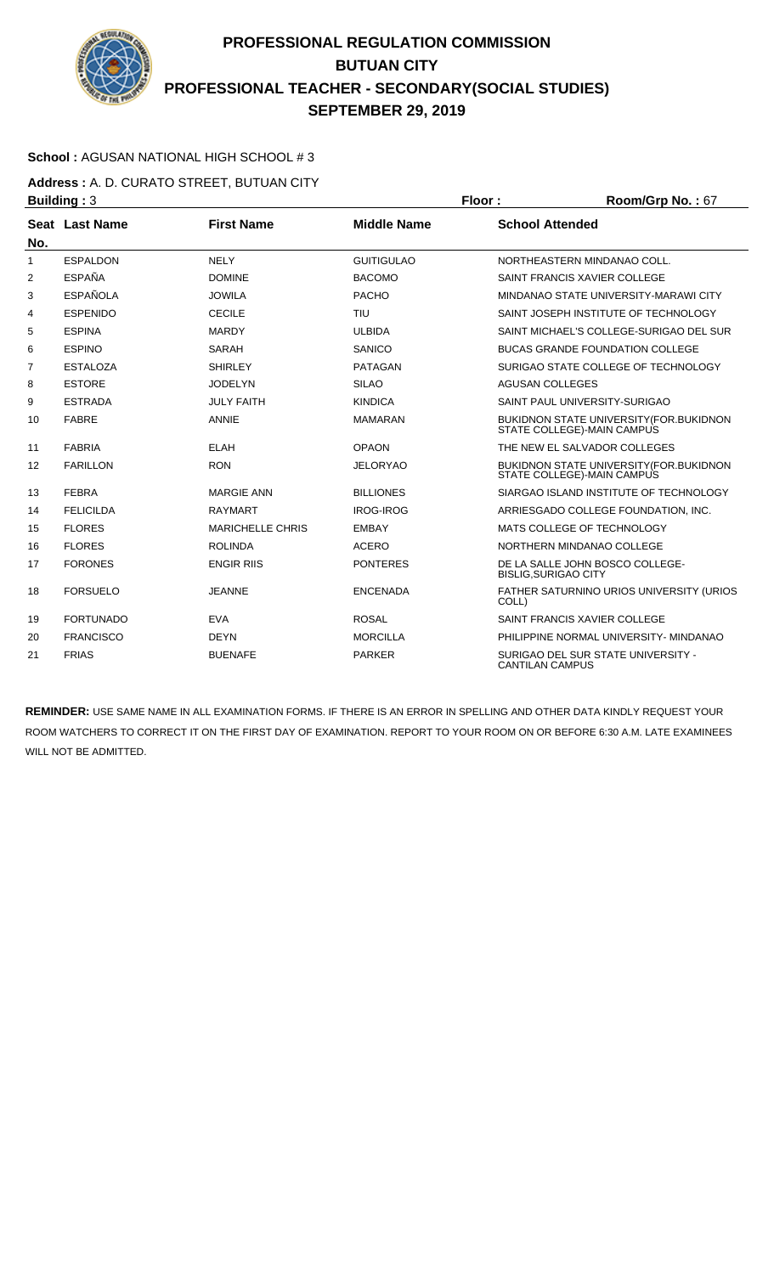

### **School :** AGUSAN NATIONAL HIGH SCHOOL # 3

**Address :** A. D. CURATO STREET, BUTUAN CITY **Building : 3 Floor : Room/Grp No. : 67** 

| No.            | Seat Last Name   | <b>First Name</b>       | <b>Middle Name</b> | <b>School Attended</b>                                                       |
|----------------|------------------|-------------------------|--------------------|------------------------------------------------------------------------------|
| $\mathbf{1}$   | <b>ESPALDON</b>  | <b>NELY</b>             | <b>GUITIGULAO</b>  | NORTHEASTERN MINDANAO COLL.                                                  |
| $\overline{2}$ | <b>ESPAÑA</b>    | <b>DOMINE</b>           | <b>BACOMO</b>      | SAINT FRANCIS XAVIER COLLEGE                                                 |
| 3              | <b>ESPAÑOLA</b>  | <b>JOWILA</b>           | <b>PACHO</b>       | MINDANAO STATE UNIVERSITY-MARAWI CITY                                        |
| 4              | <b>ESPENIDO</b>  | <b>CECILE</b>           | TIU                | SAINT JOSEPH INSTITUTE OF TECHNOLOGY                                         |
| 5              | <b>ESPINA</b>    | <b>MARDY</b>            | <b>ULBIDA</b>      | SAINT MICHAEL'S COLLEGE-SURIGAO DEL SUR                                      |
| 6              | <b>ESPINO</b>    | <b>SARAH</b>            | SANICO             | <b>BUCAS GRANDE FOUNDATION COLLEGE</b>                                       |
| $\overline{7}$ | <b>ESTALOZA</b>  | <b>SHIRLEY</b>          | <b>PATAGAN</b>     | SURIGAO STATE COLLEGE OF TECHNOLOGY                                          |
| 8              | <b>ESTORE</b>    | <b>JODELYN</b>          | <b>SILAO</b>       | <b>AGUSAN COLLEGES</b>                                                       |
| 9              | <b>ESTRADA</b>   | <b>JULY FAITH</b>       | <b>KINDICA</b>     | SAINT PAUL UNIVERSITY-SURIGAO                                                |
| 10             | <b>FABRE</b>     | <b>ANNIE</b>            | <b>MAMARAN</b>     | <b>BUKIDNON STATE UNIVERSITY (FOR.BUKIDNON</b><br>STATE COLLEGE)-MAIN CAMPUS |
| 11             | <b>FABRIA</b>    | <b>ELAH</b>             | <b>OPAON</b>       | THE NEW EL SALVADOR COLLEGES                                                 |
| 12             | <b>FARILLON</b>  | <b>RON</b>              | <b>JELORYAO</b>    | <b>BUKIDNON STATE UNIVERSITY (FOR.BUKIDNON</b><br>STATE COLLEGE)-MAIN CAMPUS |
| 13             | <b>FEBRA</b>     | <b>MARGIE ANN</b>       | <b>BILLIONES</b>   | SIARGAO ISLAND INSTITUTE OF TECHNOLOGY                                       |
| 14             | <b>FELICILDA</b> | <b>RAYMART</b>          | <b>IROG-IROG</b>   | ARRIESGADO COLLEGE FOUNDATION. INC.                                          |
| 15             | <b>FLORES</b>    | <b>MARICHELLE CHRIS</b> | <b>EMBAY</b>       | MATS COLLEGE OF TECHNOLOGY                                                   |
| 16             | <b>FLORES</b>    | <b>ROLINDA</b>          | <b>ACERO</b>       | NORTHERN MINDANAO COLLEGE                                                    |
| 17             | <b>FORONES</b>   | <b>ENGIR RIIS</b>       | <b>PONTERES</b>    | DE LA SALLE JOHN BOSCO COLLEGE-<br><b>BISLIG, SURIGAO CITY</b>               |
| 18             | <b>FORSUELO</b>  | <b>JEANNE</b>           | <b>ENCENADA</b>    | FATHER SATURNINO URIOS UNIVERSITY (URIOS<br>COLL)                            |
| 19             | <b>FORTUNADO</b> | <b>EVA</b>              | <b>ROSAL</b>       | SAINT FRANCIS XAVIER COLLEGE                                                 |
| 20             | <b>FRANCISCO</b> | <b>DEYN</b>             | <b>MORCILLA</b>    | PHILIPPINE NORMAL UNIVERSITY- MINDANAO                                       |
| 21             | <b>FRIAS</b>     | <b>BUENAFE</b>          | <b>PARKER</b>      | SURIGAO DEL SUR STATE UNIVERSITY -<br><b>CANTILAN CAMPUS</b>                 |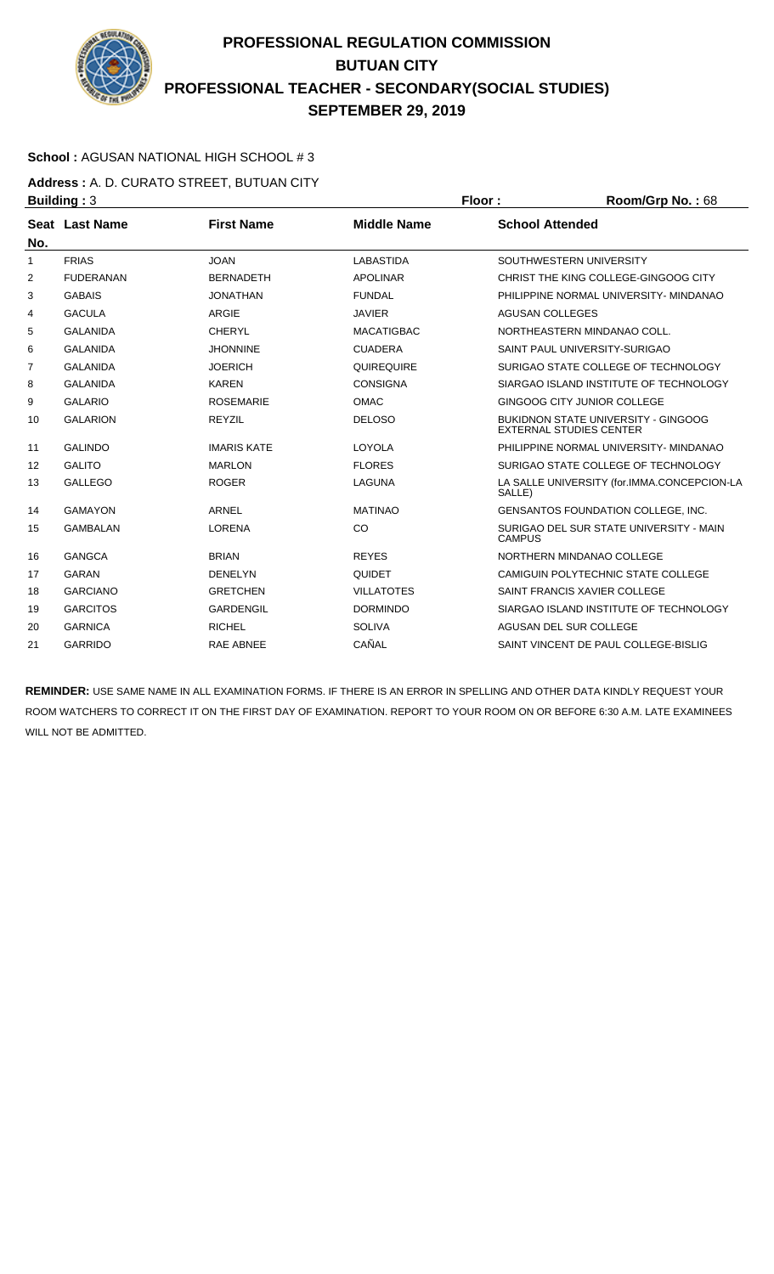

### **School :** AGUSAN NATIONAL HIGH SCHOOL # 3

**Address :** A. D. CURATO STREET, BUTUAN CITY **Building : 3 Floor : Floor : Room/Grp No. : 68** 

| No. | Seat Last Name   | <b>First Name</b>  | <b>Middle Name</b> | <b>School Attended</b>                                                       |
|-----|------------------|--------------------|--------------------|------------------------------------------------------------------------------|
| 1   | <b>FRIAS</b>     | <b>JOAN</b>        | <b>LABASTIDA</b>   | SOUTHWESTERN UNIVERSITY                                                      |
| 2   | <b>FUDERANAN</b> | <b>BERNADETH</b>   | <b>APOLINAR</b>    | CHRIST THE KING COLLEGE-GINGOOG CITY                                         |
| 3   | <b>GABAIS</b>    | <b>JONATHAN</b>    | <b>FUNDAL</b>      | PHILIPPINE NORMAL UNIVERSITY- MINDANAO                                       |
| 4   | <b>GACULA</b>    | <b>ARGIE</b>       | <b>JAVIER</b>      | AGUSAN COLLEGES                                                              |
| 5   | <b>GALANIDA</b>  | CHERYL             | <b>MACATIGBAC</b>  | NORTHEASTERN MINDANAO COLL.                                                  |
| 6   | <b>GALANIDA</b>  | <b>JHONNINE</b>    | <b>CUADERA</b>     | SAINT PAUL UNIVERSITY-SURIGAO                                                |
| 7   | <b>GALANIDA</b>  | <b>JOERICH</b>     | QUIREQUIRE         | SURIGAO STATE COLLEGE OF TECHNOLOGY                                          |
| 8   | <b>GALANIDA</b>  | <b>KAREN</b>       | <b>CONSIGNA</b>    | SIARGAO ISLAND INSTITUTE OF TECHNOLOGY                                       |
| 9   | <b>GALARIO</b>   | <b>ROSEMARIE</b>   | <b>OMAC</b>        | GINGOOG CITY JUNIOR COLLEGE                                                  |
| 10  | <b>GALARION</b>  | <b>REYZIL</b>      | <b>DELOSO</b>      | <b>BUKIDNON STATE UNIVERSITY - GINGOOG</b><br><b>EXTERNAL STUDIES CENTER</b> |
| 11  | <b>GALINDO</b>   | <b>IMARIS KATE</b> | LOYOLA             | PHILIPPINE NORMAL UNIVERSITY- MINDANAO                                       |
| 12  | <b>GALITO</b>    | <b>MARLON</b>      | <b>FLORES</b>      | SURIGAO STATE COLLEGE OF TECHNOLOGY                                          |
| 13  | <b>GALLEGO</b>   | <b>ROGER</b>       | LAGUNA             | LA SALLE UNIVERSITY (for.IMMA.CONCEPCION-LA<br>SALLE)                        |
| 14  | <b>GAMAYON</b>   | ARNEL              | <b>MATINAO</b>     | <b>GENSANTOS FOUNDATION COLLEGE. INC.</b>                                    |
| 15  | <b>GAMBALAN</b>  | <b>LORENA</b>      | CO                 | SURIGAO DEL SUR STATE UNIVERSITY - MAIN<br><b>CAMPUS</b>                     |
| 16  | <b>GANGCA</b>    | <b>BRIAN</b>       | <b>REYES</b>       | NORTHERN MINDANAO COLLEGE                                                    |
| 17  | <b>GARAN</b>     | <b>DENELYN</b>     | <b>QUIDET</b>      | CAMIGUIN POLYTECHNIC STATE COLLEGE                                           |
| 18  | <b>GARCIANO</b>  | <b>GRETCHEN</b>    | <b>VILLATOTES</b>  | SAINT FRANCIS XAVIER COLLEGE                                                 |
| 19  | <b>GARCITOS</b>  | <b>GARDENGIL</b>   | <b>DORMINDO</b>    | SIARGAO ISLAND INSTITUTE OF TECHNOLOGY                                       |
| 20  | <b>GARNICA</b>   | <b>RICHEL</b>      | <b>SOLIVA</b>      | AGUSAN DEL SUR COLLEGE                                                       |
| 21  | <b>GARRIDO</b>   | <b>RAE ABNEE</b>   | CAÑAL              | SAINT VINCENT DE PAUL COLLEGE-BISLIG                                         |
|     |                  |                    |                    |                                                                              |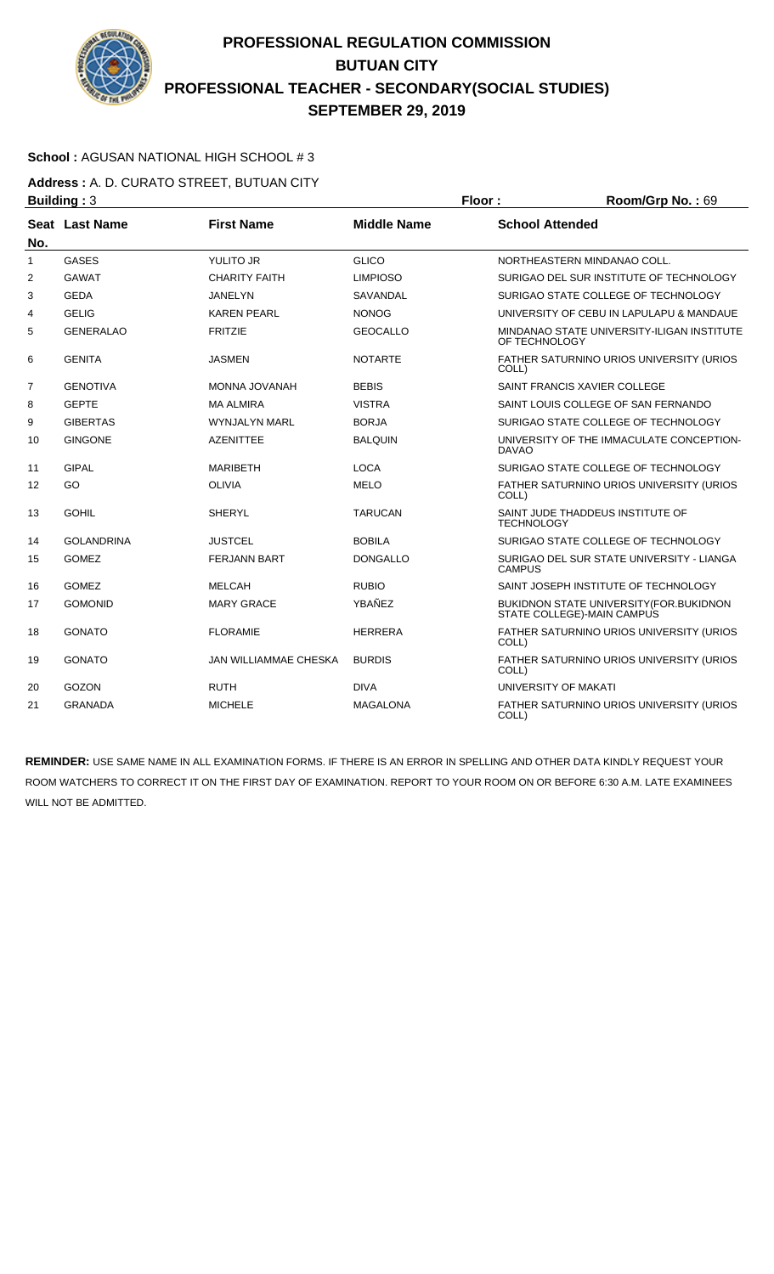

### **School :** AGUSAN NATIONAL HIGH SCHOOL # 3

**Address :** A. D. CURATO STREET, BUTUAN CITY **Building : 3 Floor : Floor : Room/Grp No. : 69** 

|                | . <u>.</u>        |                       |                    |                                                                                |
|----------------|-------------------|-----------------------|--------------------|--------------------------------------------------------------------------------|
| No.            | Seat Last Name    | <b>First Name</b>     | <b>Middle Name</b> | <b>School Attended</b>                                                         |
| $\mathbf{1}$   | <b>GASES</b>      | YULITO JR             | <b>GLICO</b>       | NORTHEASTERN MINDANAO COLL.                                                    |
| $\overline{2}$ | <b>GAWAT</b>      | <b>CHARITY FAITH</b>  | <b>LIMPIOSO</b>    | SURIGAO DEL SUR INSTITUTE OF TECHNOLOGY                                        |
| 3              | <b>GEDA</b>       | JANELYN               | SAVANDAL           | SURIGAO STATE COLLEGE OF TECHNOLOGY                                            |
| 4              | <b>GELIG</b>      | <b>KAREN PEARL</b>    | <b>NONOG</b>       | UNIVERSITY OF CEBU IN LAPULAPU & MANDAUE                                       |
| 5              | <b>GENERALAO</b>  | <b>FRITZIE</b>        | <b>GEOCALLO</b>    | MINDANAO STATE UNIVERSITY-ILIGAN INSTITUTE<br>OF TECHNOLOGY                    |
| 6              | <b>GENITA</b>     | <b>JASMEN</b>         | <b>NOTARTE</b>     | FATHER SATURNINO URIOS UNIVERSITY (URIOS<br>COLL)                              |
| 7              | <b>GENOTIVA</b>   | MONNA JOVANAH         | <b>BEBIS</b>       | SAINT FRANCIS XAVIER COLLEGE                                                   |
| 8              | <b>GEPTE</b>      | <b>MA ALMIRA</b>      | <b>VISTRA</b>      | SAINT LOUIS COLLEGE OF SAN FERNANDO                                            |
| 9              | <b>GIBERTAS</b>   | <b>WYNJALYN MARL</b>  | <b>BORJA</b>       | SURIGAO STATE COLLEGE OF TECHNOLOGY                                            |
| 10             | <b>GINGONE</b>    | <b>AZENITTEE</b>      | <b>BALQUIN</b>     | UNIVERSITY OF THE IMMACULATE CONCEPTION-<br><b>DAVAO</b>                       |
| 11             | <b>GIPAL</b>      | <b>MARIBETH</b>       | <b>LOCA</b>        | SURIGAO STATE COLLEGE OF TECHNOLOGY                                            |
| 12             | GO                | <b>OLIVIA</b>         | <b>MELO</b>        | FATHER SATURNINO URIOS UNIVERSITY (URIOS<br>COLL)                              |
| 13             | <b>GOHIL</b>      | <b>SHERYL</b>         | <b>TARUCAN</b>     | SAINT JUDE THADDEUS INSTITUTE OF<br><b>TECHNOLOGY</b>                          |
| 14             | <b>GOLANDRINA</b> | <b>JUSTCEL</b>        | <b>BOBILA</b>      | SURIGAO STATE COLLEGE OF TECHNOLOGY                                            |
| 15             | <b>GOMEZ</b>      | <b>FERJANN BART</b>   | <b>DONGALLO</b>    | SURIGAO DEL SUR STATE UNIVERSITY - LIANGA<br><b>CAMPUS</b>                     |
| 16             | <b>GOMEZ</b>      | <b>MELCAH</b>         | <b>RUBIO</b>       | SAINT JOSEPH INSTITUTE OF TECHNOLOGY                                           |
| 17             | <b>GOMONID</b>    | <b>MARY GRACE</b>     | YBAÑEZ             | <b>BUKIDNON STATE UNIVERSITY (FOR. BUKIDNON)</b><br>STATE COLLEGE)-MAIN CAMPUS |
| 18             | <b>GONATO</b>     | <b>FLORAMIE</b>       | <b>HERRERA</b>     | FATHER SATURNINO URIOS UNIVERSITY (URIOS<br>COLL)                              |
| 19             | <b>GONATO</b>     | JAN WILLIAMMAE CHESKA | <b>BURDIS</b>      | FATHER SATURNINO URIOS UNIVERSITY (URIOS<br>COLL)                              |
| 20             | GOZON             | <b>RUTH</b>           | <b>DIVA</b>        | UNIVERSITY OF MAKATI                                                           |
| 21             | <b>GRANADA</b>    | <b>MICHELE</b>        | <b>MAGALONA</b>    | <b>FATHER SATURNINO URIOS UNIVERSITY (URIOS</b><br>COLL)                       |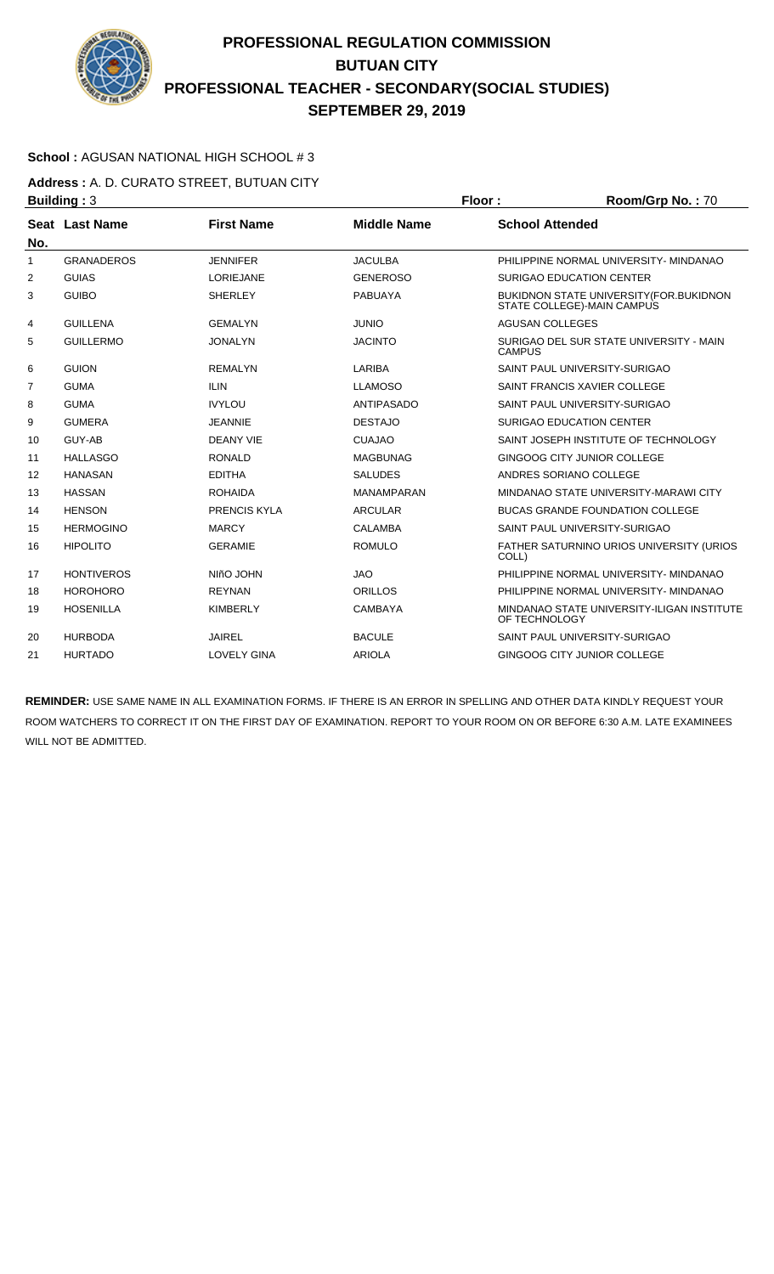

### **School :** AGUSAN NATIONAL HIGH SCHOOL # 3

**Address :** A. D. CURATO STREET, BUTUAN CITY **Building : 3 Floor : Room/Grp No. : 70** 

| No.            | Seat Last Name    | <b>First Name</b>   | <b>Middle Name</b> | <b>School Attended</b>                                                         |
|----------------|-------------------|---------------------|--------------------|--------------------------------------------------------------------------------|
| 1              | <b>GRANADEROS</b> | <b>JENNIFER</b>     | <b>JACULBA</b>     | PHILIPPINE NORMAL UNIVERSITY- MINDANAO                                         |
| 2              | <b>GUIAS</b>      | <b>LORIEJANE</b>    | <b>GENEROSO</b>    | <b>SURIGAO EDUCATION CENTER</b>                                                |
| 3              | <b>GUIBO</b>      | <b>SHERLEY</b>      | <b>PABUAYA</b>     | <b>BUKIDNON STATE UNIVERSITY (FOR. BUKIDNON)</b><br>STATE COLLEGE)-MAIN CAMPUS |
| 4              | <b>GUILLENA</b>   | <b>GEMALYN</b>      | <b>JUNIO</b>       | <b>AGUSAN COLLEGES</b>                                                         |
| 5              | <b>GUILLERMO</b>  | <b>JONALYN</b>      | <b>JACINTO</b>     | SURIGAO DEL SUR STATE UNIVERSITY - MAIN<br><b>CAMPUS</b>                       |
| 6              | <b>GUION</b>      | <b>REMALYN</b>      | LARIBA             | SAINT PAUL UNIVERSITY-SURIGAO                                                  |
| $\overline{7}$ | <b>GUMA</b>       | <b>ILIN</b>         | <b>LLAMOSO</b>     | SAINT FRANCIS XAVIER COLLEGE                                                   |
| 8              | <b>GUMA</b>       | <b>IVYLOU</b>       | <b>ANTIPASADO</b>  | SAINT PAUL UNIVERSITY-SURIGAO                                                  |
| 9              | <b>GUMERA</b>     | <b>JEANNIE</b>      | <b>DESTAJO</b>     | <b>SURIGAO EDUCATION CENTER</b>                                                |
| 10             | GUY-AB            | <b>DEANY VIE</b>    | <b>CUAJAO</b>      | SAINT JOSEPH INSTITUTE OF TECHNOLOGY                                           |
| 11             | <b>HALLASGO</b>   | <b>RONALD</b>       | <b>MAGBUNAG</b>    | GINGOOG CITY JUNIOR COLLEGE                                                    |
| 12             | <b>HANASAN</b>    | <b>EDITHA</b>       | <b>SALUDES</b>     | ANDRES SORIANO COLLEGE                                                         |
| 13             | <b>HASSAN</b>     | <b>ROHAIDA</b>      | <b>MANAMPARAN</b>  | MINDANAO STATE UNIVERSITY-MARAWI CITY                                          |
| 14             | <b>HENSON</b>     | <b>PRENCIS KYLA</b> | <b>ARCULAR</b>     | <b>BUCAS GRANDE FOUNDATION COLLEGE</b>                                         |
| 15             | <b>HERMOGINO</b>  | <b>MARCY</b>        | <b>CALAMBA</b>     | SAINT PAUL UNIVERSITY-SURIGAO                                                  |
| 16             | <b>HIPOLITO</b>   | <b>GERAMIE</b>      | <b>ROMULO</b>      | FATHER SATURNINO URIOS UNIVERSITY (URIOS<br>COLL)                              |
| 17             | <b>HONTIVEROS</b> | NIñO JOHN           | <b>JAO</b>         | PHILIPPINE NORMAL UNIVERSITY- MINDANAO                                         |
| 18             | <b>HOROHORO</b>   | <b>REYNAN</b>       | <b>ORILLOS</b>     | PHILIPPINE NORMAL UNIVERSITY- MINDANAO                                         |
| 19             | <b>HOSENILLA</b>  | <b>KIMBERLY</b>     | CAMBAYA            | MINDANAO STATE UNIVERSITY-ILIGAN INSTITUTE<br>OF TECHNOLOGY                    |
| 20             | <b>HURBODA</b>    | <b>JAIREL</b>       | <b>BACULE</b>      | SAINT PAUL UNIVERSITY-SURIGAO                                                  |
| 21             | <b>HURTADO</b>    | <b>LOVELY GINA</b>  | <b>ARIOLA</b>      | GINGOOG CITY JUNIOR COLLEGE                                                    |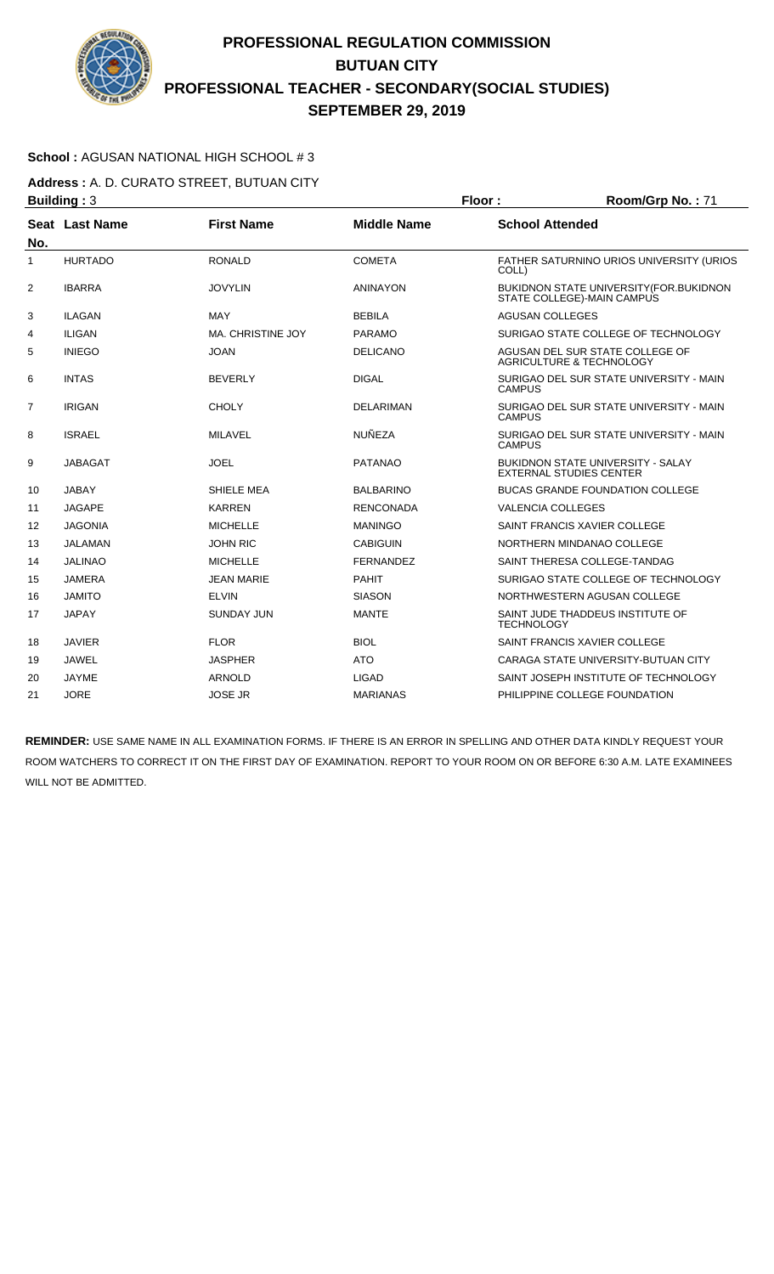

### **School :** AGUSAN NATIONAL HIGH SCHOOL # 3

**Address :** A. D. CURATO STREET, BUTUAN CITY **Building : 3 Floor : Floor : Room/Grp No. : 71** 

| No.            | Seat Last Name | <b>First Name</b>        | <b>Middle Name</b> | <b>School Attended</b>                                                     |
|----------------|----------------|--------------------------|--------------------|----------------------------------------------------------------------------|
| 1              | <b>HURTADO</b> | <b>RONALD</b>            | <b>COMETA</b>      | <b>FATHER SATURNINO URIOS UNIVERSITY (URIOS)</b><br>COLL)                  |
| 2              | <b>IBARRA</b>  | <b>JOVYLIN</b>           | <b>ANINAYON</b>    | BUKIDNON STATE UNIVERSITY (FOR.BUKIDNON<br>STATE COLLEGE)-MAIN CAMPUS      |
| 3              | <b>ILAGAN</b>  | MAY                      | <b>BEBILA</b>      | <b>AGUSAN COLLEGES</b>                                                     |
| 4              | <b>ILIGAN</b>  | <b>MA, CHRISTINE JOY</b> | <b>PARAMO</b>      | SURIGAO STATE COLLEGE OF TECHNOLOGY                                        |
| 5              | <b>INIEGO</b>  | <b>JOAN</b>              | <b>DELICANO</b>    | AGUSAN DEL SUR STATE COLLEGE OF<br><b>AGRICULTURE &amp; TECHNOLOGY</b>     |
| 6              | <b>INTAS</b>   | <b>BEVERLY</b>           | <b>DIGAL</b>       | SURIGAO DEL SUR STATE UNIVERSITY - MAIN<br><b>CAMPUS</b>                   |
| $\overline{7}$ | <b>IRIGAN</b>  | <b>CHOLY</b>             | <b>DELARIMAN</b>   | SURIGAO DEL SUR STATE UNIVERSITY - MAIN<br><b>CAMPUS</b>                   |
| 8              | <b>ISRAEL</b>  | <b>MILAVEL</b>           | <b>NUÑEZA</b>      | SURIGAO DEL SUR STATE UNIVERSITY - MAIN<br><b>CAMPUS</b>                   |
| 9              | <b>JABAGAT</b> | <b>JOEL</b>              | <b>PATANAO</b>     | <b>BUKIDNON STATE UNIVERSITY - SALAY</b><br><b>EXTERNAL STUDIES CENTER</b> |
| 10             | <b>JABAY</b>   | SHIELE MEA               | <b>BALBARINO</b>   | <b>BUCAS GRANDE FOUNDATION COLLEGE</b>                                     |
| 11             | <b>JAGAPE</b>  | <b>KARREN</b>            | <b>RENCONADA</b>   | <b>VALENCIA COLLEGES</b>                                                   |
| 12             | <b>JAGONIA</b> | <b>MICHELLE</b>          | <b>MANINGO</b>     | SAINT FRANCIS XAVIER COLLEGE                                               |
| 13             | JALAMAN        | <b>JOHN RIC</b>          | <b>CABIGUIN</b>    | NORTHERN MINDANAO COLLEGE                                                  |
| 14             | <b>JALINAO</b> | <b>MICHELLE</b>          | <b>FERNANDEZ</b>   | SAINT THERESA COLLEGE-TANDAG                                               |
| 15             | <b>JAMERA</b>  | <b>JEAN MARIE</b>        | <b>PAHIT</b>       | SURIGAO STATE COLLEGE OF TECHNOLOGY                                        |
| 16             | <b>JAMITO</b>  | <b>ELVIN</b>             | <b>SIASON</b>      | NORTHWESTERN AGUSAN COLLEGE                                                |
| 17             | <b>JAPAY</b>   | <b>SUNDAY JUN</b>        | <b>MANTE</b>       | SAINT JUDE THADDEUS INSTITUTE OF<br><b>TECHNOLOGY</b>                      |
| 18             | <b>JAVIER</b>  | <b>FLOR</b>              | <b>BIOL</b>        | SAINT FRANCIS XAVIER COLLEGE                                               |
| 19             | <b>JAWEL</b>   | <b>JASPHER</b>           | <b>ATO</b>         | CARAGA STATE UNIVERSITY-BUTUAN CITY                                        |
| 20             | <b>JAYME</b>   | <b>ARNOLD</b>            | <b>LIGAD</b>       | SAINT JOSEPH INSTITUTE OF TECHNOLOGY                                       |
| 21             | <b>JORE</b>    | <b>JOSE JR</b>           | <b>MARIANAS</b>    | PHILIPPINE COLLEGE FOUNDATION                                              |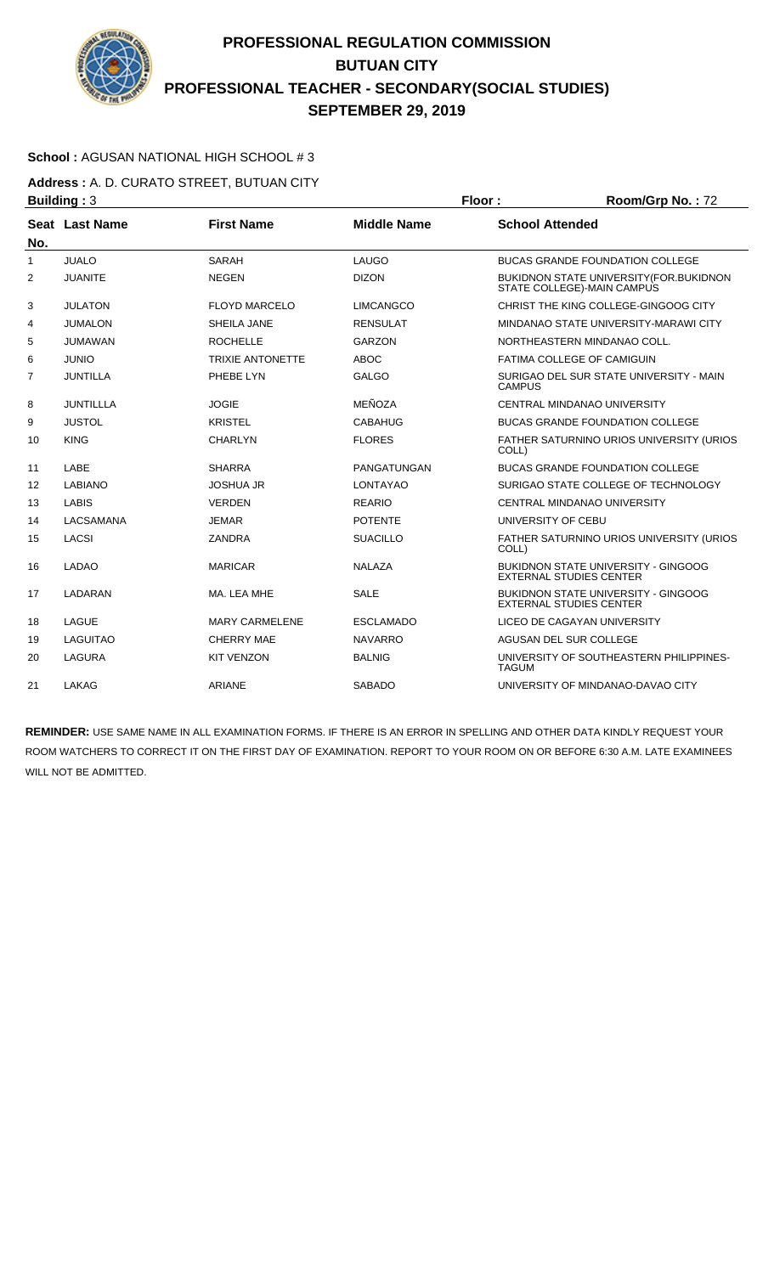

### **School :** AGUSAN NATIONAL HIGH SCHOOL # 3

**Address :** A. D. CURATO STREET, BUTUAN CITY **Building : 3 Floor : Floor : Room/Grp No. : 72** 

| No. | Seat Last Name   | <b>First Name</b>       | <b>Middle Name</b> | <b>School Attended</b>                                                       |
|-----|------------------|-------------------------|--------------------|------------------------------------------------------------------------------|
| 1   | <b>JUALO</b>     | <b>SARAH</b>            | LAUGO              | <b>BUCAS GRANDE FOUNDATION COLLEGE</b>                                       |
| 2   | <b>JUANITE</b>   | <b>NEGEN</b>            | <b>DIZON</b>       | <b>BUKIDNON STATE UNIVERSITY (FOR.BUKIDNON</b><br>STATE COLLEGE)-MAIN CAMPUS |
| 3   | <b>JULATON</b>   | <b>FLOYD MARCELO</b>    | <b>LIMCANGCO</b>   | CHRIST THE KING COLLEGE-GINGOOG CITY                                         |
| 4   | <b>JUMALON</b>   | SHEILA JANE             | <b>RENSULAT</b>    | MINDANAO STATE UNIVERSITY-MARAWI CITY                                        |
| 5   | <b>JUMAWAN</b>   | <b>ROCHELLE</b>         | <b>GARZON</b>      | NORTHEASTERN MINDANAO COLL.                                                  |
| 6   | <b>JUNIO</b>     | <b>TRIXIE ANTONETTE</b> | <b>ABOC</b>        | FATIMA COLLEGE OF CAMIGUIN                                                   |
| 7   | <b>JUNTILLA</b>  | PHEBE LYN               | <b>GALGO</b>       | SURIGAO DEL SUR STATE UNIVERSITY - MAIN<br><b>CAMPUS</b>                     |
| 8   | <b>JUNTILLLA</b> | <b>JOGIE</b>            | MEÑOZA             | <b>CENTRAL MINDANAO UNIVERSITY</b>                                           |
| 9   | <b>JUSTOL</b>    | <b>KRISTEL</b>          | <b>CABAHUG</b>     | <b>BUCAS GRANDE FOUNDATION COLLEGE</b>                                       |
| 10  | <b>KING</b>      | <b>CHARLYN</b>          | <b>FLORES</b>      | FATHER SATURNINO URIOS UNIVERSITY (URIOS<br>COLL)                            |
| 11  | LABE             | <b>SHARRA</b>           | PANGATUNGAN        | <b>BUCAS GRANDE FOUNDATION COLLEGE</b>                                       |
| 12  | <b>LABIANO</b>   | <b>JOSHUA JR</b>        | LONTAYAO           | SURIGAO STATE COLLEGE OF TECHNOLOGY                                          |
| 13  | <b>LABIS</b>     | <b>VERDEN</b>           | <b>REARIO</b>      | CENTRAL MINDANAO UNIVERSITY                                                  |
| 14  | LACSAMANA        | <b>JEMAR</b>            | <b>POTENTE</b>     | UNIVERSITY OF CEBU                                                           |
| 15  | <b>LACSI</b>     | <b>ZANDRA</b>           | <b>SUACILLO</b>    | FATHER SATURNINO URIOS UNIVERSITY (URIOS<br>COLL)                            |
| 16  | <b>LADAO</b>     | <b>MARICAR</b>          | <b>NALAZA</b>      | <b>BUKIDNON STATE UNIVERSITY - GINGOOG</b><br><b>EXTERNAL STUDIES CENTER</b> |
| 17  | LADARAN          | MA. LEA MHE             | <b>SALE</b>        | <b>BUKIDNON STATE UNIVERSITY - GINGOOG</b><br><b>EXTERNAL STUDIES CENTER</b> |
| 18  | LAGUE            | <b>MARY CARMELENE</b>   | <b>ESCLAMADO</b>   | LICEO DE CAGAYAN UNIVERSITY                                                  |
| 19  | <b>LAGUITAO</b>  | <b>CHERRY MAE</b>       | <b>NAVARRO</b>     | AGUSAN DEL SUR COLLEGE                                                       |
| 20  | <b>LAGURA</b>    | <b>KIT VENZON</b>       | <b>BALNIG</b>      | UNIVERSITY OF SOUTHEASTERN PHILIPPINES-<br><b>TAGUM</b>                      |
| 21  | LAKAG            | <b>ARIANE</b>           | <b>SABADO</b>      | UNIVERSITY OF MINDANAO-DAVAO CITY                                            |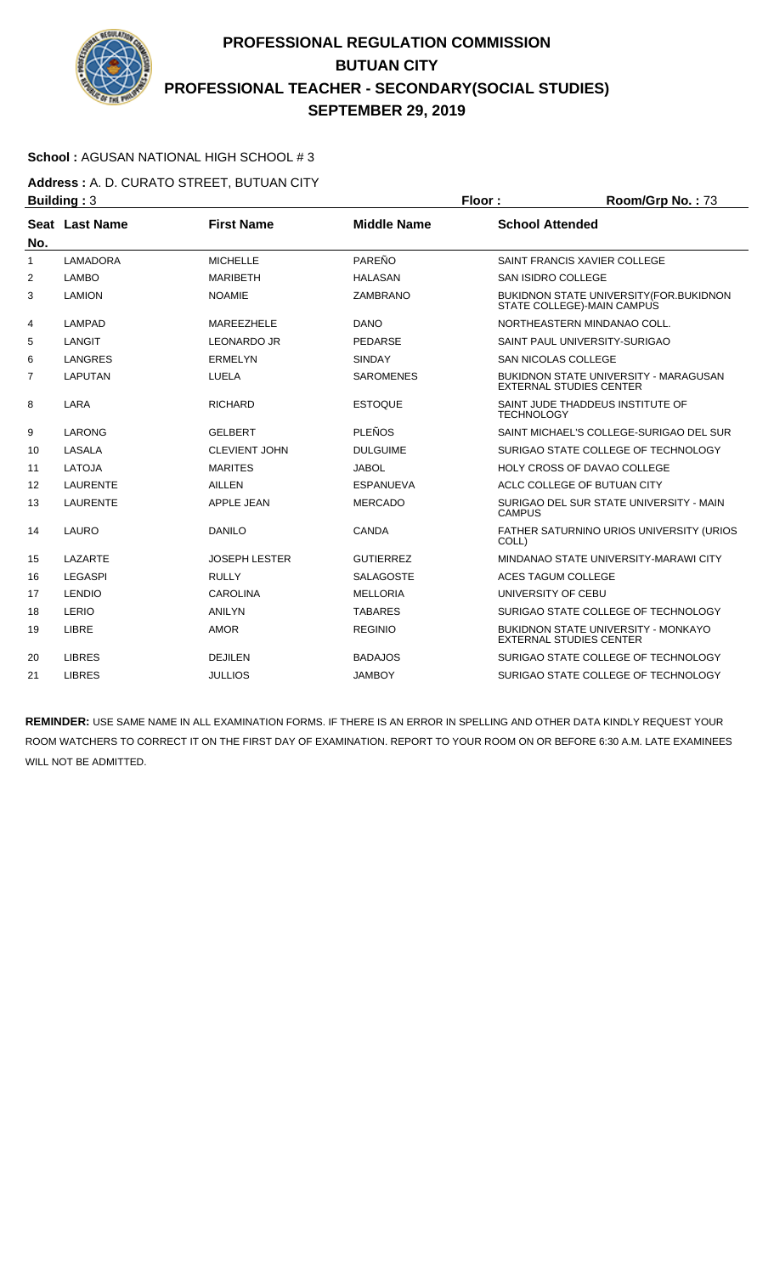

### **School :** AGUSAN NATIONAL HIGH SCHOOL # 3

**Address :** A. D. CURATO STREET, BUTUAN CITY **Building : 3 Floor : Room/Grp No. : 73** 

| No.            | Seat Last Name  | <b>First Name</b>    | <b>Middle Name</b> | <b>School Attended</b>                                                         |
|----------------|-----------------|----------------------|--------------------|--------------------------------------------------------------------------------|
| $\mathbf{1}$   | <b>LAMADORA</b> | <b>MICHELLE</b>      | PAREÑO             | SAINT FRANCIS XAVIER COLLEGE                                                   |
| 2              | <b>LAMBO</b>    | <b>MARIBETH</b>      | <b>HALASAN</b>     | SAN ISIDRO COLLEGE                                                             |
| 3              | <b>LAMION</b>   | <b>NOAMIE</b>        | <b>ZAMBRANO</b>    | BUKIDNON STATE UNIVERSITY (FOR. BUKIDNON<br>STATE COLLEGE)-MAIN CAMPUS         |
| 4              | <b>LAMPAD</b>   | MAREEZHELE           | <b>DANO</b>        | NORTHEASTERN MINDANAO COLL.                                                    |
| 5              | LANGIT          | <b>LEONARDO JR</b>   | <b>PEDARSE</b>     | SAINT PAUL UNIVERSITY-SURIGAO                                                  |
| 6              | <b>LANGRES</b>  | <b>ERMELYN</b>       | <b>SINDAY</b>      | <b>SAN NICOLAS COLLEGE</b>                                                     |
| $\overline{7}$ | <b>LAPUTAN</b>  | LUELA                | <b>SAROMENES</b>   | <b>BUKIDNON STATE UNIVERSITY - MARAGUSAN</b><br><b>EXTERNAL STUDIES CENTER</b> |
| 8              | LARA            | <b>RICHARD</b>       | <b>ESTOQUE</b>     | SAINT JUDE THADDEUS INSTITUTE OF<br><b>TECHNOLOGY</b>                          |
| 9              | <b>LARONG</b>   | <b>GELBERT</b>       | <b>PLEÑOS</b>      | SAINT MICHAEL'S COLLEGE-SURIGAO DEL SUR                                        |
| 10             | LASALA          | <b>CLEVIENT JOHN</b> | <b>DULGUIME</b>    | SURIGAO STATE COLLEGE OF TECHNOLOGY                                            |
| 11             | <b>LATOJA</b>   | <b>MARITES</b>       | <b>JABOL</b>       | <b>HOLY CROSS OF DAVAO COLLEGE</b>                                             |
| 12             | <b>LAURENTE</b> | <b>AILLEN</b>        | <b>ESPANUEVA</b>   | ACLC COLLEGE OF BUTUAN CITY                                                    |
| 13             | <b>LAURENTE</b> | <b>APPLE JEAN</b>    | <b>MERCADO</b>     | SURIGAO DEL SUR STATE UNIVERSITY - MAIN<br><b>CAMPUS</b>                       |
| 14             | LAURO           | <b>DANILO</b>        | CANDA              | FATHER SATURNINO URIOS UNIVERSITY (URIOS<br>COLL)                              |
| 15             | LAZARTE         | <b>JOSEPH LESTER</b> | <b>GUTIERREZ</b>   | MINDANAO STATE UNIVERSITY-MARAWI CITY                                          |
| 16             | <b>LEGASPI</b>  | <b>RULLY</b>         | <b>SALAGOSTE</b>   | ACES TAGUM COLLEGE                                                             |
| 17             | <b>LENDIO</b>   | <b>CAROLINA</b>      | <b>MELLORIA</b>    | UNIVERSITY OF CEBU                                                             |
| 18             | LERIO           | <b>ANILYN</b>        | <b>TABARES</b>     | SURIGAO STATE COLLEGE OF TECHNOLOGY                                            |
| 19             | LIBRE           | <b>AMOR</b>          | <b>REGINIO</b>     | BUKIDNON STATE UNIVERSITY - MONKAYO<br><b>EXTERNAL STUDIES CENTER</b>          |
| 20             | <b>LIBRES</b>   | <b>DEJILEN</b>       | <b>BADAJOS</b>     | SURIGAO STATE COLLEGE OF TECHNOLOGY                                            |
| 21             | <b>LIBRES</b>   | <b>JULLIOS</b>       | <b>JAMBOY</b>      | SURIGAO STATE COLLEGE OF TECHNOLOGY                                            |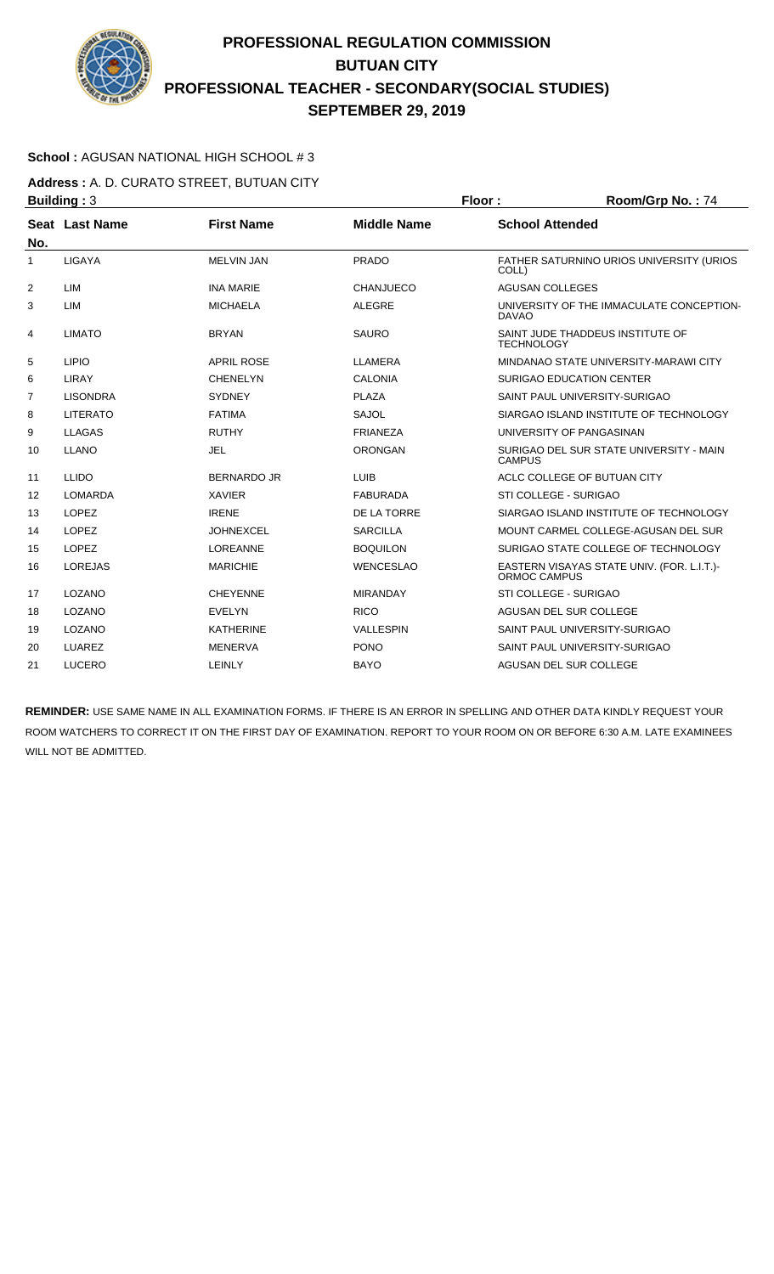

### **School :** AGUSAN NATIONAL HIGH SCHOOL # 3

**Address :** A. D. CURATO STREET, BUTUAN CITY **Building : 3 Floor : Floor : Room/Grp No. : 74** 

| No.            | Seat Last Name  | <b>First Name</b>  | <b>Middle Name</b> | <b>School Attended</b>                                            |
|----------------|-----------------|--------------------|--------------------|-------------------------------------------------------------------|
| $\mathbf{1}$   | <b>LIGAYA</b>   | <b>MELVIN JAN</b>  | <b>PRADO</b>       | FATHER SATURNINO URIOS UNIVERSITY (URIOS<br>COLL)                 |
| $\overline{2}$ | LIM             | <b>INA MARIE</b>   | <b>CHANJUECO</b>   | <b>AGUSAN COLLEGES</b>                                            |
| 3              | LIM             | <b>MICHAELA</b>    | <b>ALEGRE</b>      | UNIVERSITY OF THE IMMACULATE CONCEPTION-<br><b>DAVAO</b>          |
| 4              | <b>LIMATO</b>   | <b>BRYAN</b>       | <b>SAURO</b>       | SAINT JUDE THADDEUS INSTITUTE OF<br><b>TECHNOLOGY</b>             |
| 5              | <b>LIPIO</b>    | <b>APRIL ROSE</b>  | <b>LLAMERA</b>     | MINDANAO STATE UNIVERSITY-MARAWI CITY                             |
| 6              | <b>LIRAY</b>    | <b>CHENELYN</b>    | <b>CALONIA</b>     | SURIGAO EDUCATION CENTER                                          |
| 7              | <b>LISONDRA</b> | <b>SYDNEY</b>      | <b>PLAZA</b>       | SAINT PAUL UNIVERSITY-SURIGAO                                     |
| 8              | <b>LITERATO</b> | <b>FATIMA</b>      | <b>SAJOL</b>       | SIARGAO ISLAND INSTITUTE OF TECHNOLOGY                            |
| 9              | <b>LLAGAS</b>   | <b>RUTHY</b>       | <b>FRIANEZA</b>    | UNIVERSITY OF PANGASINAN                                          |
| 10             | <b>LLANO</b>    | <b>JEL</b>         | <b>ORONGAN</b>     | SURIGAO DEL SUR STATE UNIVERSITY - MAIN<br><b>CAMPUS</b>          |
| 11             | <b>LLIDO</b>    | <b>BERNARDO JR</b> | <b>LUIB</b>        | ACLC COLLEGE OF BUTUAN CITY                                       |
| 12             | <b>LOMARDA</b>  | <b>XAVIER</b>      | <b>FABURADA</b>    | STI COLLEGE - SURIGAO                                             |
| 13             | <b>LOPEZ</b>    | <b>IRENE</b>       | DE LA TORRE        | SIARGAO ISLAND INSTITUTE OF TECHNOLOGY                            |
| 14             | <b>LOPEZ</b>    | <b>JOHNEXCEL</b>   | <b>SARCILLA</b>    | MOUNT CARMEL COLLEGE-AGUSAN DEL SUR                               |
| 15             | <b>LOPEZ</b>    | LOREANNE           | <b>BOQUILON</b>    | SURIGAO STATE COLLEGE OF TECHNOLOGY                               |
| 16             | <b>LOREJAS</b>  | <b>MARICHIE</b>    | <b>WENCESLAO</b>   | EASTERN VISAYAS STATE UNIV. (FOR. L.I.T.)-<br><b>ORMOC CAMPUS</b> |
| 17             | LOZANO          | <b>CHEYENNE</b>    | <b>MIRANDAY</b>    | STI COLLEGE - SURIGAO                                             |
| 18             | LOZANO          | <b>EVELYN</b>      | <b>RICO</b>        | AGUSAN DEL SUR COLLEGE                                            |
| 19             | LOZANO          | <b>KATHERINE</b>   | <b>VALLESPIN</b>   | SAINT PAUL UNIVERSITY-SURIGAO                                     |
| 20             | <b>LUAREZ</b>   | <b>MENERVA</b>     | <b>PONO</b>        | SAINT PAUL UNIVERSITY-SURIGAO                                     |
| 21             | <b>LUCERO</b>   | LEINLY             | <b>BAYO</b>        | AGUSAN DEL SUR COLLEGE                                            |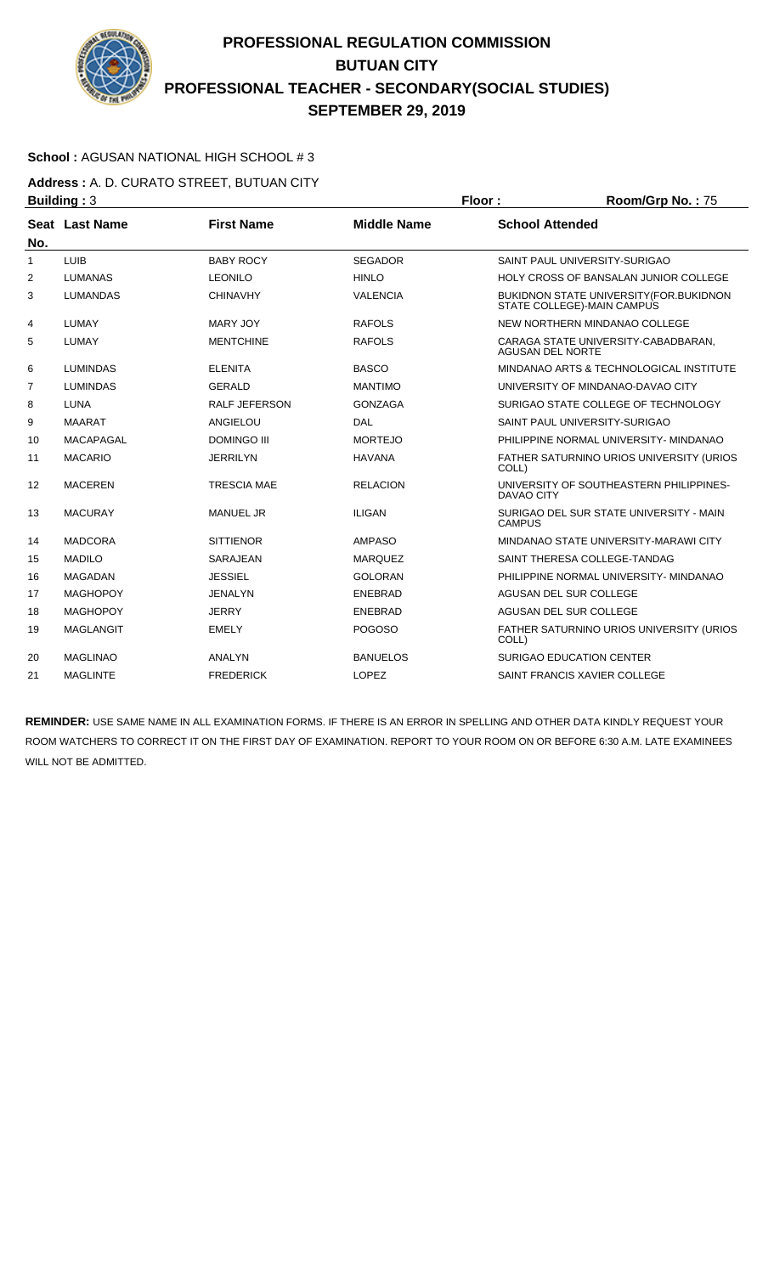

### **School :** AGUSAN NATIONAL HIGH SCHOOL # 3

**Address :** A. D. CURATO STREET, BUTUAN CITY **Building : 3 Floor : Room/Grp No. : 75** 

| No.            | Seat Last Name   | <b>First Name</b>    | <b>Middle Name</b> | <b>School Attended</b>                                                 |
|----------------|------------------|----------------------|--------------------|------------------------------------------------------------------------|
| 1              | <b>LUIB</b>      | <b>BABY ROCY</b>     | <b>SEGADOR</b>     | SAINT PAUL UNIVERSITY-SURIGAO                                          |
| 2              | <b>LUMANAS</b>   | <b>LEONILO</b>       | <b>HINLO</b>       | <b>HOLY CROSS OF BANSALAN JUNIOR COLLEGE</b>                           |
| 3              | <b>LUMANDAS</b>  | <b>CHINAVHY</b>      | <b>VALENCIA</b>    | BUKIDNON STATE UNIVERSITY (FOR. BUKIDNON<br>STATE COLLEGE)-MAIN CAMPUS |
| 4              | <b>LUMAY</b>     | <b>MARY JOY</b>      | <b>RAFOLS</b>      | NEW NORTHERN MINDANAO COLLEGE                                          |
| 5              | LUMAY            | <b>MENTCHINE</b>     | <b>RAFOLS</b>      | CARAGA STATE UNIVERSITY-CABADBARAN,<br><b>AGUSAN DEL NORTE</b>         |
| 6              | <b>LUMINDAS</b>  | <b>ELENITA</b>       | <b>BASCO</b>       | MINDANAO ARTS & TECHNOLOGICAL INSTITUTE                                |
| $\overline{7}$ | <b>LUMINDAS</b>  | <b>GERALD</b>        | <b>MANTIMO</b>     | UNIVERSITY OF MINDANAO-DAVAO CITY                                      |
| 8              | <b>LUNA</b>      | <b>RALF JEFERSON</b> | <b>GONZAGA</b>     | SURIGAO STATE COLLEGE OF TECHNOLOGY                                    |
| 9              | <b>MAARAT</b>    | <b>ANGIELOU</b>      | DAL                | SAINT PAUL UNIVERSITY-SURIGAO                                          |
| 10             | <b>MACAPAGAL</b> | <b>DOMINGO III</b>   | <b>MORTEJO</b>     | PHILIPPINE NORMAL UNIVERSITY- MINDANAO                                 |
| 11             | <b>MACARIO</b>   | <b>JERRILYN</b>      | <b>HAVANA</b>      | FATHER SATURNINO URIOS UNIVERSITY (URIOS<br>COLL)                      |
| 12             | <b>MACEREN</b>   | <b>TRESCIA MAE</b>   | <b>RELACION</b>    | UNIVERSITY OF SOUTHEASTERN PHILIPPINES-<br>DAVAO CITY                  |
| 13             | <b>MACURAY</b>   | <b>MANUEL JR</b>     | <b>ILIGAN</b>      | SURIGAO DEL SUR STATE UNIVERSITY - MAIN<br><b>CAMPUS</b>               |
| 14             | <b>MADCORA</b>   | <b>SITTIENOR</b>     | <b>AMPASO</b>      | MINDANAO STATE UNIVERSITY-MARAWI CITY                                  |
| 15             | <b>MADILO</b>    | <b>SARAJEAN</b>      | <b>MARQUEZ</b>     | SAINT THERESA COLLEGE-TANDAG                                           |
| 16             | <b>MAGADAN</b>   | <b>JESSIEL</b>       | <b>GOLORAN</b>     | PHILIPPINE NORMAL UNIVERSITY- MINDANAO                                 |
| 17             | <b>MAGHOPOY</b>  | <b>JENALYN</b>       | <b>ENEBRAD</b>     | AGUSAN DEL SUR COLLEGE                                                 |
| 18             | <b>MAGHOPOY</b>  | <b>JERRY</b>         | <b>ENEBRAD</b>     | AGUSAN DEL SUR COLLEGE                                                 |
| 19             | <b>MAGLANGIT</b> | <b>EMELY</b>         | <b>POGOSO</b>      | FATHER SATURNINO URIOS UNIVERSITY (URIOS<br>COLL)                      |
| 20             | <b>MAGLINAO</b>  | <b>ANALYN</b>        | <b>BANUELOS</b>    | <b>SURIGAO EDUCATION CENTER</b>                                        |
| 21             | <b>MAGLINTE</b>  | <b>FREDERICK</b>     | <b>LOPEZ</b>       | SAINT FRANCIS XAVIER COLLEGE                                           |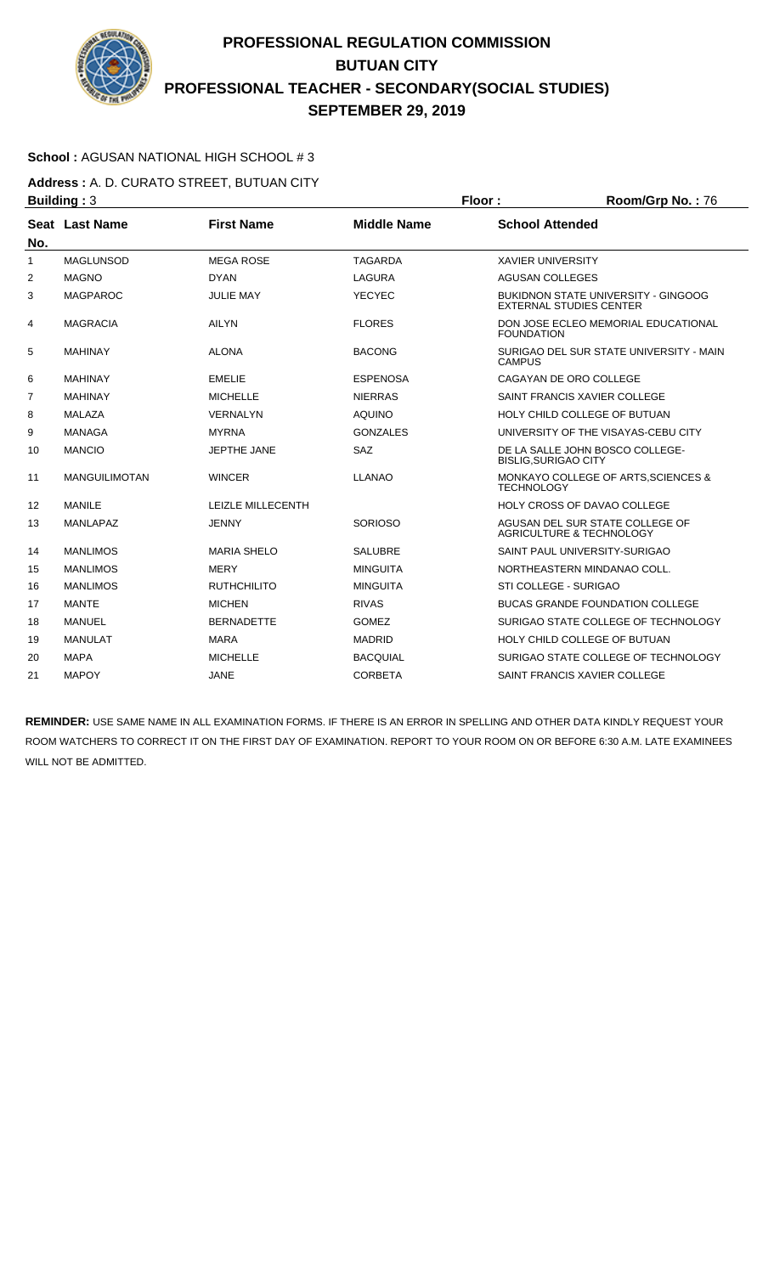

### **School :** AGUSAN NATIONAL HIGH SCHOOL # 3

**Address :** A. D. CURATO STREET, BUTUAN CITY **Building : 3 Floor : Room/Grp No. : 76** 

| No.            | Seat Last Name       | <b>First Name</b>        | <b>Middle Name</b> | <b>School Attended</b>                                                       |
|----------------|----------------------|--------------------------|--------------------|------------------------------------------------------------------------------|
| $\mathbf{1}$   | <b>MAGLUNSOD</b>     | <b>MEGA ROSE</b>         | <b>TAGARDA</b>     | <b>XAVIER UNIVERSITY</b>                                                     |
| 2              | <b>MAGNO</b>         | <b>DYAN</b>              | <b>LAGURA</b>      | <b>AGUSAN COLLEGES</b>                                                       |
| 3              | <b>MAGPAROC</b>      | <b>JULIE MAY</b>         | <b>YECYEC</b>      | <b>BUKIDNON STATE UNIVERSITY - GINGOOG</b><br><b>EXTERNAL STUDIES CENTER</b> |
| 4              | <b>MAGRACIA</b>      | <b>AILYN</b>             | <b>FLORES</b>      | DON JOSE ECLEO MEMORIAL EDUCATIONAL<br><b>FOUNDATION</b>                     |
| 5              | <b>MAHINAY</b>       | <b>ALONA</b>             | <b>BACONG</b>      | SURIGAO DEL SUR STATE UNIVERSITY - MAIN<br><b>CAMPUS</b>                     |
| 6              | <b>MAHINAY</b>       | <b>EMELIE</b>            | <b>ESPENOSA</b>    | CAGAYAN DE ORO COLLEGE                                                       |
| $\overline{7}$ | <b>MAHINAY</b>       | <b>MICHELLE</b>          | <b>NIERRAS</b>     | SAINT FRANCIS XAVIER COLLEGE                                                 |
| 8              | <b>MALAZA</b>        | <b>VERNALYN</b>          | <b>AQUINO</b>      | HOLY CHILD COLLEGE OF BUTUAN                                                 |
| 9              | <b>MANAGA</b>        | <b>MYRNA</b>             | <b>GONZALES</b>    | UNIVERSITY OF THE VISAYAS-CEBU CITY                                          |
| 10             | <b>MANCIO</b>        | JEPTHE JANE              | <b>SAZ</b>         | DE LA SALLE JOHN BOSCO COLLEGE-<br><b>BISLIG, SURIGAO CITY</b>               |
| 11             | <b>MANGUILIMOTAN</b> | <b>WINCER</b>            | <b>LLANAO</b>      | MONKAYO COLLEGE OF ARTS, SCIENCES &<br><b>TECHNOLOGY</b>                     |
| 12             | <b>MANILE</b>        | <b>LEIZLE MILLECENTH</b> |                    | <b>HOLY CROSS OF DAVAO COLLEGE</b>                                           |
| 13             | <b>MANLAPAZ</b>      | <b>JENNY</b>             | <b>SORIOSO</b>     | AGUSAN DEL SUR STATE COLLEGE OF<br><b>AGRICULTURE &amp; TECHNOLOGY</b>       |
| 14             | <b>MANLIMOS</b>      | <b>MARIA SHELO</b>       | <b>SALUBRE</b>     | SAINT PAUL UNIVERSITY-SURIGAO                                                |
| 15             | <b>MANLIMOS</b>      | <b>MERY</b>              | <b>MINGUITA</b>    | NORTHEASTERN MINDANAO COLL.                                                  |
| 16             | <b>MANLIMOS</b>      | <b>RUTHCHILITO</b>       | <b>MINGUITA</b>    | STI COLLEGE - SURIGAO                                                        |
| 17             | <b>MANTE</b>         | <b>MICHEN</b>            | <b>RIVAS</b>       | <b>BUCAS GRANDE FOUNDATION COLLEGE</b>                                       |
| 18             | MANUEL               | <b>BERNADETTE</b>        | <b>GOMEZ</b>       | SURIGAO STATE COLLEGE OF TECHNOLOGY                                          |
| 19             | <b>MANULAT</b>       | <b>MARA</b>              | <b>MADRID</b>      | HOLY CHILD COLLEGE OF BUTUAN                                                 |
| 20             | <b>MAPA</b>          | <b>MICHELLE</b>          | <b>BACQUIAL</b>    | SURIGAO STATE COLLEGE OF TECHNOLOGY                                          |
| 21             | <b>MAPOY</b>         | JANE                     | <b>CORBETA</b>     | SAINT FRANCIS XAVIER COLLEGE                                                 |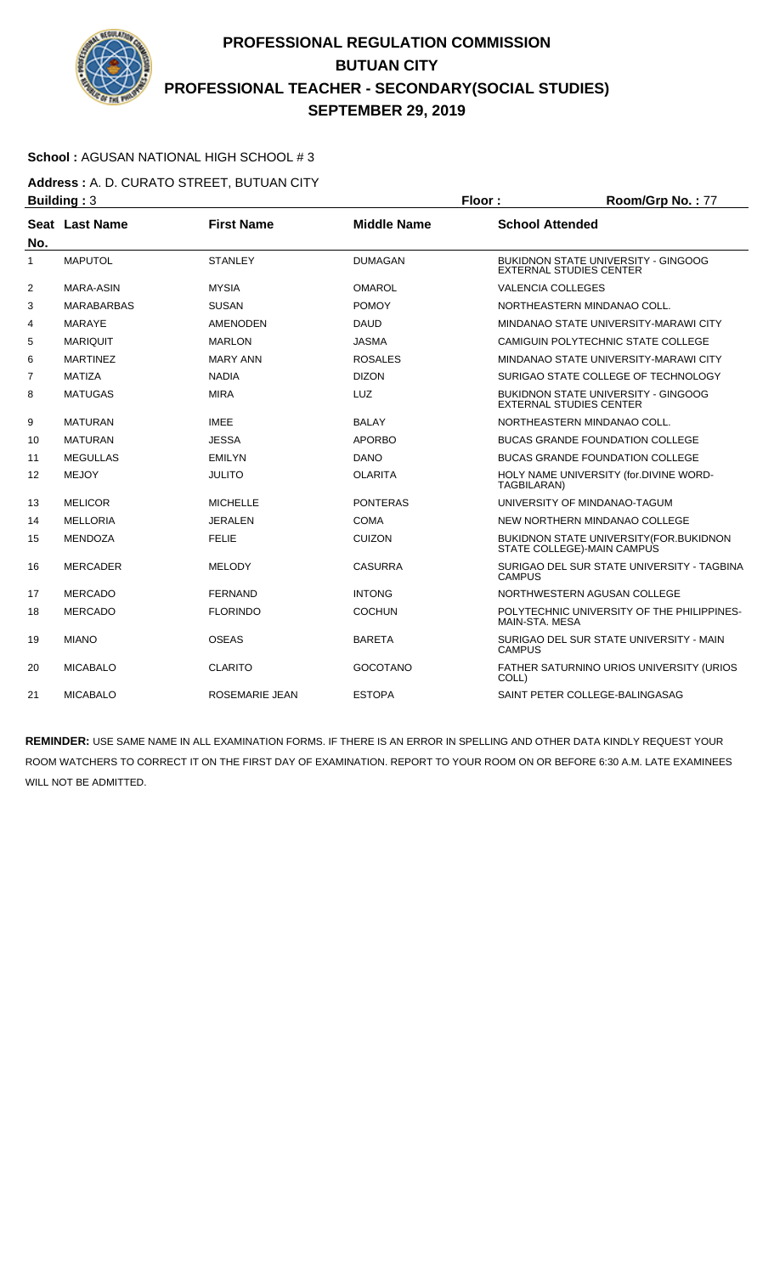

### **School :** AGUSAN NATIONAL HIGH SCHOOL # 3

**Address :** A. D. CURATO STREET, BUTUAN CITY **Building : 3 Floor : Floor : Room/Grp No. : 77** 

| No. | Seat Last Name    | <b>First Name</b>     | <b>Middle Name</b> | <b>School Attended</b>                                                       |
|-----|-------------------|-----------------------|--------------------|------------------------------------------------------------------------------|
| 1   | <b>MAPUTOL</b>    | <b>STANLEY</b>        | <b>DUMAGAN</b>     | <b>BUKIDNON STATE UNIVERSITY - GINGOOG</b><br><b>EXTERNAL STUDIES CENTER</b> |
| 2   | MARA-ASIN         | <b>MYSIA</b>          | <b>OMAROL</b>      | <b>VALENCIA COLLEGES</b>                                                     |
| 3   | <b>MARABARBAS</b> | <b>SUSAN</b>          | <b>POMOY</b>       | NORTHEASTERN MINDANAO COLL.                                                  |
| 4   | <b>MARAYE</b>     | <b>AMENODEN</b>       | <b>DAUD</b>        | MINDANAO STATE UNIVERSITY-MARAWI CITY                                        |
| 5   | <b>MARIQUIT</b>   | <b>MARLON</b>         | <b>JASMA</b>       | CAMIGUIN POLYTECHNIC STATE COLLEGE                                           |
| 6   | <b>MARTINEZ</b>   | <b>MARY ANN</b>       | <b>ROSALES</b>     | MINDANAO STATE UNIVERSITY-MARAWI CITY                                        |
| 7   | <b>MATIZA</b>     | <b>NADIA</b>          | <b>DIZON</b>       | SURIGAO STATE COLLEGE OF TECHNOLOGY                                          |
| 8   | <b>MATUGAS</b>    | <b>MIRA</b>           | LUZ                | BUKIDNON STATE UNIVERSITY - GINGOOG<br><b>EXTERNAL STUDIES CENTER</b>        |
| 9   | <b>MATURAN</b>    | <b>IMEE</b>           | <b>BALAY</b>       | NORTHEASTERN MINDANAO COLL.                                                  |
| 10  | <b>MATURAN</b>    | <b>JESSA</b>          | <b>APORBO</b>      | <b>BUCAS GRANDE FOUNDATION COLLEGE</b>                                       |
| 11  | <b>MEGULLAS</b>   | <b>EMILYN</b>         | <b>DANO</b>        | <b>BUCAS GRANDE FOUNDATION COLLEGE</b>                                       |
| 12  | <b>MEJOY</b>      | <b>JULITO</b>         | <b>OLARITA</b>     | HOLY NAME UNIVERSITY (for.DIVINE WORD-<br>TAGBILARAN)                        |
| 13  | <b>MELICOR</b>    | <b>MICHELLE</b>       | <b>PONTERAS</b>    | UNIVERSITY OF MINDANAO-TAGUM                                                 |
| 14  | <b>MELLORIA</b>   | <b>JERALEN</b>        | <b>COMA</b>        | NEW NORTHERN MINDANAO COLLEGE                                                |
| 15  | <b>MENDOZA</b>    | <b>FELIE</b>          | <b>CUIZON</b>      | BUKIDNON STATE UNIVERSITY (FOR. BUKIDNON<br>STATE COLLEGE)-MAIN CAMPUS       |
| 16  | <b>MERCADER</b>   | <b>MELODY</b>         | <b>CASURRA</b>     | SURIGAO DEL SUR STATE UNIVERSITY - TAGBINA<br><b>CAMPUS</b>                  |
| 17  | <b>MERCADO</b>    | <b>FERNAND</b>        | <b>INTONG</b>      | NORTHWESTERN AGUSAN COLLEGE                                                  |
| 18  | <b>MERCADO</b>    | <b>FLORINDO</b>       | <b>COCHUN</b>      | POLYTECHNIC UNIVERSITY OF THE PHILIPPINES-<br>MAIN-STA, MESA                 |
| 19  | <b>MIANO</b>      | <b>OSEAS</b>          | <b>BARETA</b>      | SURIGAO DEL SUR STATE UNIVERSITY - MAIN<br><b>CAMPUS</b>                     |
| 20  | <b>MICABALO</b>   | <b>CLARITO</b>        | <b>GOCOTANO</b>    | FATHER SATURNINO URIOS UNIVERSITY (URIOS<br>COLL)                            |
| 21  | <b>MICABALO</b>   | <b>ROSEMARIE JEAN</b> | <b>ESTOPA</b>      | SAINT PETER COLLEGE-BALINGASAG                                               |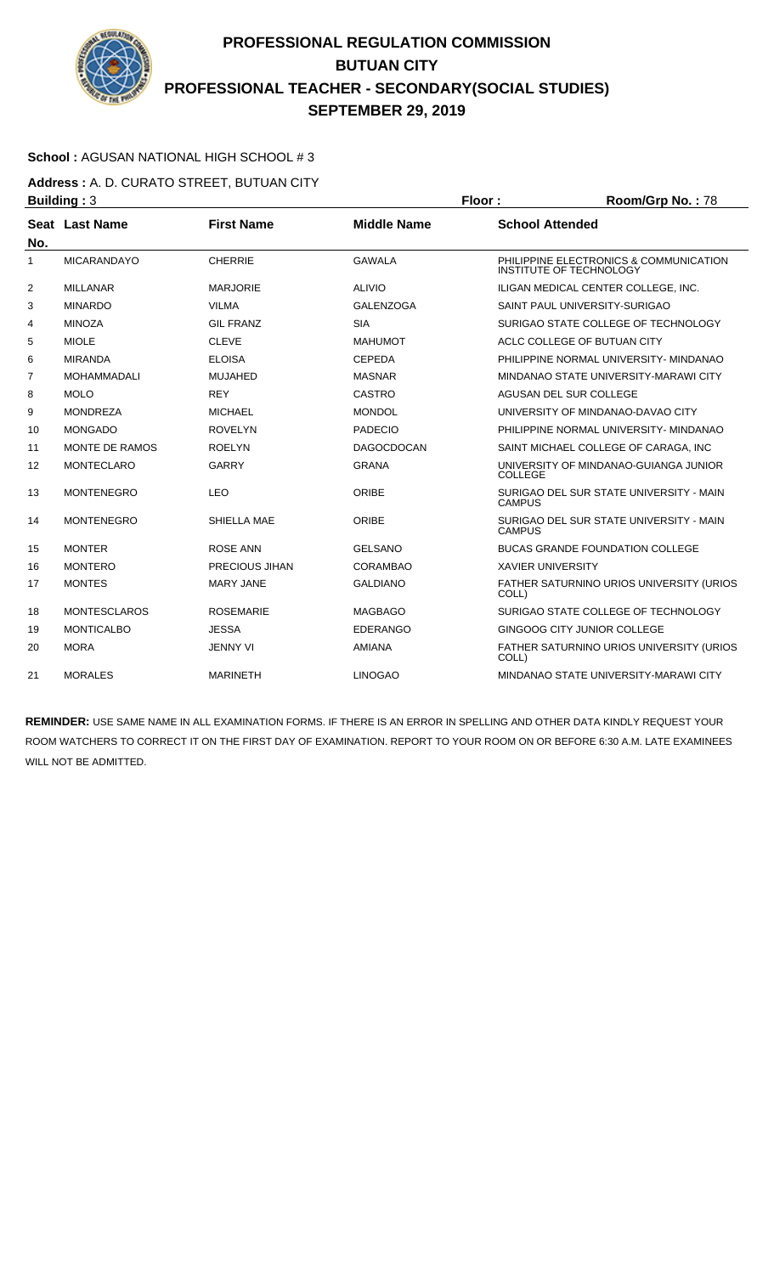

### **School :** AGUSAN NATIONAL HIGH SCHOOL # 3

**Address :** A. D. CURATO STREET, BUTUAN CITY **Building : 3 Floor : Room/Grp No. : 78** 

| No. | Seat Last Name      | <b>First Name</b>     | <b>Middle Name</b> | <b>School Attended</b>                                                   |
|-----|---------------------|-----------------------|--------------------|--------------------------------------------------------------------------|
| 1   | <b>MICARANDAYO</b>  | <b>CHERRIE</b>        | <b>GAWALA</b>      | PHILIPPINE ELECTRONICS & COMMUNICATION<br><b>INSTITUTE OF TECHNOLOGY</b> |
| 2   | <b>MILLANAR</b>     | <b>MARJORIE</b>       | <b>ALIVIO</b>      | ILIGAN MEDICAL CENTER COLLEGE. INC.                                      |
| 3   | <b>MINARDO</b>      | <b>VILMA</b>          | <b>GALENZOGA</b>   | SAINT PAUL UNIVERSITY-SURIGAO                                            |
| 4   | <b>MINOZA</b>       | <b>GIL FRANZ</b>      | <b>SIA</b>         | SURIGAO STATE COLLEGE OF TECHNOLOGY                                      |
| 5   | <b>MIOLE</b>        | <b>CLEVE</b>          | <b>MAHUMOT</b>     | ACLC COLLEGE OF BUTUAN CITY                                              |
| 6   | <b>MIRANDA</b>      | <b>ELOISA</b>         | <b>CEPEDA</b>      | PHILIPPINE NORMAL UNIVERSITY- MINDANAO                                   |
| 7   | <b>MOHAMMADALI</b>  | <b>MUJAHED</b>        | <b>MASNAR</b>      | MINDANAO STATE UNIVERSITY-MARAWI CITY                                    |
| 8   | <b>MOLO</b>         | <b>REY</b>            | CASTRO             | AGUSAN DEL SUR COLLEGE                                                   |
| 9   | <b>MONDREZA</b>     | <b>MICHAEL</b>        | <b>MONDOL</b>      | UNIVERSITY OF MINDANAO-DAVAO CITY                                        |
| 10  | <b>MONGADO</b>      | <b>ROVELYN</b>        | <b>PADECIO</b>     | PHILIPPINE NORMAL UNIVERSITY- MINDANAO                                   |
| 11  | MONTE DE RAMOS      | <b>ROELYN</b>         | <b>DAGOCDOCAN</b>  | SAINT MICHAEL COLLEGE OF CARAGA, INC                                     |
| 12  | <b>MONTECLARO</b>   | <b>GARRY</b>          | <b>GRANA</b>       | UNIVERSITY OF MINDANAO-GUIANGA JUNIOR<br>COLLEGE                         |
| 13  | <b>MONTENEGRO</b>   | <b>LEO</b>            | ORIBE              | SURIGAO DEL SUR STATE UNIVERSITY - MAIN<br><b>CAMPUS</b>                 |
| 14  | <b>MONTENEGRO</b>   | SHIELLA MAE           | ORIBE              | SURIGAO DEL SUR STATE UNIVERSITY - MAIN<br><b>CAMPUS</b>                 |
| 15  | <b>MONTER</b>       | <b>ROSE ANN</b>       | <b>GELSANO</b>     | <b>BUCAS GRANDE FOUNDATION COLLEGE</b>                                   |
| 16  | <b>MONTERO</b>      | <b>PRECIOUS JIHAN</b> | CORAMBAO           | <b>XAVIER UNIVERSITY</b>                                                 |
| 17  | <b>MONTES</b>       | <b>MARY JANE</b>      | <b>GALDIANO</b>    | FATHER SATURNINO URIOS UNIVERSITY (URIOS<br>COLL)                        |
| 18  | <b>MONTESCLAROS</b> | <b>ROSEMARIE</b>      | <b>MAGBAGO</b>     | SURIGAO STATE COLLEGE OF TECHNOLOGY                                      |
| 19  | <b>MONTICALBO</b>   | <b>JESSA</b>          | <b>EDERANGO</b>    | GINGOOG CITY JUNIOR COLLEGE                                              |
| 20  | <b>MORA</b>         | <b>JENNY VI</b>       | <b>AMIANA</b>      | FATHER SATURNINO URIOS UNIVERSITY (URIOS<br>COLL)                        |
| 21  | <b>MORALES</b>      | <b>MARINETH</b>       | <b>LINOGAO</b>     | MINDANAO STATE UNIVERSITY-MARAWI CITY                                    |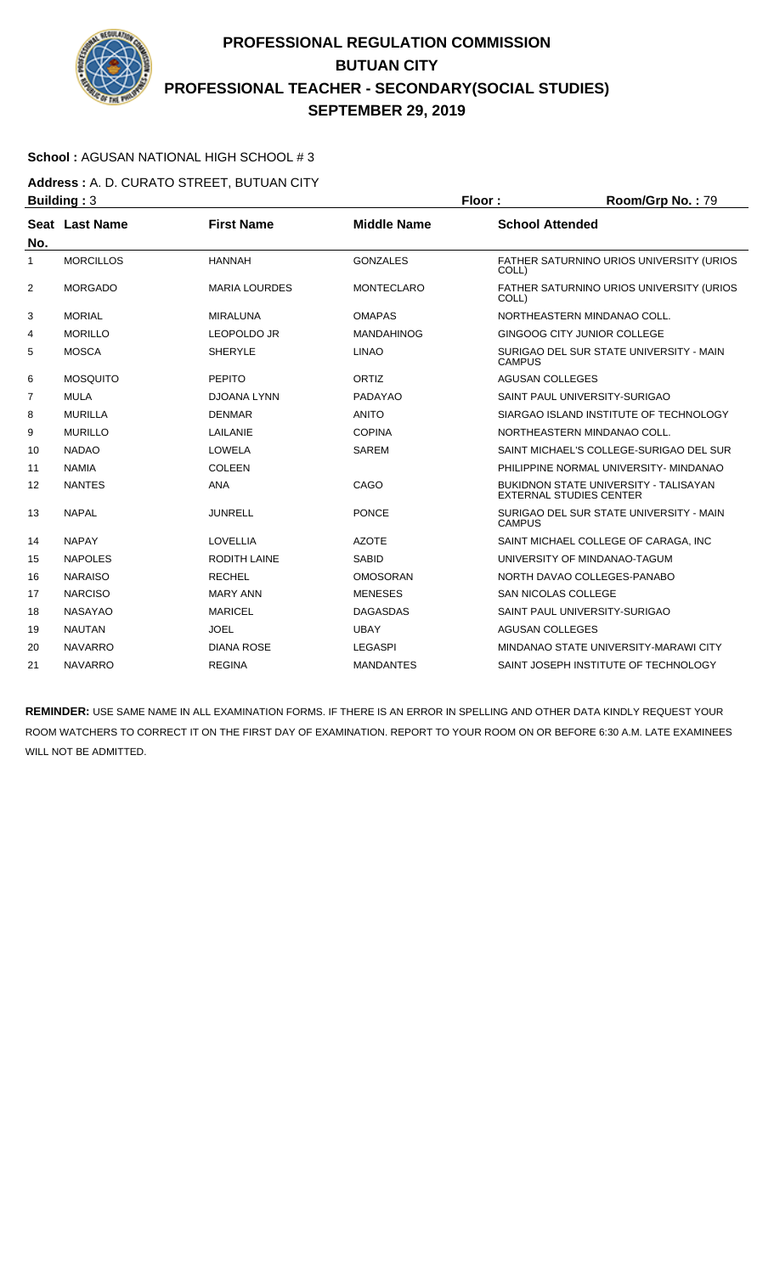

### **School :** AGUSAN NATIONAL HIGH SCHOOL # 3

**Address :** A. D. CURATO STREET, BUTUAN CITY **Building : 3 Floor : Room/Grp No. : 79** 

| No.            | Seat Last Name   | <b>First Name</b>    | <b>Middle Name</b> | <b>School Attended</b>                                                         |
|----------------|------------------|----------------------|--------------------|--------------------------------------------------------------------------------|
| 1              | <b>MORCILLOS</b> | <b>HANNAH</b>        | <b>GONZALES</b>    | FATHER SATURNINO URIOS UNIVERSITY (URIOS<br>COLL)                              |
| $\overline{2}$ | <b>MORGADO</b>   | <b>MARIA LOURDES</b> | <b>MONTECLARO</b>  | FATHER SATURNINO URIOS UNIVERSITY (URIOS<br>COLL)                              |
| 3              | <b>MORIAL</b>    | MIRALUNA             | <b>OMAPAS</b>      | NORTHEASTERN MINDANAO COLL.                                                    |
| 4              | <b>MORILLO</b>   | <b>LEOPOLDO JR</b>   | <b>MANDAHINOG</b>  | GINGOOG CITY JUNIOR COLLEGE                                                    |
| 5              | <b>MOSCA</b>     | <b>SHERYLE</b>       | <b>LINAO</b>       | SURIGAO DEL SUR STATE UNIVERSITY - MAIN<br><b>CAMPUS</b>                       |
| 6              | <b>MOSQUITO</b>  | <b>PEPITO</b>        | ORTIZ              | <b>AGUSAN COLLEGES</b>                                                         |
| 7              | <b>MULA</b>      | <b>DJOANA LYNN</b>   | PADAYAO            | SAINT PAUL UNIVERSITY-SURIGAO                                                  |
| 8              | <b>MURILLA</b>   | <b>DENMAR</b>        | <b>ANITO</b>       | SIARGAO ISLAND INSTITUTE OF TECHNOLOGY                                         |
| 9              | <b>MURILLO</b>   | LAILANIE             | <b>COPINA</b>      | NORTHEASTERN MINDANAO COLL.                                                    |
| 10             | <b>NADAO</b>     | LOWELA               | <b>SAREM</b>       | SAINT MICHAEL'S COLLEGE-SURIGAO DEL SUR                                        |
| 11             | <b>NAMIA</b>     | <b>COLEEN</b>        |                    | PHILIPPINE NORMAL UNIVERSITY- MINDANAO                                         |
| 12             | <b>NANTES</b>    | <b>ANA</b>           | CAGO               | <b>BUKIDNON STATE UNIVERSITY - TALISAYAN</b><br><b>EXTERNAL STUDIES CENTER</b> |
| 13             | <b>NAPAL</b>     | <b>JUNRELL</b>       | <b>PONCE</b>       | SURIGAO DEL SUR STATE UNIVERSITY - MAIN<br><b>CAMPUS</b>                       |
| 14             | <b>NAPAY</b>     | <b>LOVELLIA</b>      | <b>AZOTE</b>       | SAINT MICHAEL COLLEGE OF CARAGA. INC.                                          |
| 15             | <b>NAPOLES</b>   | <b>RODITH LAINE</b>  | <b>SABID</b>       | UNIVERSITY OF MINDANAO-TAGUM                                                   |
| 16             | <b>NARAISO</b>   | <b>RECHEL</b>        | <b>OMOSORAN</b>    | NORTH DAVAO COLLEGES-PANABO                                                    |
| 17             | <b>NARCISO</b>   | <b>MARY ANN</b>      | <b>MENESES</b>     | <b>SAN NICOLAS COLLEGE</b>                                                     |
| 18             | <b>NASAYAO</b>   | <b>MARICEL</b>       | <b>DAGASDAS</b>    | SAINT PAUL UNIVERSITY-SURIGAO                                                  |
| 19             | <b>NAUTAN</b>    | <b>JOEL</b>          | <b>UBAY</b>        | <b>AGUSAN COLLEGES</b>                                                         |
| 20             | <b>NAVARRO</b>   | <b>DIANA ROSE</b>    | <b>LEGASPI</b>     | MINDANAO STATE UNIVERSITY-MARAWI CITY                                          |
| 21             | <b>NAVARRO</b>   | <b>REGINA</b>        | <b>MANDANTES</b>   | SAINT JOSEPH INSTITUTE OF TECHNOLOGY                                           |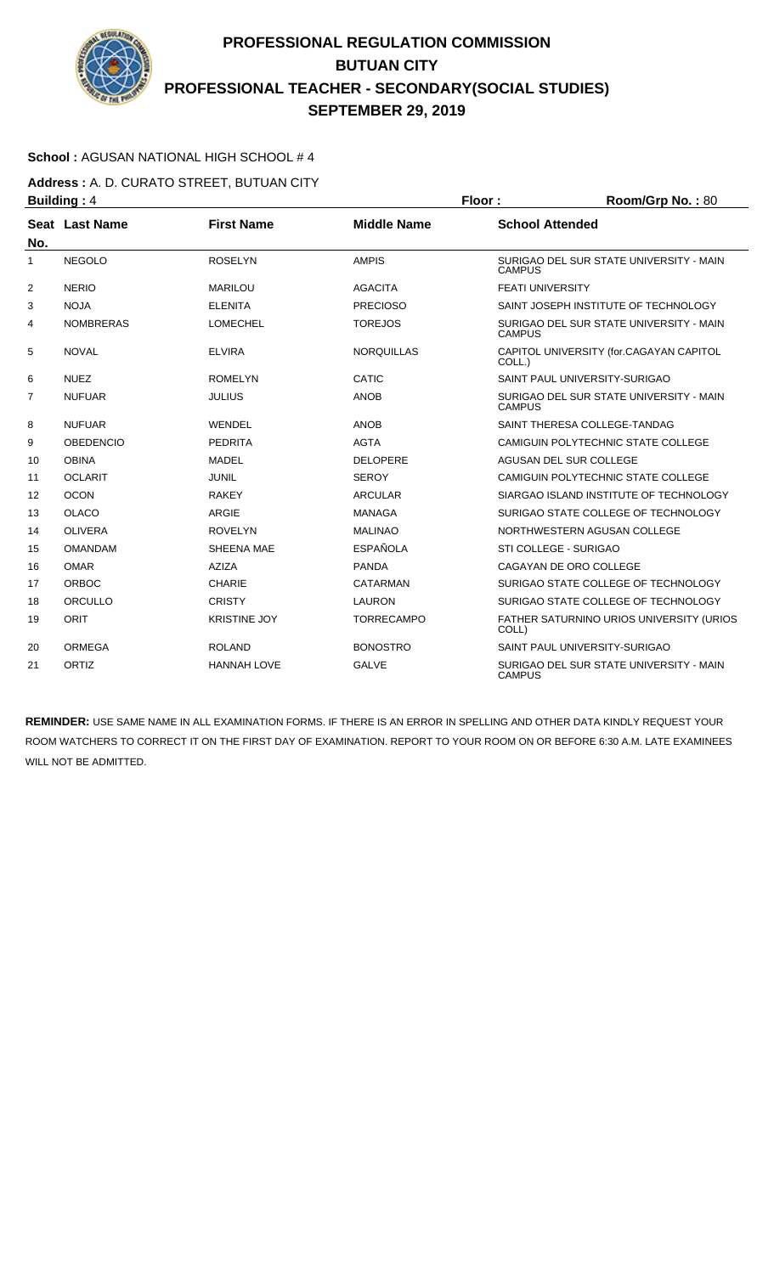

### **School :** AGUSAN NATIONAL HIGH SCHOOL # 4

**Address :** A. D. CURATO STREET, BUTUAN CITY **Building : 4 Floor : Room/Grp No. : 80** 

| No.            | Seat Last Name   | <b>First Name</b>   | <b>Middle Name</b> | <b>School Attended</b>                                   |
|----------------|------------------|---------------------|--------------------|----------------------------------------------------------|
| 1              | <b>NEGOLO</b>    | <b>ROSELYN</b>      | <b>AMPIS</b>       | SURIGAO DEL SUR STATE UNIVERSITY - MAIN<br><b>CAMPUS</b> |
| 2              | <b>NERIO</b>     | <b>MARILOU</b>      | <b>AGACITA</b>     | <b>FEATI UNIVERSITY</b>                                  |
| 3              | <b>NOJA</b>      | <b>ELENITA</b>      | <b>PRECIOSO</b>    | SAINT JOSEPH INSTITUTE OF TECHNOLOGY                     |
| 4              | <b>NOMBRERAS</b> | <b>LOMECHEL</b>     | <b>TOREJOS</b>     | SURIGAO DEL SUR STATE UNIVERSITY - MAIN<br><b>CAMPUS</b> |
| 5              | <b>NOVAL</b>     | <b>ELVIRA</b>       | <b>NOROUILLAS</b>  | CAPITOL UNIVERSITY (for.CAGAYAN CAPITOL<br>COLL.)        |
| 6              | <b>NUEZ</b>      | <b>ROMELYN</b>      | CATIC              | SAINT PAUL UNIVERSITY-SURIGAO                            |
| $\overline{7}$ | <b>NUFUAR</b>    | <b>JULIUS</b>       | <b>ANOB</b>        | SURIGAO DEL SUR STATE UNIVERSITY - MAIN<br><b>CAMPUS</b> |
| 8              | <b>NUFUAR</b>    | WENDEL              | <b>ANOB</b>        | SAINT THERESA COLLEGE-TANDAG                             |
| 9              | <b>OBEDENCIO</b> | <b>PEDRITA</b>      | <b>AGTA</b>        | CAMIGUIN POLYTECHNIC STATE COLLEGE                       |
| 10             | <b>OBINA</b>     | <b>MADEL</b>        | <b>DELOPERE</b>    | AGUSAN DEL SUR COLLEGE                                   |
| 11             | <b>OCLARIT</b>   | <b>JUNIL</b>        | <b>SEROY</b>       | CAMIGUIN POLYTECHNIC STATE COLLEGE                       |
| 12             | <b>OCON</b>      | <b>RAKEY</b>        | <b>ARCULAR</b>     | SIARGAO ISLAND INSTITUTE OF TECHNOLOGY                   |
| 13             | <b>OLACO</b>     | <b>ARGIE</b>        | <b>MANAGA</b>      | SURIGAO STATE COLLEGE OF TECHNOLOGY                      |
| 14             | <b>OLIVERA</b>   | <b>ROVELYN</b>      | <b>MALINAO</b>     | NORTHWESTERN AGUSAN COLLEGE                              |
| 15             | <b>OMANDAM</b>   | <b>SHEENA MAE</b>   | <b>ESPAÑOLA</b>    | STI COLLEGE - SURIGAO                                    |
| 16             | <b>OMAR</b>      | <b>AZIZA</b>        | <b>PANDA</b>       | CAGAYAN DE ORO COLLEGE                                   |
| 17             | <b>ORBOC</b>     | <b>CHARIE</b>       | CATARMAN           | SURIGAO STATE COLLEGE OF TECHNOLOGY                      |
| 18             | ORCULLO          | <b>CRISTY</b>       | <b>LAURON</b>      | SURIGAO STATE COLLEGE OF TECHNOLOGY                      |
| 19             | ORIT             | <b>KRISTINE JOY</b> | <b>TORRECAMPO</b>  | FATHER SATURNINO URIOS UNIVERSITY (URIOS<br>COLL)        |
| 20             | ORMEGA           | <b>ROLAND</b>       | <b>BONOSTRO</b>    | SAINT PAUL UNIVERSITY-SURIGAO                            |
| 21             | ORTIZ            | <b>HANNAH LOVE</b>  | <b>GALVE</b>       | SURIGAO DEL SUR STATE UNIVERSITY - MAIN<br><b>CAMPUS</b> |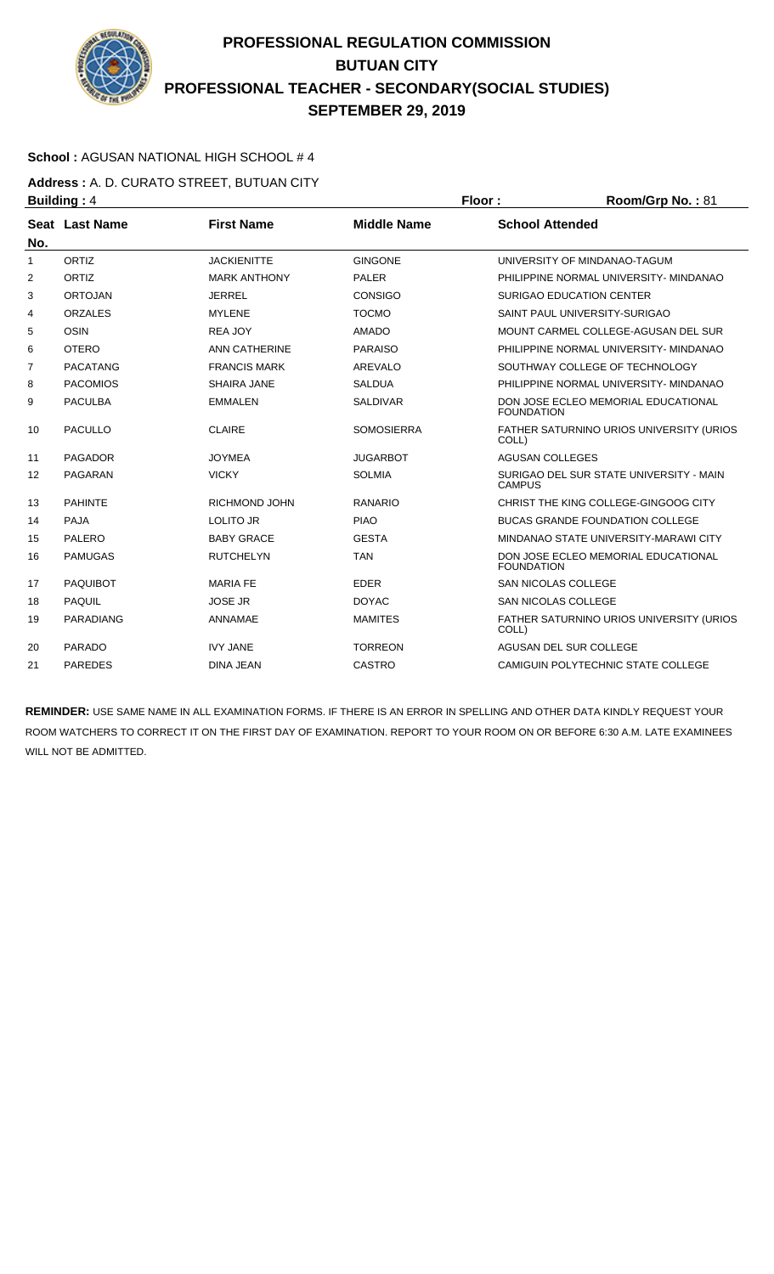

### **School :** AGUSAN NATIONAL HIGH SCHOOL # 4

**Address :** A. D. CURATO STREET, BUTUAN CITY **Building : 4 Floor : Floor : Room/Grp No. : 81** 

| No.            | Seat Last Name   | <b>First Name</b>    | <b>Middle Name</b> | <b>School Attended</b>                                    |
|----------------|------------------|----------------------|--------------------|-----------------------------------------------------------|
| 1              | ORTIZ            | <b>JACKIENITTE</b>   | <b>GINGONE</b>     | UNIVERSITY OF MINDANAO-TAGUM                              |
| 2              | ORTIZ            | <b>MARK ANTHONY</b>  | <b>PALER</b>       | PHILIPPINE NORMAL UNIVERSITY- MINDANAO                    |
| 3              | <b>ORTOJAN</b>   | <b>JERREL</b>        | <b>CONSIGO</b>     | <b>SURIGAO EDUCATION CENTER</b>                           |
| 4              | <b>ORZALES</b>   | <b>MYLENE</b>        | <b>TOCMO</b>       | SAINT PAUL UNIVERSITY-SURIGAO                             |
| 5              | <b>OSIN</b>      | <b>REA JOY</b>       | <b>AMADO</b>       | MOUNT CARMEL COLLEGE-AGUSAN DEL SUR                       |
| 6              | <b>OTERO</b>     | <b>ANN CATHERINE</b> | <b>PARAISO</b>     | PHILIPPINE NORMAL UNIVERSITY- MINDANAO                    |
| $\overline{7}$ | <b>PACATANG</b>  | <b>FRANCIS MARK</b>  | AREVALO            | SOUTHWAY COLLEGE OF TECHNOLOGY                            |
| 8              | <b>PACOMIOS</b>  | SHAIRA JANE          | <b>SALDUA</b>      | PHILIPPINE NORMAL UNIVERSITY- MINDANAO                    |
| 9              | <b>PACULBA</b>   | <b>EMMALEN</b>       | <b>SALDIVAR</b>    | DON JOSE ECLEO MEMORIAL EDUCATIONAL<br><b>FOUNDATION</b>  |
| 10             | <b>PACULLO</b>   | <b>CLAIRE</b>        | <b>SOMOSIERRA</b>  | FATHER SATURNINO URIOS UNIVERSITY (URIOS<br>COLL)         |
| 11             | <b>PAGADOR</b>   | <b>JOYMEA</b>        | <b>JUGARBOT</b>    | <b>AGUSAN COLLEGES</b>                                    |
| 12             | PAGARAN          | <b>VICKY</b>         | <b>SOLMIA</b>      | SURIGAO DEL SUR STATE UNIVERSITY - MAIN<br><b>CAMPUS</b>  |
| 13             | <b>PAHINTE</b>   | RICHMOND JOHN        | <b>RANARIO</b>     | CHRIST THE KING COLLEGE-GINGOOG CITY                      |
| 14             | <b>PAJA</b>      | <b>LOLITO JR</b>     | <b>PIAO</b>        | <b>BUCAS GRANDE FOUNDATION COLLEGE</b>                    |
| 15             | PALERO           | <b>BABY GRACE</b>    | <b>GESTA</b>       | MINDANAO STATE UNIVERSITY-MARAWI CITY                     |
| 16             | <b>PAMUGAS</b>   | <b>RUTCHELYN</b>     | <b>TAN</b>         | DON JOSE ECLEO MEMORIAL EDUCATIONAL<br><b>FOUNDATION</b>  |
| 17             | <b>PAQUIBOT</b>  | <b>MARIA FE</b>      | <b>EDER</b>        | <b>SAN NICOLAS COLLEGE</b>                                |
| 18             | <b>PAQUIL</b>    | <b>JOSE JR</b>       | <b>DOYAC</b>       | SAN NICOLAS COLLEGE                                       |
| 19             | <b>PARADIANG</b> | ANNAMAE              | <b>MAMITES</b>     | <b>FATHER SATURNINO URIOS UNIVERSITY (URIOS)</b><br>COLL) |
| 20             | PARADO           | <b>IVY JANE</b>      | <b>TORREON</b>     | AGUSAN DEL SUR COLLEGE                                    |
| 21             | <b>PAREDES</b>   | <b>DINA JEAN</b>     | CASTRO             | CAMIGUIN POLYTECHNIC STATE COLLEGE                        |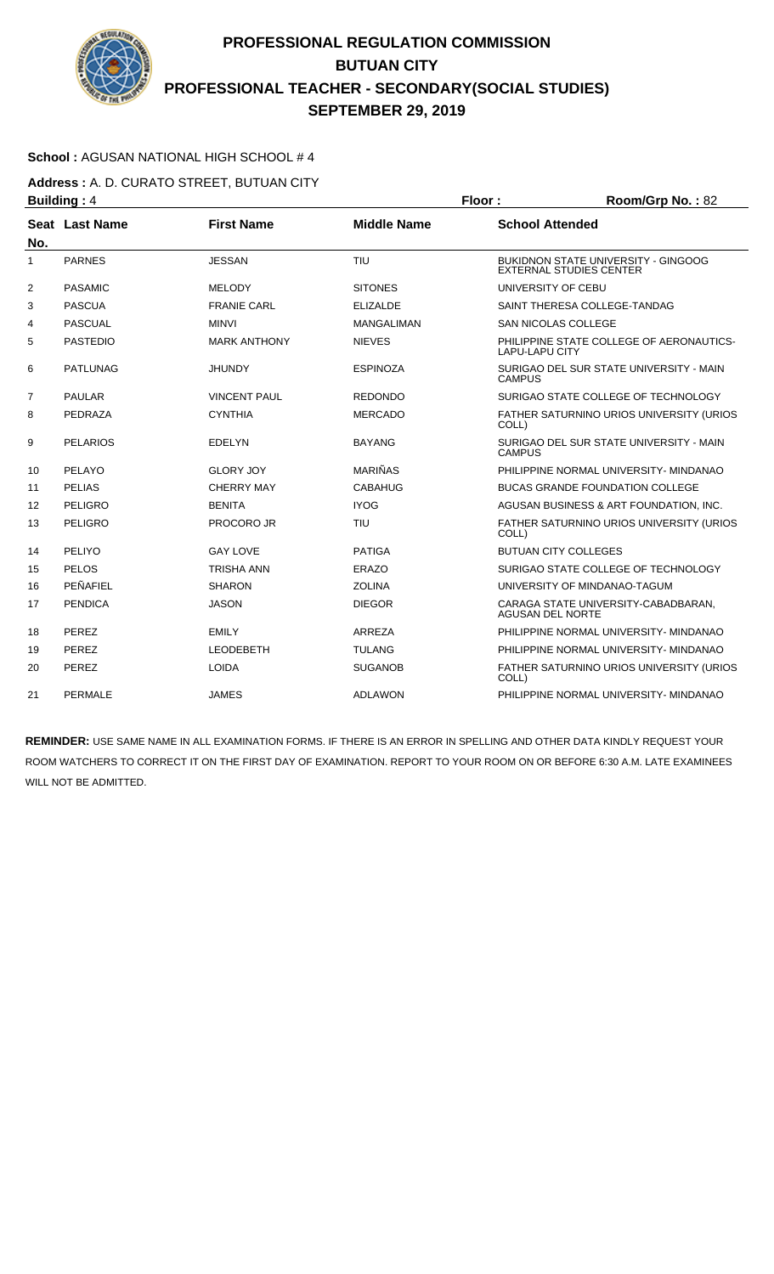

### **School :** AGUSAN NATIONAL HIGH SCHOOL # 4

**Address :** A. D. CURATO STREET, BUTUAN CITY **Building : 4 Floor : Floor : Room/Grp No. : 82** 

| No.               | Seat Last Name  | <b>First Name</b>   | <b>Middle Name</b> | <b>School Attended</b>                                                       |
|-------------------|-----------------|---------------------|--------------------|------------------------------------------------------------------------------|
| 1                 | <b>PARNES</b>   | <b>JESSAN</b>       | <b>TIU</b>         | <b>BUKIDNON STATE UNIVERSITY - GINGOOG</b><br><b>EXTERNAL STUDIES CENTER</b> |
| 2                 | <b>PASAMIC</b>  | <b>MELODY</b>       | <b>SITONES</b>     | UNIVERSITY OF CEBU                                                           |
| 3                 | <b>PASCUA</b>   | <b>FRANIE CARL</b>  | <b>ELIZALDE</b>    | SAINT THERESA COLLEGE-TANDAG                                                 |
| 4                 | PASCUAL         | <b>MINVI</b>        | <b>MANGALIMAN</b>  | <b>SAN NICOLAS COLLEGE</b>                                                   |
| 5                 | <b>PASTEDIO</b> | <b>MARK ANTHONY</b> | <b>NIEVES</b>      | PHILIPPINE STATE COLLEGE OF AERONAUTICS-<br><b>LAPU-LAPU CITY</b>            |
| 6                 | <b>PATLUNAG</b> | <b>JHUNDY</b>       | <b>ESPINOZA</b>    | SURIGAO DEL SUR STATE UNIVERSITY - MAIN<br><b>CAMPUS</b>                     |
| $\overline{7}$    | <b>PAULAR</b>   | <b>VINCENT PAUL</b> | <b>REDONDO</b>     | SURIGAO STATE COLLEGE OF TECHNOLOGY                                          |
| 8                 | PEDRAZA         | <b>CYNTHIA</b>      | <b>MERCADO</b>     | FATHER SATURNINO URIOS UNIVERSITY (URIOS<br>COLL)                            |
| 9                 | <b>PELARIOS</b> | <b>EDELYN</b>       | <b>BAYANG</b>      | SURIGAO DEL SUR STATE UNIVERSITY - MAIN<br><b>CAMPUS</b>                     |
| 10                | PELAYO          | <b>GLORY JOY</b>    | <b>MARIÑAS</b>     | PHILIPPINE NORMAL UNIVERSITY- MINDANAO                                       |
| 11                | <b>PELIAS</b>   | <b>CHERRY MAY</b>   | <b>CABAHUG</b>     | <b>BUCAS GRANDE FOUNDATION COLLEGE</b>                                       |
| $12 \overline{ }$ | PELIGRO         | <b>BENITA</b>       | <b>IYOG</b>        | AGUSAN BUSINESS & ART FOUNDATION, INC.                                       |
| 13                | PELIGRO         | <b>PROCORO JR</b>   | TIU                | FATHER SATURNINO URIOS UNIVERSITY (URIOS<br>COLL)                            |
| 14                | PELIYO          | <b>GAY LOVE</b>     | <b>PATIGA</b>      | <b>BUTUAN CITY COLLEGES</b>                                                  |
| 15                | PELOS           | <b>TRISHA ANN</b>   | ERAZO              | SURIGAO STATE COLLEGE OF TECHNOLOGY                                          |
| 16                | PEÑAFIEL        | <b>SHARON</b>       | <b>ZOLINA</b>      | UNIVERSITY OF MINDANAO-TAGUM                                                 |
| 17                | <b>PENDICA</b>  | <b>JASON</b>        | <b>DIEGOR</b>      | CARAGA STATE UNIVERSITY-CABADBARAN,<br><b>AGUSAN DEL NORTE</b>               |
| 18                | PEREZ           | <b>EMILY</b>        | ARREZA             | PHILIPPINE NORMAL UNIVERSITY- MINDANAO                                       |
| 19                | PEREZ           | <b>LEODEBETH</b>    | <b>TULANG</b>      | PHILIPPINE NORMAL UNIVERSITY- MINDANAO                                       |
| 20                | PEREZ           | <b>LOIDA</b>        | <b>SUGANOB</b>     | FATHER SATURNINO URIOS UNIVERSITY (URIOS<br>COLL)                            |
| 21                | PERMALE         | <b>JAMES</b>        | <b>ADLAWON</b>     | PHILIPPINE NORMAL UNIVERSITY- MINDANAO                                       |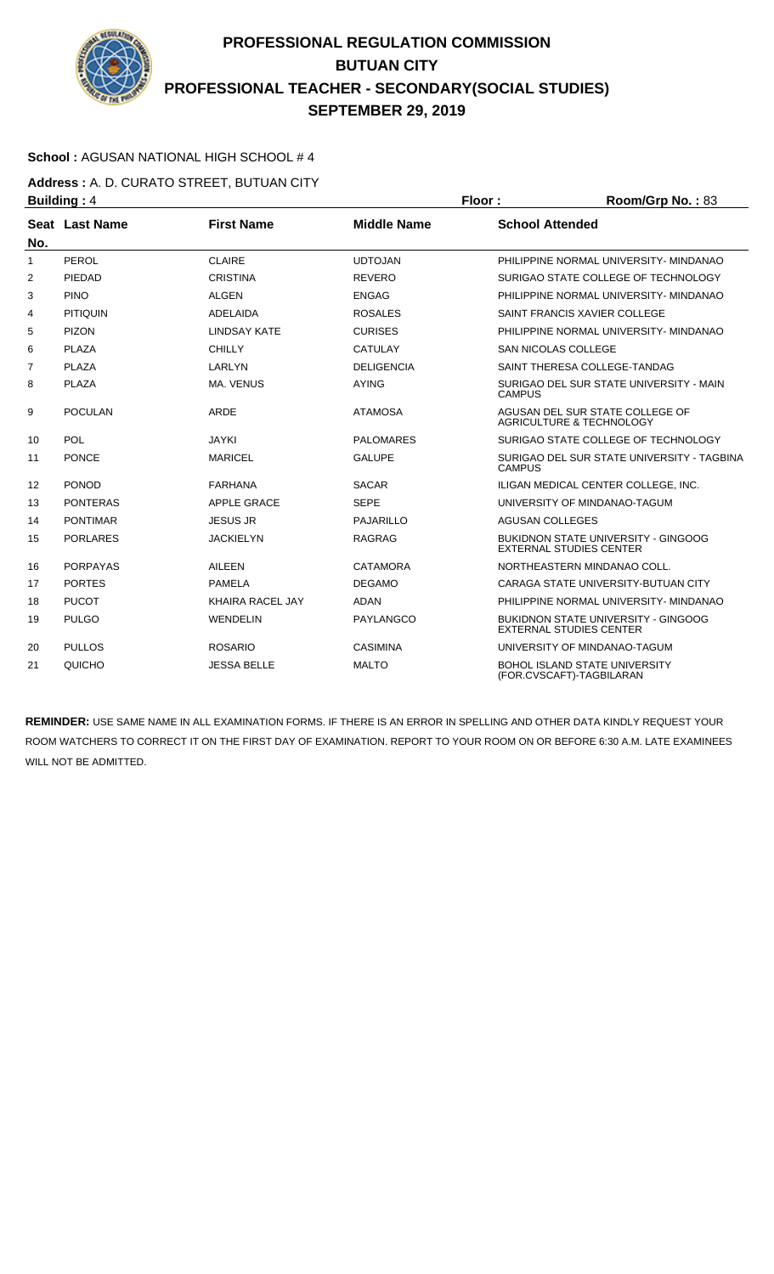

### **School :** AGUSAN NATIONAL HIGH SCHOOL # 4

**Address :** A. D. CURATO STREET, BUTUAN CITY **Building : 4 Floor : Room/Grp No. : 83** 

| No.            | Seat Last Name  | <b>First Name</b>   | <b>Middle Name</b> | <b>School Attended</b>                                                       |
|----------------|-----------------|---------------------|--------------------|------------------------------------------------------------------------------|
| 1              | PEROL           | <b>CLAIRE</b>       | <b>UDTOJAN</b>     | PHILIPPINE NORMAL UNIVERSITY- MINDANAO                                       |
| 2              | PIEDAD          | <b>CRISTINA</b>     | <b>REVERO</b>      | SURIGAO STATE COLLEGE OF TECHNOLOGY                                          |
| 3              | <b>PINO</b>     | <b>ALGEN</b>        | <b>ENGAG</b>       | PHILIPPINE NORMAL UNIVERSITY- MINDANAO                                       |
| 4              | <b>PITIQUIN</b> | <b>ADELAIDA</b>     | <b>ROSALES</b>     | SAINT FRANCIS XAVIER COLLEGE                                                 |
| 5              | <b>PIZON</b>    | <b>LINDSAY KATE</b> | <b>CURISES</b>     | PHILIPPINE NORMAL UNIVERSITY- MINDANAO                                       |
| 6              | <b>PLAZA</b>    | <b>CHILLY</b>       | <b>CATULAY</b>     | <b>SAN NICOLAS COLLEGE</b>                                                   |
| $\overline{7}$ | <b>PLAZA</b>    | LARLYN              | <b>DELIGENCIA</b>  | SAINT THERESA COLLEGE-TANDAG                                                 |
| 8              | PLAZA           | MA, VENUS           | <b>AYING</b>       | SURIGAO DEL SUR STATE UNIVERSITY - MAIN<br><b>CAMPUS</b>                     |
| 9              | <b>POCULAN</b>  | <b>ARDE</b>         | <b>ATAMOSA</b>     | AGUSAN DEL SUR STATE COLLEGE OF<br><b>AGRICULTURE &amp; TECHNOLOGY</b>       |
| 10             | POL             | <b>JAYKI</b>        | <b>PALOMARES</b>   | SURIGAO STATE COLLEGE OF TECHNOLOGY                                          |
| 11             | <b>PONCE</b>    | <b>MARICEL</b>      | <b>GALUPE</b>      | SURIGAO DEL SUR STATE UNIVERSITY - TAGBINA<br><b>CAMPUS</b>                  |
| 12             | <b>PONOD</b>    | <b>FARHANA</b>      | <b>SACAR</b>       | ILIGAN MEDICAL CENTER COLLEGE. INC.                                          |
| 13             | <b>PONTERAS</b> | APPLE GRACE         | <b>SEPE</b>        | UNIVERSITY OF MINDANAO-TAGUM                                                 |
| 14             | <b>PONTIMAR</b> | <b>JESUS JR</b>     | PAJARILLO          | <b>AGUSAN COLLEGES</b>                                                       |
| 15             | <b>PORLARES</b> | <b>JACKIELYN</b>    | <b>RAGRAG</b>      | <b>BUKIDNON STATE UNIVERSITY - GINGOOG</b><br><b>EXTERNAL STUDIES CENTER</b> |
| 16             | <b>PORPAYAS</b> | <b>AILEEN</b>       | <b>CATAMORA</b>    | NORTHEASTERN MINDANAO COLL.                                                  |
| 17             | <b>PORTES</b>   | <b>PAMELA</b>       | <b>DEGAMO</b>      | CARAGA STATE UNIVERSITY-BUTUAN CITY                                          |
| 18             | <b>PUCOT</b>    | KHAIRA RACEL JAY    | <b>ADAN</b>        | PHILIPPINE NORMAL UNIVERSITY- MINDANAO                                       |
| 19             | <b>PULGO</b>    | <b>WENDELIN</b>     | <b>PAYLANGCO</b>   | <b>BUKIDNON STATE UNIVERSITY - GINGOOG</b><br><b>EXTERNAL STUDIES CENTER</b> |
| 20             | <b>PULLOS</b>   | <b>ROSARIO</b>      | <b>CASIMINA</b>    | UNIVERSITY OF MINDANAO-TAGUM                                                 |
| 21             | QUICHO          | <b>JESSA BELLE</b>  | <b>MALTO</b>       | <b>BOHOL ISLAND STATE UNIVERSITY</b><br>(FOR.CVSCAFT)-TAGBILARAN             |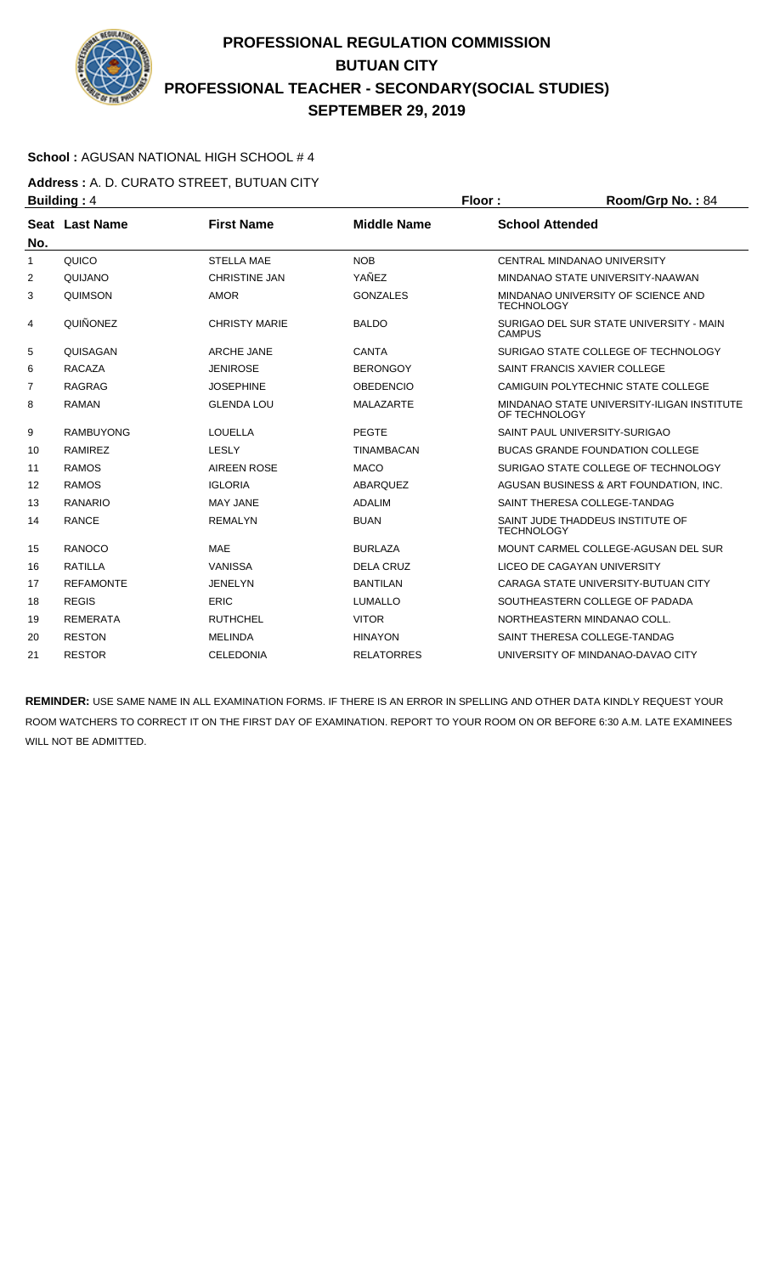

### **School :** AGUSAN NATIONAL HIGH SCHOOL # 4

**Address :** A. D. CURATO STREET, BUTUAN CITY **Building : 4 Floor : Floor : Room/Grp No. : 84** 

| No. | Seat Last Name   | <b>First Name</b>    | <b>Middle Name</b> | <b>School Attended</b>                                      |
|-----|------------------|----------------------|--------------------|-------------------------------------------------------------|
| 1   | QUICO            | <b>STELLA MAE</b>    | <b>NOB</b>         | CENTRAL MINDANAO UNIVERSITY                                 |
| 2   | QUIJANO          | <b>CHRISTINE JAN</b> | YAÑEZ              | MINDANAO STATE UNIVERSITY-NAAWAN                            |
| 3   | <b>QUIMSON</b>   | <b>AMOR</b>          | <b>GONZALES</b>    | MINDANAO UNIVERSITY OF SCIENCE AND<br><b>TECHNOLOGY</b>     |
| 4   | QUIÑONEZ         | <b>CHRISTY MARIE</b> | <b>BALDO</b>       | SURIGAO DEL SUR STATE UNIVERSITY - MAIN<br><b>CAMPUS</b>    |
| 5   | QUISAGAN         | <b>ARCHE JANE</b>    | <b>CANTA</b>       | SURIGAO STATE COLLEGE OF TECHNOLOGY                         |
| 6   | <b>RACAZA</b>    | <b>JENIROSE</b>      | <b>BERONGOY</b>    | SAINT FRANCIS XAVIER COLLEGE                                |
| 7   | <b>RAGRAG</b>    | <b>JOSEPHINE</b>     | <b>OBEDENCIO</b>   | CAMIGUIN POLYTECHNIC STATE COLLEGE                          |
| 8   | <b>RAMAN</b>     | <b>GLENDA LOU</b>    | <b>MALAZARTE</b>   | MINDANAO STATE UNIVERSITY-ILIGAN INSTITUTE<br>OF TECHNOLOGY |
| 9   | <b>RAMBUYONG</b> | LOUELLA              | <b>PEGTE</b>       | SAINT PAUL UNIVERSITY-SURIGAO                               |
| 10  | <b>RAMIREZ</b>   | LESLY                | <b>TINAMBACAN</b>  | <b>BUCAS GRANDE FOUNDATION COLLEGE</b>                      |
| 11  | <b>RAMOS</b>     | <b>AIREEN ROSE</b>   | <b>MACO</b>        | SURIGAO STATE COLLEGE OF TECHNOLOGY                         |
| 12  | <b>RAMOS</b>     | <b>IGLORIA</b>       | <b>ABARQUEZ</b>    | AGUSAN BUSINESS & ART FOUNDATION, INC.                      |
| 13  | RANARIO          | <b>MAY JANE</b>      | <b>ADALIM</b>      | SAINT THERESA COLLEGE-TANDAG                                |
| 14  | <b>RANCE</b>     | <b>REMALYN</b>       | <b>BUAN</b>        | SAINT JUDE THADDEUS INSTITUTE OF<br><b>TECHNOLOGY</b>       |
| 15  | RANOCO           | <b>MAE</b>           | <b>BURLAZA</b>     | MOUNT CARMEL COLLEGE-AGUSAN DEL SUR                         |
| 16  | <b>RATILLA</b>   | <b>VANISSA</b>       | <b>DELA CRUZ</b>   | LICEO DE CAGAYAN UNIVERSITY                                 |
| 17  | <b>REFAMONTE</b> | <b>JENELYN</b>       | <b>BANTILAN</b>    | CARAGA STATE UNIVERSITY-BUTUAN CITY                         |
| 18  | <b>REGIS</b>     | <b>ERIC</b>          | <b>LUMALLO</b>     | SOUTHEASTERN COLLEGE OF PADADA                              |
| 19  | <b>REMERATA</b>  | <b>RUTHCHEL</b>      | <b>VITOR</b>       | NORTHEASTERN MINDANAO COLL.                                 |
| 20  | <b>RESTON</b>    | <b>MELINDA</b>       | <b>HINAYON</b>     | SAINT THERESA COLLEGE-TANDAG                                |
| 21  | <b>RESTOR</b>    | <b>CELEDONIA</b>     | <b>RELATORRES</b>  | UNIVERSITY OF MINDANAO-DAVAO CITY                           |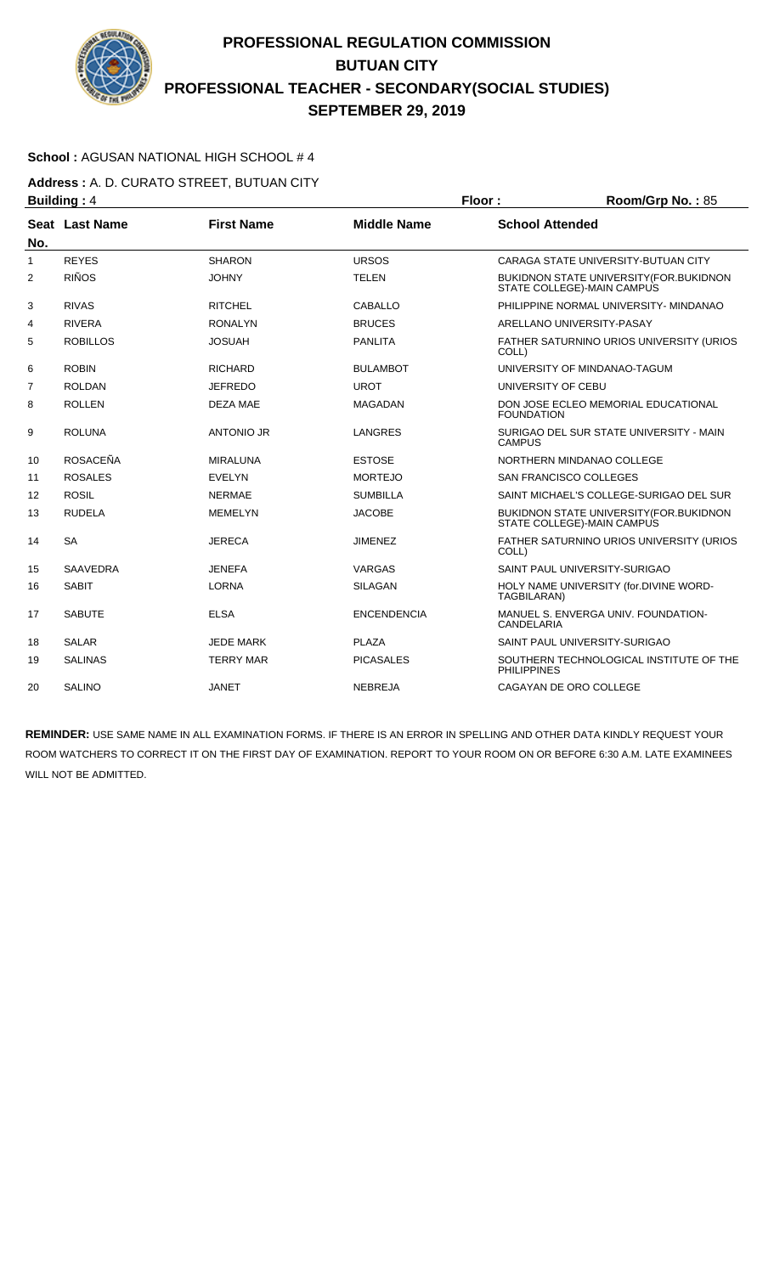

### **School :** AGUSAN NATIONAL HIGH SCHOOL # 4

**Address :** A. D. CURATO STREET, BUTUAN CITY **Building : 4 Floor : Room/Grp No. : 85** 

|                | ринингу . т     |                   |                    | .                                                                              |
|----------------|-----------------|-------------------|--------------------|--------------------------------------------------------------------------------|
| No.            | Seat Last Name  | <b>First Name</b> | <b>Middle Name</b> | <b>School Attended</b>                                                         |
| 1              | <b>REYES</b>    | <b>SHARON</b>     | <b>URSOS</b>       | CARAGA STATE UNIVERSITY-BUTUAN CITY                                            |
| 2              | <b>RIÑOS</b>    | <b>JOHNY</b>      | <b>TELEN</b>       | <b>BUKIDNON STATE UNIVERSITY (FOR.BUKIDNON)</b><br>STATE COLLEGE)-MAIN CAMPUS  |
| 3              | <b>RIVAS</b>    | <b>RITCHEL</b>    | <b>CABALLO</b>     | PHILIPPINE NORMAL UNIVERSITY- MINDANAO                                         |
| 4              | <b>RIVERA</b>   | <b>RONALYN</b>    | <b>BRUCES</b>      | ARELLANO UNIVERSITY-PASAY                                                      |
| 5              | <b>ROBILLOS</b> | <b>JOSUAH</b>     | <b>PANLITA</b>     | FATHER SATURNINO URIOS UNIVERSITY (URIOS<br>COLL)                              |
| 6              | <b>ROBIN</b>    | <b>RICHARD</b>    | <b>BULAMBOT</b>    | UNIVERSITY OF MINDANAO-TAGUM                                                   |
| $\overline{7}$ | <b>ROLDAN</b>   | <b>JEFREDO</b>    | <b>UROT</b>        | UNIVERSITY OF CEBU                                                             |
| 8              | <b>ROLLEN</b>   | <b>DEZA MAE</b>   | <b>MAGADAN</b>     | DON JOSE ECLEO MEMORIAL EDUCATIONAL<br><b>FOUNDATION</b>                       |
| 9              | <b>ROLUNA</b>   | <b>ANTONIO JR</b> | LANGRES            | SURIGAO DEL SUR STATE UNIVERSITY - MAIN<br><b>CAMPUS</b>                       |
| 10             | <b>ROSACEÑA</b> | <b>MIRALUNA</b>   | <b>ESTOSE</b>      | NORTHERN MINDANAO COLLEGE                                                      |
| 11             | <b>ROSALES</b>  | <b>EVELYN</b>     | <b>MORTEJO</b>     | <b>SAN FRANCISCO COLLEGES</b>                                                  |
| 12             | <b>ROSIL</b>    | <b>NERMAE</b>     | <b>SUMBILLA</b>    | SAINT MICHAEL'S COLLEGE-SURIGAO DEL SUR                                        |
| 13             | <b>RUDELA</b>   | <b>MEMELYN</b>    | <b>JACOBE</b>      | <b>BUKIDNON STATE UNIVERSITY (FOR. BUKIDNON)</b><br>STATE COLLEGE)-MAIN CAMPUS |
| 14             | <b>SA</b>       | <b>JERECA</b>     | <b>JIMENEZ</b>     | FATHER SATURNINO URIOS UNIVERSITY (URIOS<br>COLL)                              |
| 15             | <b>SAAVEDRA</b> | <b>JENEFA</b>     | VARGAS             | SAINT PAUL UNIVERSITY-SURIGAO                                                  |
| 16             | <b>SABIT</b>    | <b>LORNA</b>      | <b>SILAGAN</b>     | HOLY NAME UNIVERSITY (for.DIVINE WORD-<br>TAGBILARAN)                          |
| 17             | <b>SABUTE</b>   | <b>ELSA</b>       | <b>ENCENDENCIA</b> | MANUEL S. ENVERGA UNIV. FOUNDATION-<br>CANDELARIA                              |
| 18             | <b>SALAR</b>    | <b>JEDE MARK</b>  | <b>PLAZA</b>       | SAINT PAUL UNIVERSITY-SURIGAO                                                  |
| 19             | <b>SALINAS</b>  | <b>TERRY MAR</b>  | <b>PICASALES</b>   | SOUTHERN TECHNOLOGICAL INSTITUTE OF THE<br><b>PHILIPPINES</b>                  |
| 20             | <b>SALINO</b>   | JANET             | <b>NEBREJA</b>     | CAGAYAN DE ORO COLLEGE                                                         |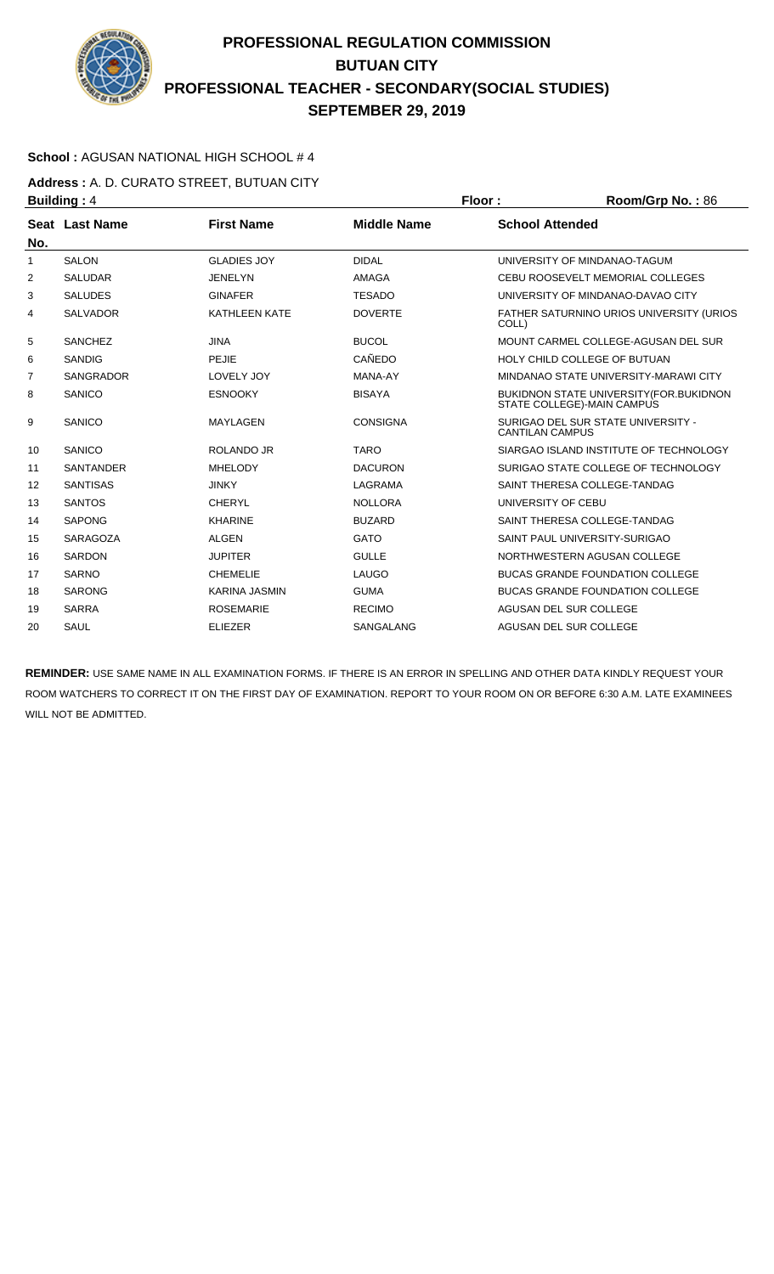

### **School :** AGUSAN NATIONAL HIGH SCHOOL # 4

**Address :** A. D. CURATO STREET, BUTUAN CITY **Building : 4 Floor : Floor : Room/Grp No. : 86** 

|                  |                            | .                  | 1199111991191191.00                                                            |
|------------------|----------------------------|--------------------|--------------------------------------------------------------------------------|
| Seat Last Name   | <b>First Name</b>          | <b>Middle Name</b> | <b>School Attended</b>                                                         |
| <b>SALON</b>     | <b>GLADIES JOY</b>         | <b>DIDAL</b>       | UNIVERSITY OF MINDANAO-TAGUM                                                   |
| <b>SALUDAR</b>   | <b>JENELYN</b>             | <b>AMAGA</b>       | CEBU ROOSEVELT MEMORIAL COLLEGES                                               |
| <b>SALUDES</b>   | <b>GINAFER</b>             | <b>TESADO</b>      | UNIVERSITY OF MINDANAO-DAVAO CITY                                              |
| <b>SALVADOR</b>  | <b>KATHLEEN KATE</b>       | <b>DOVERTE</b>     | FATHER SATURNINO URIOS UNIVERSITY (URIOS<br>COLL)                              |
| <b>SANCHEZ</b>   | <b>JINA</b>                | <b>BUCOL</b>       | MOUNT CARMEL COLLEGE-AGUSAN DEL SUR                                            |
| <b>SANDIG</b>    | <b>PEJIE</b>               | <b>CAÑEDO</b>      | HOLY CHILD COLLEGE OF BUTUAN                                                   |
| <b>SANGRADOR</b> | LOVELY JOY                 | MANA-AY            | MINDANAO STATE UNIVERSITY-MARAWI CITY                                          |
| SANICO           | <b>ESNOOKY</b>             | <b>BISAYA</b>      | <b>BUKIDNON STATE UNIVERSITY (FOR. BUKIDNON)</b><br>STATE COLLEGE)-MAIN CAMPUS |
| SANICO           | <b>MAYLAGEN</b>            | <b>CONSIGNA</b>    | SURIGAO DEL SUR STATE UNIVERSITY -<br><b>CANTILAN CAMPUS</b>                   |
| SANICO           | ROLANDO JR                 | <b>TARO</b>        | SIARGAO ISLAND INSTITUTE OF TECHNOLOGY                                         |
| <b>SANTANDER</b> | <b>MHELODY</b>             | <b>DACURON</b>     | SURIGAO STATE COLLEGE OF TECHNOLOGY                                            |
| <b>SANTISAS</b>  | <b>JINKY</b>               | <b>LAGRAMA</b>     | SAINT THERESA COLLEGE-TANDAG                                                   |
| <b>SANTOS</b>    | <b>CHERYL</b>              | <b>NOLLORA</b>     | UNIVERSITY OF CEBU                                                             |
| <b>SAPONG</b>    | <b>KHARINE</b>             | <b>BUZARD</b>      | SAINT THERESA COLLEGE-TANDAG                                                   |
| <b>SARAGOZA</b>  | <b>ALGEN</b>               | <b>GATO</b>        | SAINT PAUL UNIVERSITY-SURIGAO                                                  |
| <b>SARDON</b>    | <b>JUPITER</b>             | <b>GULLE</b>       | NORTHWESTERN AGUSAN COLLEGE                                                    |
| <b>SARNO</b>     | <b>CHEMELIE</b>            | LAUGO              | <b>BUCAS GRANDE FOUNDATION COLLEGE</b>                                         |
| <b>SARONG</b>    | <b>KARINA JASMIN</b>       | <b>GUMA</b>        | <b>BUCAS GRANDE FOUNDATION COLLEGE</b>                                         |
| <b>SARRA</b>     | <b>ROSEMARIE</b>           | <b>RECIMO</b>      | AGUSAN DEL SUR COLLEGE                                                         |
| SAUL             | <b>ELIEZER</b>             | <b>SANGALANG</b>   | AGUSAN DEL SUR COLLEGE                                                         |
|                  | ד . פייייטיים <del>−</del> |                    |                                                                                |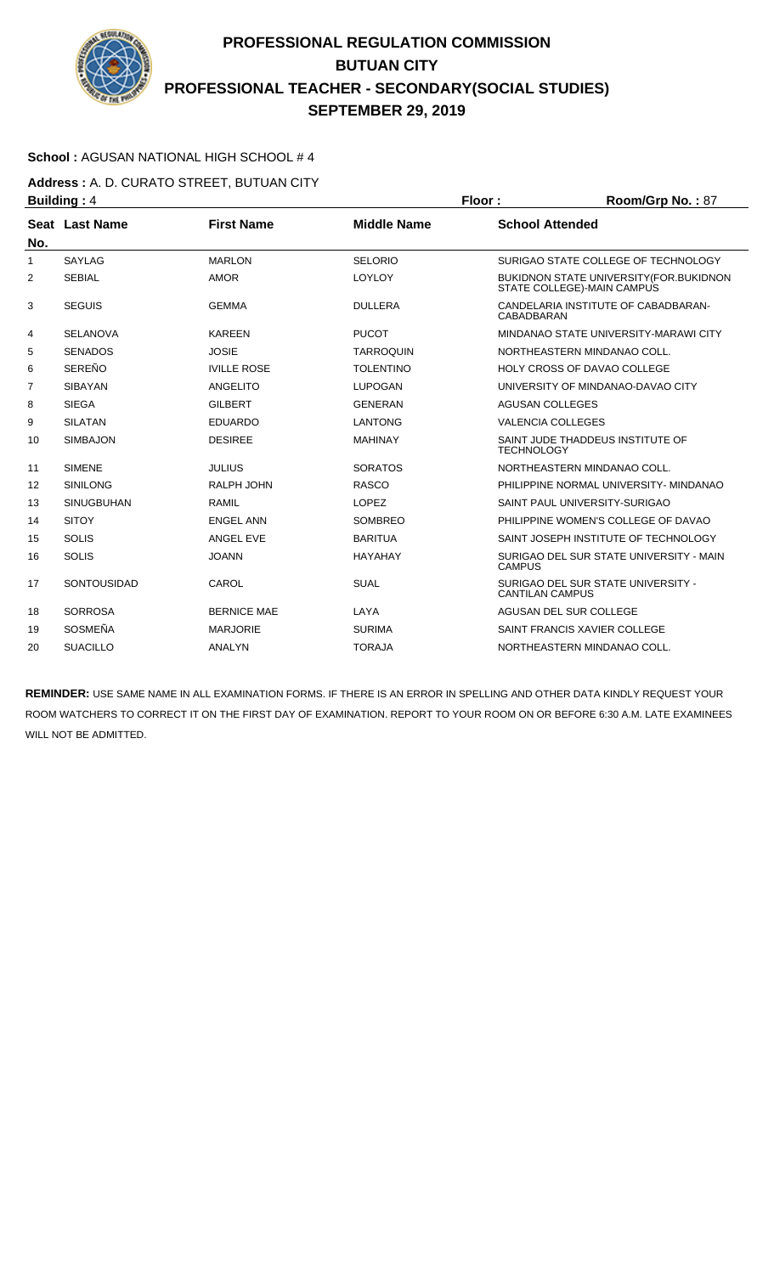

### **School :** AGUSAN NATIONAL HIGH SCHOOL # 4

**Address :** A. D. CURATO STREET, BUTUAN CITY **Building : 4 Floor : Floor : Room/Grp No. : 87** 

|                | .                  |                    |                    |                                                                        |
|----------------|--------------------|--------------------|--------------------|------------------------------------------------------------------------|
| No.            | Seat Last Name     | <b>First Name</b>  | <b>Middle Name</b> | <b>School Attended</b>                                                 |
| 1              | <b>SAYLAG</b>      | <b>MARLON</b>      | <b>SELORIO</b>     | SURIGAO STATE COLLEGE OF TECHNOLOGY                                    |
| 2              | <b>SEBIAL</b>      | <b>AMOR</b>        | LOYLOY             | BUKIDNON STATE UNIVERSITY (FOR. BUKIDNON<br>STATE COLLEGE)-MAIN CAMPUS |
| 3              | <b>SEGUIS</b>      | <b>GEMMA</b>       | <b>DULLERA</b>     | CANDELARIA INSTITUTE OF CABADBARAN-<br>CABADBARAN                      |
| 4              | <b>SELANOVA</b>    | <b>KAREEN</b>      | <b>PUCOT</b>       | MINDANAO STATE UNIVERSITY-MARAWI CITY                                  |
| 5              | <b>SENADOS</b>     | <b>JOSIE</b>       | <b>TARROQUIN</b>   | NORTHEASTERN MINDANAO COLL.                                            |
| 6              | <b>SEREÑO</b>      | <b>IVILLE ROSE</b> | <b>TOLENTINO</b>   | HOLY CROSS OF DAVAO COLLEGE                                            |
| $\overline{7}$ | <b>SIBAYAN</b>     | ANGELITO           | <b>LUPOGAN</b>     | UNIVERSITY OF MINDANAO-DAVAO CITY                                      |
| 8              | <b>SIEGA</b>       | <b>GILBERT</b>     | <b>GENERAN</b>     | <b>AGUSAN COLLEGES</b>                                                 |
| 9              | <b>SILATAN</b>     | <b>EDUARDO</b>     | <b>LANTONG</b>     | <b>VALENCIA COLLEGES</b>                                               |
| 10             | <b>SIMBAJON</b>    | <b>DESIREE</b>     | <b>MAHINAY</b>     | SAINT JUDE THADDEUS INSTITUTE OF<br><b>TECHNOLOGY</b>                  |
| 11             | <b>SIMENE</b>      | <b>JULIUS</b>      | <b>SORATOS</b>     | NORTHEASTERN MINDANAO COLL.                                            |
| 12             | <b>SINILONG</b>    | RALPH JOHN         | <b>RASCO</b>       | PHILIPPINE NORMAL UNIVERSITY- MINDANAO                                 |
| 13             | <b>SINUGBUHAN</b>  | <b>RAMIL</b>       | <b>LOPEZ</b>       | SAINT PAUL UNIVERSITY-SURIGAO                                          |
| 14             | <b>SITOY</b>       | <b>ENGEL ANN</b>   | <b>SOMBREO</b>     | PHILIPPINE WOMEN'S COLLEGE OF DAVAO                                    |
| 15             | <b>SOLIS</b>       | ANGEL EVE          | <b>BARITUA</b>     | SAINT JOSEPH INSTITUTE OF TECHNOLOGY                                   |
| 16             | <b>SOLIS</b>       | <b>JOANN</b>       | <b>HAYAHAY</b>     | SURIGAO DEL SUR STATE UNIVERSITY - MAIN<br><b>CAMPUS</b>               |
| 17             | <b>SONTOUSIDAD</b> | CAROL              | <b>SUAL</b>        | SURIGAO DEL SUR STATE UNIVERSITY -<br><b>CANTILAN CAMPUS</b>           |
| 18             | <b>SORROSA</b>     | <b>BERNICE MAE</b> | LAYA               | AGUSAN DEL SUR COLLEGE                                                 |
| 19             | <b>SOSMEÑA</b>     | <b>MARJORIE</b>    | <b>SURIMA</b>      | SAINT FRANCIS XAVIER COLLEGE                                           |
| 20             | <b>SUACILLO</b>    | <b>ANALYN</b>      | <b>TORAJA</b>      | NORTHEASTERN MINDANAO COLL.                                            |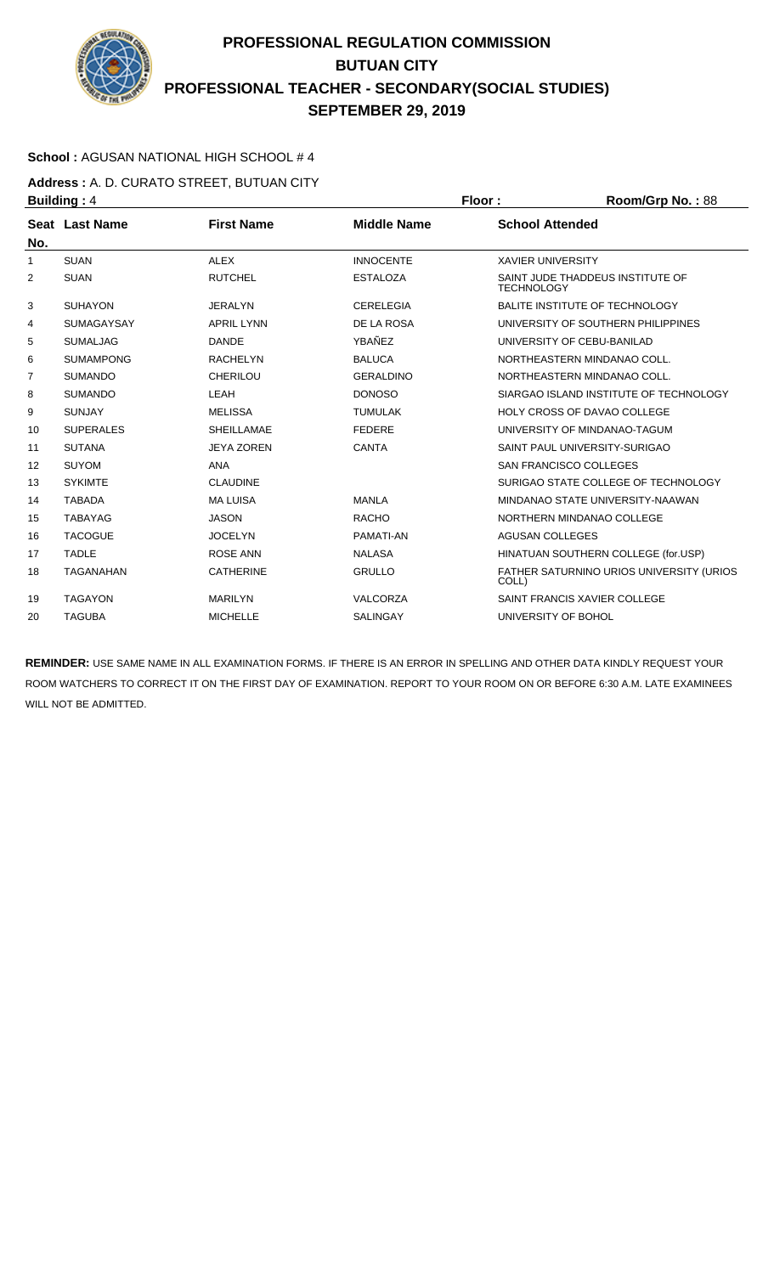

### **School :** AGUSAN NATIONAL HIGH SCHOOL # 4

**Address :** A. D. CURATO STREET, BUTUAN CITY **Building : 4 Floor : Floor : Room/Grp No. : 88** 

| No.            | <b>Seat Last Name</b> | <b>First Name</b> | <b>Middle Name</b> | <b>School Attended</b>                                |
|----------------|-----------------------|-------------------|--------------------|-------------------------------------------------------|
| $\mathbf{1}$   | <b>SUAN</b>           | <b>ALEX</b>       | <b>INNOCENTE</b>   | <b>XAVIER UNIVERSITY</b>                              |
| $\overline{2}$ | <b>SUAN</b>           | <b>RUTCHEL</b>    | <b>ESTALOZA</b>    | SAINT JUDE THADDEUS INSTITUTE OF<br><b>TECHNOLOGY</b> |
| 3              | <b>SUHAYON</b>        | <b>JERALYN</b>    | <b>CERELEGIA</b>   | BALITE INSTITUTE OF TECHNOLOGY                        |
| 4              | <b>SUMAGAYSAY</b>     | <b>APRIL LYNN</b> | DE LA ROSA         | UNIVERSITY OF SOUTHERN PHILIPPINES                    |
| 5              | <b>SUMALJAG</b>       | <b>DANDE</b>      | YBAÑEZ             | UNIVERSITY OF CEBU-BANILAD                            |
| 6              | <b>SUMAMPONG</b>      | <b>RACHELYN</b>   | <b>BALUCA</b>      | NORTHEASTERN MINDANAO COLL.                           |
| 7              | <b>SUMANDO</b>        | <b>CHERILOU</b>   | <b>GERALDINO</b>   | NORTHEASTERN MINDANAO COLL.                           |
| 8              | <b>SUMANDO</b>        | LEAH              | <b>DONOSO</b>      | SIARGAO ISLAND INSTITUTE OF TECHNOLOGY                |
| 9              | <b>SUNJAY</b>         | <b>MELISSA</b>    | <b>TUMULAK</b>     | HOLY CROSS OF DAVAO COLLEGE                           |
| 10             | <b>SUPERALES</b>      | <b>SHEILLAMAE</b> | <b>FEDERE</b>      | UNIVERSITY OF MINDANAO-TAGUM                          |
| 11             | <b>SUTANA</b>         | <b>JEYA ZOREN</b> | CANTA              | SAINT PAUL UNIVERSITY-SURIGAO                         |
| 12             | <b>SUYOM</b>          | <b>ANA</b>        |                    | <b>SAN FRANCISCO COLLEGES</b>                         |
| 13             | <b>SYKIMTE</b>        | <b>CLAUDINE</b>   |                    | SURIGAO STATE COLLEGE OF TECHNOLOGY                   |
| 14             | <b>TABADA</b>         | <b>MALUISA</b>    | <b>MANLA</b>       | MINDANAO STATE UNIVERSITY-NAAWAN                      |
| 15             | <b>TABAYAG</b>        | <b>JASON</b>      | <b>RACHO</b>       | NORTHERN MINDANAO COLLEGE                             |
| 16             | <b>TACOGUE</b>        | <b>JOCELYN</b>    | PAMATI-AN          | <b>AGUSAN COLLEGES</b>                                |
| 17             | <b>TADLE</b>          | <b>ROSE ANN</b>   | <b>NALASA</b>      | HINATUAN SOUTHERN COLLEGE (for.USP)                   |
| 18             | <b>TAGANAHAN</b>      | <b>CATHERINE</b>  | <b>GRULLO</b>      | FATHER SATURNINO URIOS UNIVERSITY (URIOS<br>COLL)     |
| 19             | <b>TAGAYON</b>        | <b>MARILYN</b>    | VALCORZA           | SAINT FRANCIS XAVIER COLLEGE                          |
| 20             | <b>TAGUBA</b>         | <b>MICHELLE</b>   | <b>SALINGAY</b>    | UNIVERSITY OF BOHOL                                   |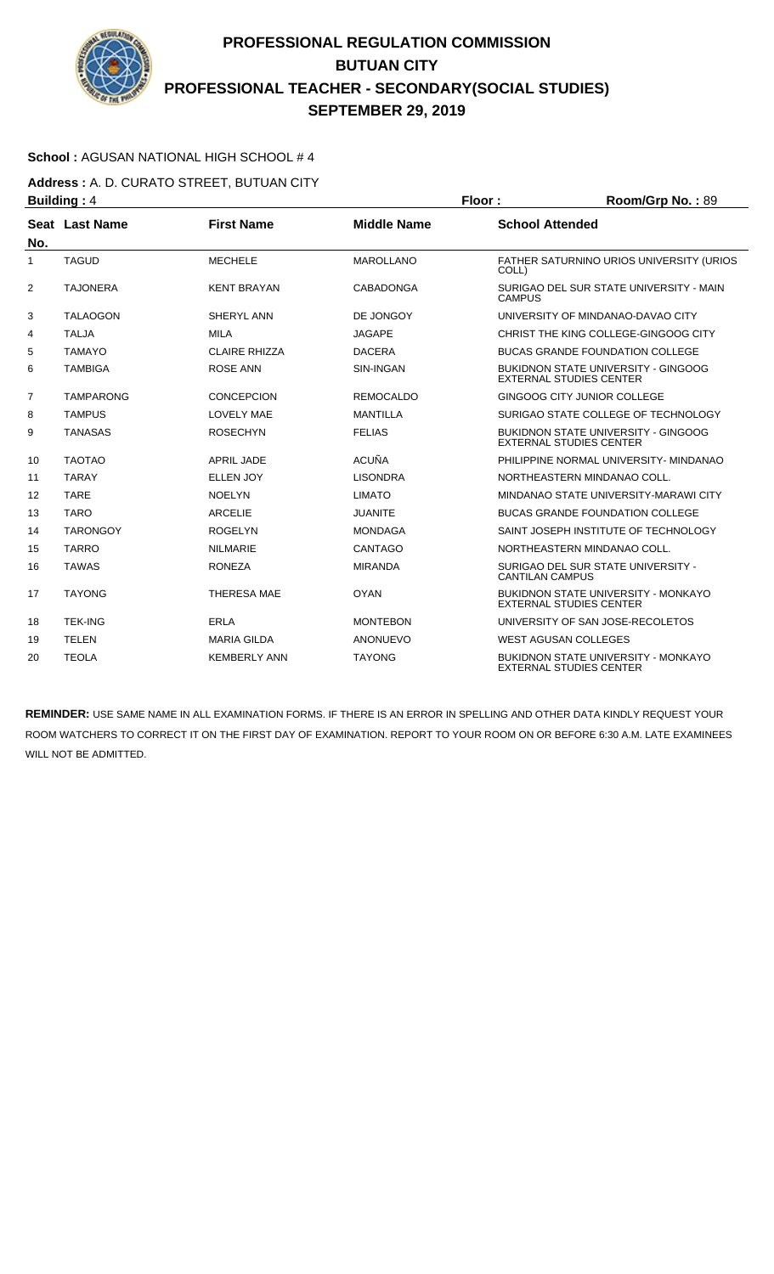

### **School :** AGUSAN NATIONAL HIGH SCHOOL # 4

**Address :** A. D. CURATO STREET, BUTUAN CITY **Building : 4 Floor : Floor : Room/Grp No. : 89** 

| No.            | Seat Last Name   | <b>First Name</b>    | <b>Middle Name</b> | <b>School Attended</b>                                                       |
|----------------|------------------|----------------------|--------------------|------------------------------------------------------------------------------|
| 1              | <b>TAGUD</b>     | <b>MECHELE</b>       | <b>MAROLLANO</b>   | <b>FATHER SATURNINO URIOS UNIVERSITY (URIOS)</b><br>COLL)                    |
| $\overline{2}$ | <b>TAJONERA</b>  | <b>KENT BRAYAN</b>   | CABADONGA          | SURIGAO DEL SUR STATE UNIVERSITY - MAIN<br><b>CAMPUS</b>                     |
| 3              | <b>TALAOGON</b>  | SHERYL ANN           | DE JONGOY          | UNIVERSITY OF MINDANAO-DAVAO CITY                                            |
| 4              | <b>TALJA</b>     | <b>MILA</b>          | <b>JAGAPE</b>      | CHRIST THE KING COLLEGE-GINGOOG CITY                                         |
| 5              | <b>TAMAYO</b>    | <b>CLAIRE RHIZZA</b> | <b>DACERA</b>      | <b>BUCAS GRANDE FOUNDATION COLLEGE</b>                                       |
| 6              | <b>TAMBIGA</b>   | <b>ROSE ANN</b>      | SIN-INGAN          | <b>BUKIDNON STATE UNIVERSITY - GINGOOG</b><br><b>EXTERNAL STUDIES CENTER</b> |
| $\overline{7}$ | <b>TAMPARONG</b> | <b>CONCEPCION</b>    | <b>REMOCALDO</b>   | GINGOOG CITY JUNIOR COLLEGE                                                  |
| 8              | <b>TAMPUS</b>    | <b>LOVELY MAE</b>    | <b>MANTILLA</b>    | SURIGAO STATE COLLEGE OF TECHNOLOGY                                          |
| 9              | <b>TANASAS</b>   | <b>ROSECHYN</b>      | <b>FELIAS</b>      | <b>BUKIDNON STATE UNIVERSITY - GINGOOG</b><br><b>EXTERNAL STUDIES CENTER</b> |
| 10             | <b>TAOTAO</b>    | <b>APRIL JADE</b>    | <b>ACUÑA</b>       | PHILIPPINE NORMAL UNIVERSITY- MINDANAO                                       |
| 11             | <b>TARAY</b>     | <b>ELLEN JOY</b>     | <b>LISONDRA</b>    | NORTHEASTERN MINDANAO COLL.                                                  |
| 12             | <b>TARE</b>      | <b>NOELYN</b>        | <b>LIMATO</b>      | MINDANAO STATE UNIVERSITY-MARAWI CITY                                        |
| 13             | <b>TARO</b>      | <b>ARCELIE</b>       | <b>JUANITE</b>     | <b>BUCAS GRANDE FOUNDATION COLLEGE</b>                                       |
| 14             | <b>TARONGOY</b>  | <b>ROGELYN</b>       | <b>MONDAGA</b>     | SAINT JOSEPH INSTITUTE OF TECHNOLOGY                                         |
| 15             | <b>TARRO</b>     | <b>NILMARIE</b>      | <b>CANTAGO</b>     | NORTHEASTERN MINDANAO COLL.                                                  |
| 16             | <b>TAWAS</b>     | <b>RONEZA</b>        | <b>MIRANDA</b>     | SURIGAO DEL SUR STATE UNIVERSITY -<br><b>CANTILAN CAMPUS</b>                 |
| 17             | <b>TAYONG</b>    | <b>THERESA MAE</b>   | <b>OYAN</b>        | <b>BUKIDNON STATE UNIVERSITY - MONKAYO</b><br><b>EXTERNAL STUDIES CENTER</b> |
| 18             | <b>TEK-ING</b>   | ERLA                 | <b>MONTEBON</b>    | UNIVERSITY OF SAN JOSE-RECOLETOS                                             |
| 19             | TELEN            | <b>MARIA GILDA</b>   | <b>ANONUEVO</b>    | <b>WEST AGUSAN COLLEGES</b>                                                  |
| 20             | <b>TEOLA</b>     | <b>KEMBERLY ANN</b>  | <b>TAYONG</b>      | <b>BUKIDNON STATE UNIVERSITY - MONKAYO</b><br><b>EXTERNAL STUDIES CENTER</b> |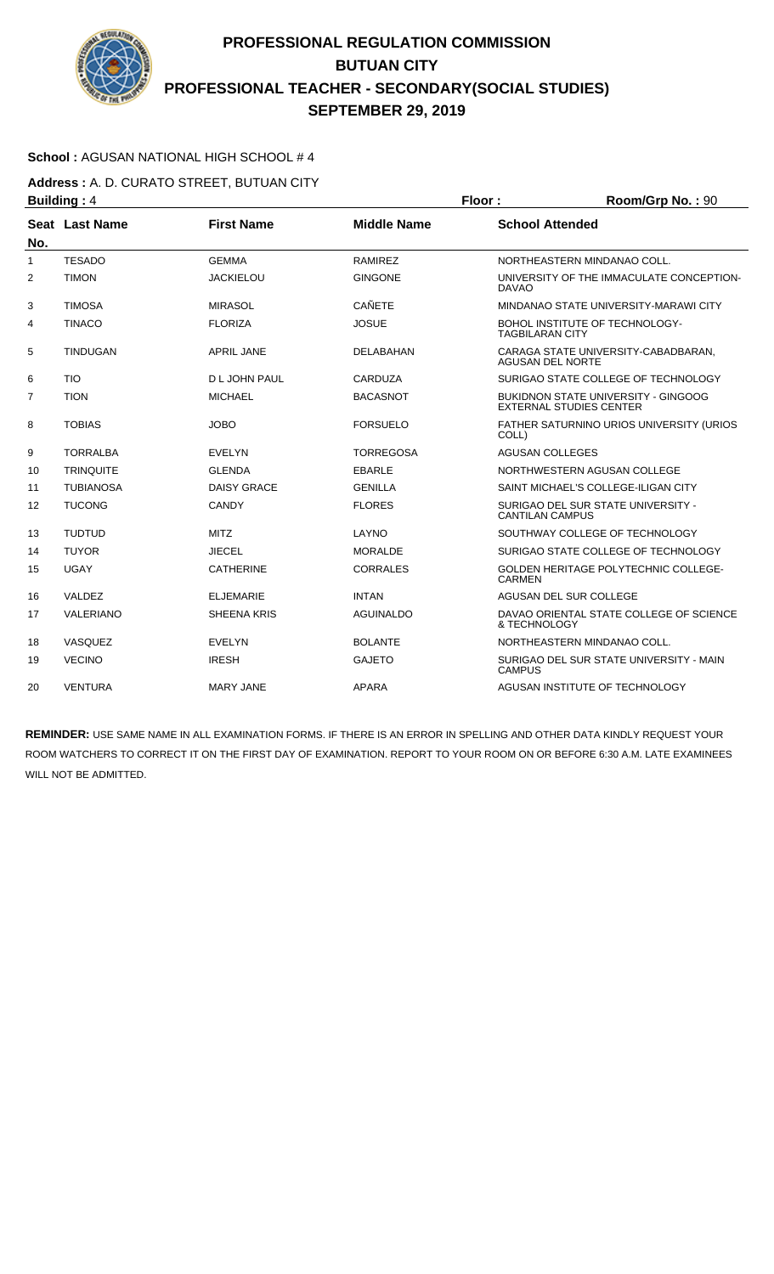

### **School :** AGUSAN NATIONAL HIGH SCHOOL # 4

**Address :** A. D. CURATO STREET, BUTUAN CITY **Building : 4 Floor : Room/Grp No. : 90** 

|              |                  |                    |                    | .                                                                            |
|--------------|------------------|--------------------|--------------------|------------------------------------------------------------------------------|
| No.          | Seat Last Name   | <b>First Name</b>  | <b>Middle Name</b> | <b>School Attended</b>                                                       |
| $\mathbf{1}$ | <b>TESADO</b>    | <b>GEMMA</b>       | <b>RAMIREZ</b>     | NORTHEASTERN MINDANAO COLL.                                                  |
| 2            | <b>TIMON</b>     | <b>JACKIELOU</b>   | <b>GINGONE</b>     | UNIVERSITY OF THE IMMACULATE CONCEPTION-<br><b>DAVAO</b>                     |
| 3            | <b>TIMOSA</b>    | <b>MIRASOL</b>     | <b>CAÑETE</b>      | MINDANAO STATE UNIVERSITY-MARAWI CITY                                        |
| 4            | <b>TINACO</b>    | <b>FLORIZA</b>     | <b>JOSUE</b>       | BOHOL INSTITUTE OF TECHNOLOGY-<br><b>TAGBILARAN CITY</b>                     |
| 5            | <b>TINDUGAN</b>  | <b>APRIL JANE</b>  | DELABAHAN          | CARAGA STATE UNIVERSITY-CABADBARAN,<br><b>AGUSAN DEL NORTE</b>               |
| 6            | <b>TIO</b>       | D L JOHN PAUL      | CARDUZA            | SURIGAO STATE COLLEGE OF TECHNOLOGY                                          |
| 7            | <b>TION</b>      | <b>MICHAEL</b>     | <b>BACASNOT</b>    | <b>BUKIDNON STATE UNIVERSITY - GINGOOG</b><br><b>EXTERNAL STUDIES CENTER</b> |
| 8            | <b>TOBIAS</b>    | <b>JOBO</b>        | <b>FORSUELO</b>    | FATHER SATURNINO URIOS UNIVERSITY (URIOS<br>COLL)                            |
| 9            | <b>TORRALBA</b>  | <b>EVELYN</b>      | <b>TORREGOSA</b>   | <b>AGUSAN COLLEGES</b>                                                       |
| 10           | <b>TRINQUITE</b> | <b>GLENDA</b>      | <b>EBARLE</b>      | NORTHWESTERN AGUSAN COLLEGE                                                  |
| 11           | <b>TUBIANOSA</b> | <b>DAISY GRACE</b> | <b>GENILLA</b>     | SAINT MICHAEL'S COLLEGE-ILIGAN CITY                                          |
| 12           | <b>TUCONG</b>    | CANDY              | <b>FLORES</b>      | SURIGAO DEL SUR STATE UNIVERSITY -<br><b>CANTILAN CAMPUS</b>                 |
| 13           | <b>TUDTUD</b>    | <b>MITZ</b>        | LAYNO              | SOUTHWAY COLLEGE OF TECHNOLOGY                                               |
| 14           | <b>TUYOR</b>     | <b>JIECEL</b>      | <b>MORALDE</b>     | SURIGAO STATE COLLEGE OF TECHNOLOGY                                          |
| 15           | <b>UGAY</b>      | <b>CATHERINE</b>   | <b>CORRALES</b>    | <b>GOLDEN HERITAGE POLYTECHNIC COLLEGE-</b><br><b>CARMEN</b>                 |
| 16           | VALDEZ           | <b>ELJEMARIE</b>   | <b>INTAN</b>       | AGUSAN DEL SUR COLLEGE                                                       |
| 17           | VALERIANO        | <b>SHEENA KRIS</b> | <b>AGUINALDO</b>   | DAVAO ORIENTAL STATE COLLEGE OF SCIENCE<br>& TECHNOLOGY                      |
| 18           | VASQUEZ          | <b>EVELYN</b>      | <b>BOLANTE</b>     | NORTHEASTERN MINDANAO COLL.                                                  |
| 19           | <b>VECINO</b>    | <b>IRESH</b>       | <b>GAJETO</b>      | SURIGAO DEL SUR STATE UNIVERSITY - MAIN<br><b>CAMPUS</b>                     |
| 20           | <b>VENTURA</b>   | <b>MARY JANE</b>   | <b>APARA</b>       | AGUSAN INSTITUTE OF TECHNOLOGY                                               |